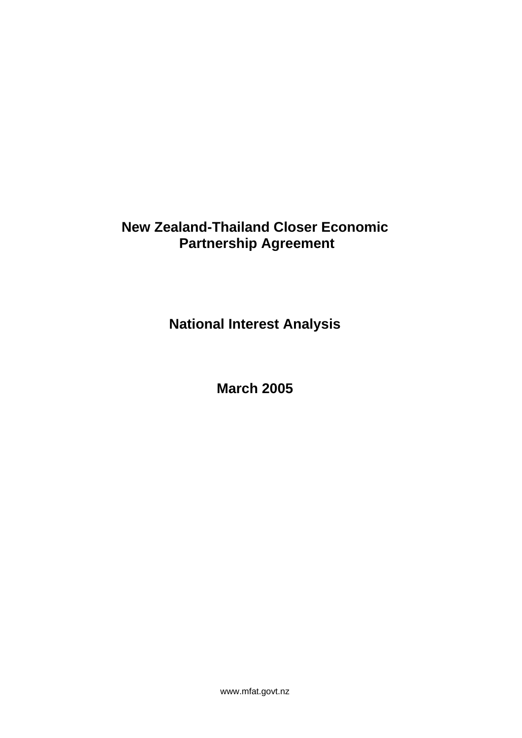# **New Zealand-Thailand Closer Economic Partnership Agreement**

**National Interest Analysis** 

**March 2005** 

www.mfat.govt.nz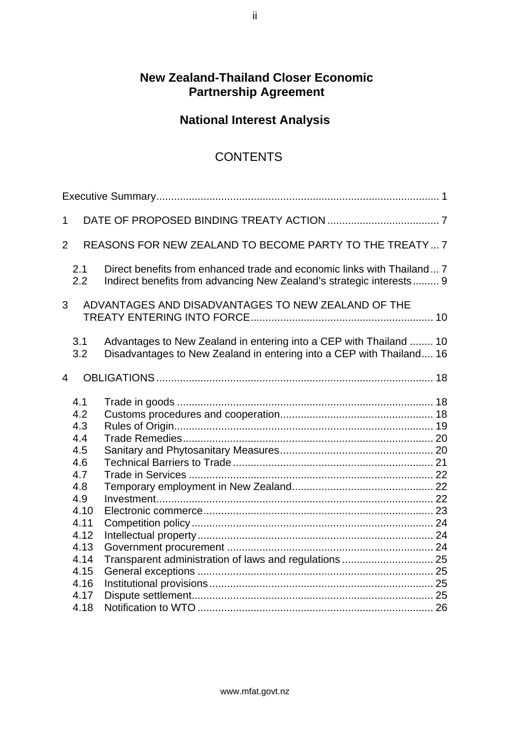## **New Zealand-Thailand Closer Economic Partnership Agreement**

# **National Interest Analysis**

## CONTENTS

| $\mathbf{1}$                                                                                                        |                                                                                                                                                |  |
|---------------------------------------------------------------------------------------------------------------------|------------------------------------------------------------------------------------------------------------------------------------------------|--|
| 2                                                                                                                   | REASONS FOR NEW ZEALAND TO BECOME PARTY TO THE TREATY  7                                                                                       |  |
| 2.1<br>2.2                                                                                                          | Direct benefits from enhanced trade and economic links with Thailand 7<br>Indirect benefits from advancing New Zealand's strategic interests 9 |  |
| 3                                                                                                                   | ADVANTAGES AND DISADVANTAGES TO NEW ZEALAND OF THE                                                                                             |  |
| 3.1<br>3.2                                                                                                          | Advantages to New Zealand in entering into a CEP with Thailand  10<br>Disadvantages to New Zealand in entering into a CEP with Thailand 16     |  |
| $\overline{4}$                                                                                                      |                                                                                                                                                |  |
| 4.1<br>4.2<br>4.3<br>4.4<br>4.5<br>4.6<br>4.7<br>4.8<br>4.9<br>4.10<br>4.11<br>4.12<br>4.13<br>4.14<br>4.15<br>4.16 | Transparent administration of laws and regulations  25                                                                                         |  |
| 4.17<br>4.18                                                                                                        |                                                                                                                                                |  |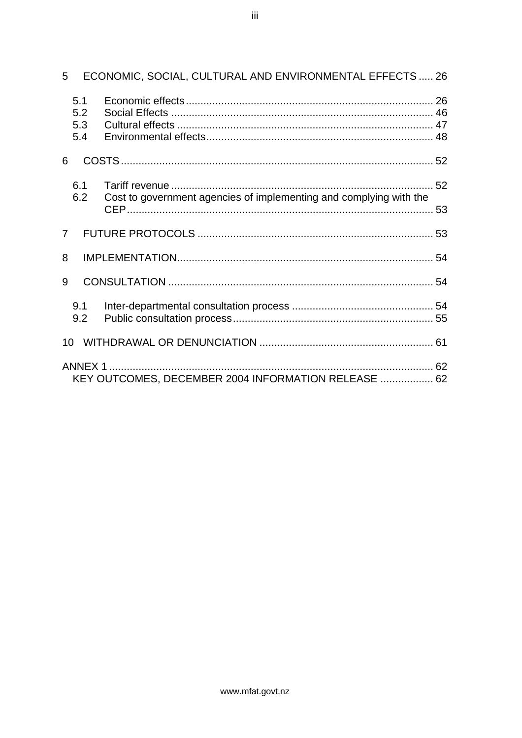| 5                        | ECONOMIC, SOCIAL, CULTURAL AND ENVIRONMENTAL EFFECTS  26               |  |
|--------------------------|------------------------------------------------------------------------|--|
| 5.1<br>5.2<br>5.3<br>5.4 |                                                                        |  |
| 6                        |                                                                        |  |
| 6.1<br>6.2               | Cost to government agencies of implementing and complying with the     |  |
| $\overline{7}$           |                                                                        |  |
| 8                        |                                                                        |  |
| 9                        |                                                                        |  |
| 9.1<br>9.2               |                                                                        |  |
|                          |                                                                        |  |
|                          | <b>ANNEX 1 </b><br>KEY OUTCOMES, DECEMBER 2004 INFORMATION RELEASE  62 |  |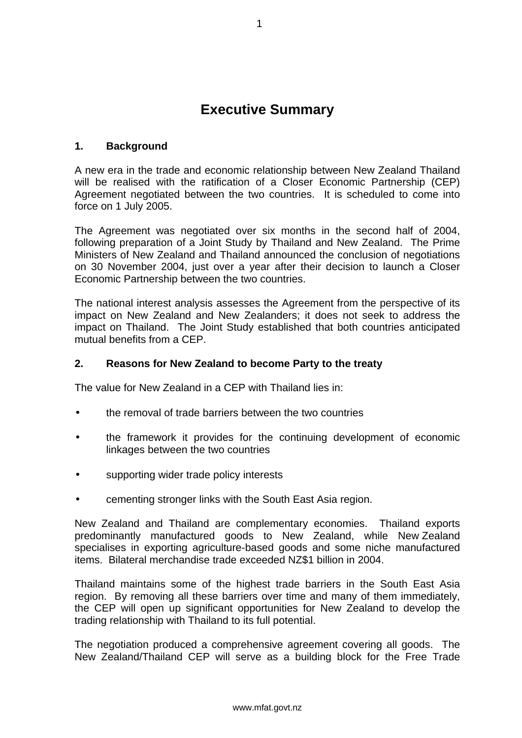# **Executive Summary**

#### <span id="page-3-0"></span>**1. Background**

A new era in the trade and economic relationship between New Zealand Thailand will be realised with the ratification of a Closer Economic Partnership (CEP) Agreement negotiated between the two countries. It is scheduled to come into force on 1 July 2005.

The Agreement was negotiated over six months in the second half of 2004, following preparation of a Joint Study by Thailand and New Zealand. The Prime Ministers of New Zealand and Thailand announced the conclusion of negotiations on 30 November 2004, just over a year after their decision to launch a Closer Economic Partnership between the two countries.

The national interest analysis assesses the Agreement from the perspective of its impact on New Zealand and New Zealanders; it does not seek to address the impact on Thailand. The Joint Study established that both countries anticipated mutual benefits from a CEP.

#### **2. Reasons for New Zealand to become Party to the treaty**

The value for New Zealand in a CEP with Thailand lies in:

- the removal of trade barriers between the two countries
- the framework it provides for the continuing development of economic linkages between the two countries
- supporting wider trade policy interests
- cementing stronger links with the South East Asia region.

New Zealand and Thailand are complementary economies. Thailand exports predominantly manufactured goods to New Zealand, while New Zealand specialises in exporting agriculture-based goods and some niche manufactured items. Bilateral merchandise trade exceeded NZ\$1 billion in 2004.

Thailand maintains some of the highest trade barriers in the South East Asia region. By removing all these barriers over time and many of them immediately, the CEP will open up significant opportunities for New Zealand to develop the trading relationship with Thailand to its full potential.

The negotiation produced a comprehensive agreement covering all goods. The New Zealand/Thailand CEP will serve as a building block for the Free Trade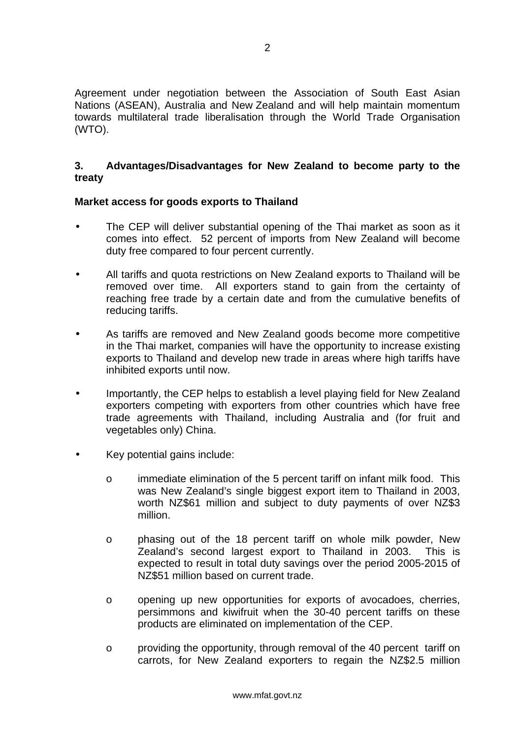Agreement under negotiation between the Association of South East Asian Nations (ASEAN), Australia and New Zealand and will help maintain momentum towards multilateral trade liberalisation through the World Trade Organisation (WTO).

#### **3. Advantages/Disadvantages for New Zealand to become party to the treaty**

#### **Market access for goods exports to Thailand**

- The CEP will deliver substantial opening of the Thai market as soon as it comes into effect. 52 percent of imports from New Zealand will become duty free compared to four percent currently.
- All tariffs and quota restrictions on New Zealand exports to Thailand will be removed over time. All exporters stand to gain from the certainty of reaching free trade by a certain date and from the cumulative benefits of reducing tariffs.
- As tariffs are removed and New Zealand goods become more competitive in the Thai market, companies will have the opportunity to increase existing exports to Thailand and develop new trade in areas where high tariffs have inhibited exports until now.
- Importantly, the CEP helps to establish a level playing field for New Zealand exporters competing with exporters from other countries which have free trade agreements with Thailand, including Australia and (for fruit and vegetables only) China.
- Key potential gains include:
	- o immediate elimination of the 5 percent tariff on infant milk food. This was New Zealand's single biggest export item to Thailand in 2003, worth NZ\$61 million and subject to duty payments of over NZ\$3 million.
	- o phasing out of the 18 percent tariff on whole milk powder, New Zealand's second largest export to Thailand in 2003. This is expected to result in total duty savings over the period 2005-2015 of NZ\$51 million based on current trade.
	- o opening up new opportunities for exports of avocadoes, cherries, persimmons and kiwifruit when the 30-40 percent tariffs on these products are eliminated on implementation of the CEP.
	- o providing the opportunity, through removal of the 40 percent tariff on carrots, for New Zealand exporters to regain the NZ\$2.5 million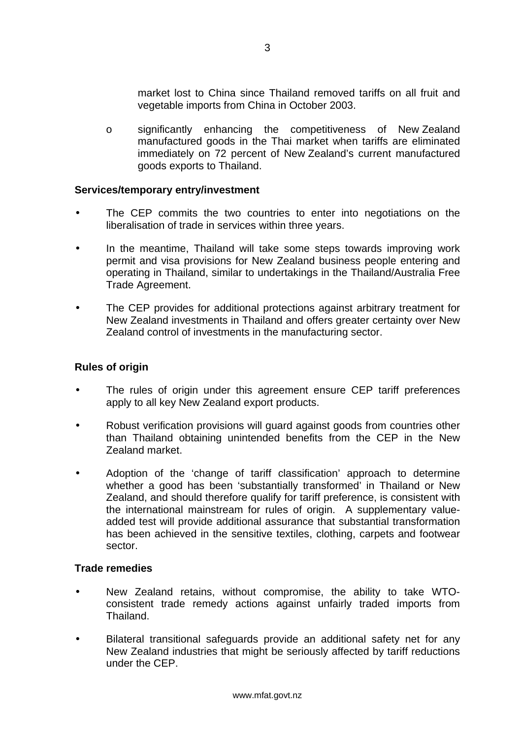market lost to China since Thailand removed tariffs on all fruit and vegetable imports from China in October 2003.

o significantly enhancing the competitiveness of New Zealand manufactured goods in the Thai market when tariffs are eliminated immediately on 72 percent of New Zealand's current manufactured goods exports to Thailand.

#### **Services/temporary entry/investment**

- The CEP commits the two countries to enter into negotiations on the liberalisation of trade in services within three years.
- In the meantime, Thailand will take some steps towards improving work permit and visa provisions for New Zealand business people entering and operating in Thailand, similar to undertakings in the Thailand/Australia Free Trade Agreement.
- The CEP provides for additional protections against arbitrary treatment for New Zealand investments in Thailand and offers greater certainty over New Zealand control of investments in the manufacturing sector.

#### **Rules of origin**

- The rules of origin under this agreement ensure CEP tariff preferences apply to all key New Zealand export products.
- Robust verification provisions will guard against goods from countries other than Thailand obtaining unintended benefits from the CEP in the New Zealand market.
- Adoption of the 'change of tariff classification' approach to determine whether a good has been 'substantially transformed' in Thailand or New Zealand, and should therefore qualify for tariff preference, is consistent with the international mainstream for rules of origin. A supplementary valueadded test will provide additional assurance that substantial transformation has been achieved in the sensitive textiles, clothing, carpets and footwear sector.

#### **Trade remedies**

- New Zealand retains, without compromise, the ability to take WTOconsistent trade remedy actions against unfairly traded imports from Thailand.
- Bilateral transitional safeguards provide an additional safety net for any New Zealand industries that might be seriously affected by tariff reductions under the CEP.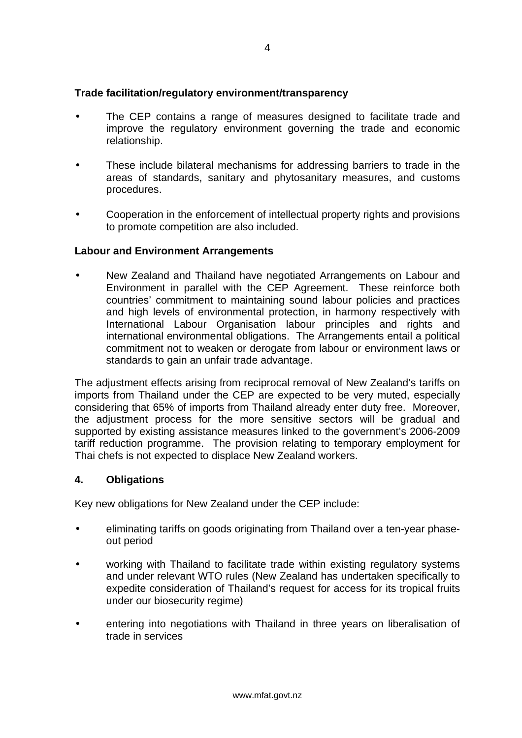#### **Trade facilitation/regulatory environment/transparency**

- The CEP contains a range of measures designed to facilitate trade and improve the regulatory environment governing the trade and economic relationship.
- These include bilateral mechanisms for addressing barriers to trade in the areas of standards, sanitary and phytosanitary measures, and customs procedures.
- Cooperation in the enforcement of intellectual property rights and provisions to promote competition are also included.

#### **Labour and Environment Arrangements**

• New Zealand and Thailand have negotiated Arrangements on Labour and Environment in parallel with the CEP Agreement. These reinforce both countries' commitment to maintaining sound labour policies and practices and high levels of environmental protection, in harmony respectively with International Labour Organisation labour principles and rights and international environmental obligations. The Arrangements entail a political commitment not to weaken or derogate from labour or environment laws or standards to gain an unfair trade advantage.

The adjustment effects arising from reciprocal removal of New Zealand's tariffs on imports from Thailand under the CEP are expected to be very muted, especially considering that 65% of imports from Thailand already enter duty free. Moreover, the adjustment process for the more sensitive sectors will be gradual and supported by existing assistance measures linked to the government's 2006-2009 tariff reduction programme. The provision relating to temporary employment for Thai chefs is not expected to displace New Zealand workers.

#### **4. Obligations**

Key new obligations for New Zealand under the CEP include:

- eliminating tariffs on goods originating from Thailand over a ten-year phaseout period
- working with Thailand to facilitate trade within existing regulatory systems and under relevant WTO rules (New Zealand has undertaken specifically to expedite consideration of Thailand's request for access for its tropical fruits under our biosecurity regime)
- entering into negotiations with Thailand in three years on liberalisation of trade in services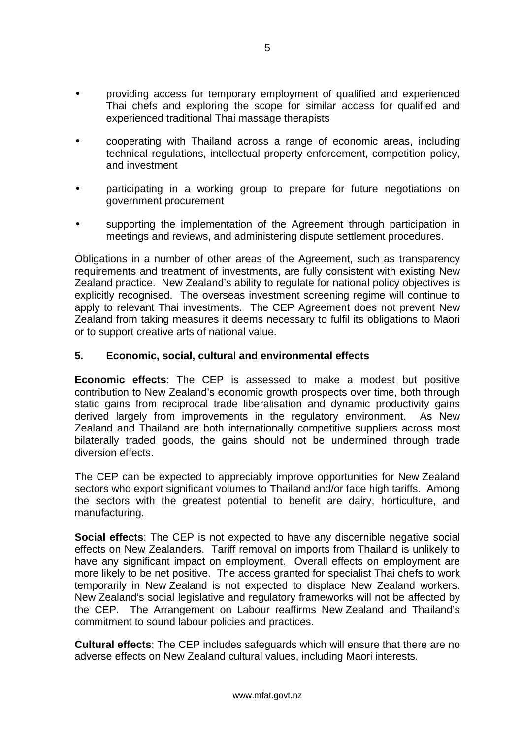- providing access for temporary employment of qualified and experienced Thai chefs and exploring the scope for similar access for qualified and experienced traditional Thai massage therapists
- cooperating with Thailand across a range of economic areas, including technical regulations, intellectual property enforcement, competition policy, and investment
- participating in a working group to prepare for future negotiations on government procurement
- supporting the implementation of the Agreement through participation in meetings and reviews, and administering dispute settlement procedures.

Obligations in a number of other areas of the Agreement, such as transparency requirements and treatment of investments, are fully consistent with existing New Zealand practice. New Zealand's ability to regulate for national policy objectives is explicitly recognised. The overseas investment screening regime will continue to apply to relevant Thai investments. The CEP Agreement does not prevent New Zealand from taking measures it deems necessary to fulfil its obligations to Maori or to support creative arts of national value.

#### **5. Economic, social, cultural and environmental effects**

**Economic effects**: The CEP is assessed to make a modest but positive contribution to New Zealand's economic growth prospects over time, both through static gains from reciprocal trade liberalisation and dynamic productivity gains derived largely from improvements in the regulatory environment. As New Zealand and Thailand are both internationally competitive suppliers across most bilaterally traded goods, the gains should not be undermined through trade diversion effects.

The CEP can be expected to appreciably improve opportunities for New Zealand sectors who export significant volumes to Thailand and/or face high tariffs. Among the sectors with the greatest potential to benefit are dairy, horticulture, and manufacturing.

**Social effects**: The CEP is not expected to have any discernible negative social effects on New Zealanders. Tariff removal on imports from Thailand is unlikely to have any significant impact on employment. Overall effects on employment are more likely to be net positive. The access granted for specialist Thai chefs to work temporarily in New Zealand is not expected to displace New Zealand workers. New Zealand's social legislative and regulatory frameworks will not be affected by the CEP. The Arrangement on Labour reaffirms New Zealand and Thailand's commitment to sound labour policies and practices.

**Cultural effects**: The CEP includes safeguards which will ensure that there are no adverse effects on New Zealand cultural values, including Maori interests.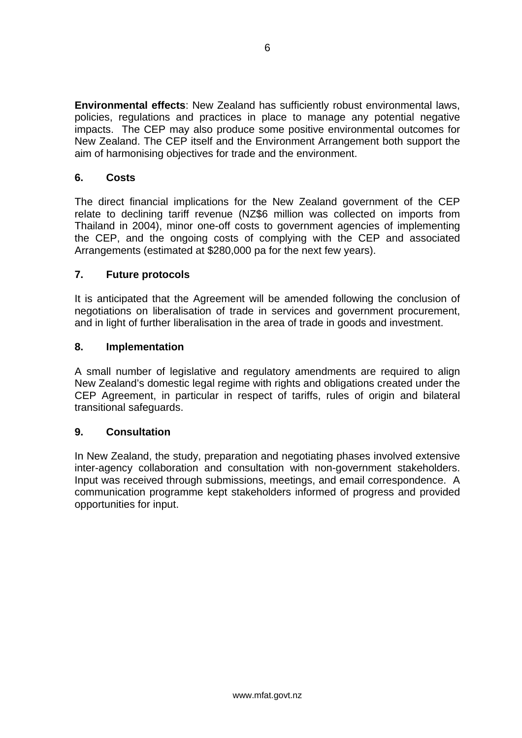**Environmental effects**: New Zealand has sufficiently robust environmental laws, policies, regulations and practices in place to manage any potential negative impacts. The CEP may also produce some positive environmental outcomes for New Zealand. The CEP itself and the Environment Arrangement both support the aim of harmonising objectives for trade and the environment.

### **6. Costs**

The direct financial implications for the New Zealand government of the CEP relate to declining tariff revenue (NZ\$6 million was collected on imports from Thailand in 2004), minor one-off costs to government agencies of implementing the CEP, and the ongoing costs of complying with the CEP and associated Arrangements (estimated at \$280,000 pa for the next few years).

### **7. Future protocols**

It is anticipated that the Agreement will be amended following the conclusion of negotiations on liberalisation of trade in services and government procurement, and in light of further liberalisation in the area of trade in goods and investment.

#### **8. Implementation**

A small number of legislative and regulatory amendments are required to align New Zealand's domestic legal regime with rights and obligations created under the CEP Agreement, in particular in respect of tariffs, rules of origin and bilateral transitional safeguards.

#### **9. Consultation**

In New Zealand, the study, preparation and negotiating phases involved extensive inter-agency collaboration and consultation with non-government stakeholders. Input was received through submissions, meetings, and email correspondence. A communication programme kept stakeholders informed of progress and provided opportunities for input.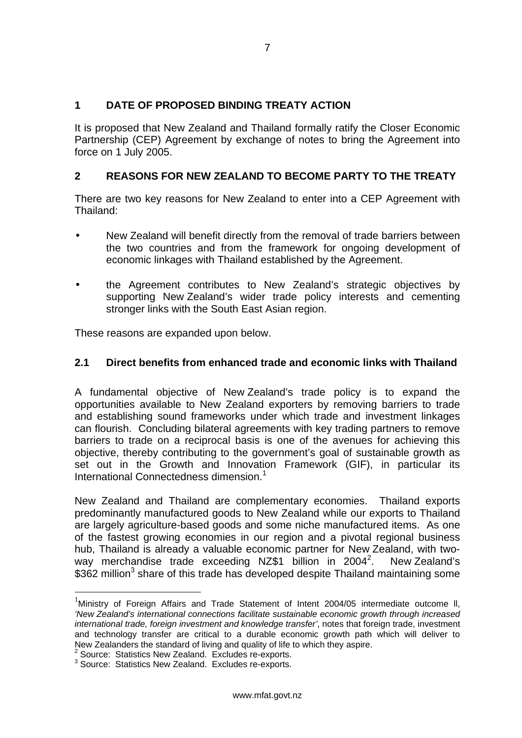### <span id="page-9-0"></span>**1 DATE OF PROPOSED BINDING TREATY ACTION**

It is proposed that New Zealand and Thailand formally ratify the Closer Economic Partnership (CEP) Agreement by exchange of notes to bring the Agreement into force on 1 July 2005.

### **2 REASONS FOR NEW ZEALAND TO BECOME PARTY TO THE TREATY**

There are two key reasons for New Zealand to enter into a CEP Agreement with Thailand:

- New Zealand will benefit directly from the removal of trade barriers between the two countries and from the framework for ongoing development of economic linkages with Thailand established by the Agreement.
- the Agreement contributes to New Zealand's strategic objectives by supporting New Zealand's wider trade policy interests and cementing stronger links with the South East Asian region.

These reasons are expanded upon below.

#### **2.1 Direct benefits from enhanced trade and economic links with Thailand**

A fundamental objective of New Zealand's trade policy is to expand the opportunities available to New Zealand exporters by removing barriers to trade and establishing sound frameworks under which trade and investment linkages can flourish. Concluding bilateral agreements with key trading partners to remove barriers to trade on a reciprocal basis is one of the avenues for achieving this objective, thereby contributing to the government's goal of sustainable growth as set out in the Growth and Innovation Framework (GIF), in particular its International Connectedness dimension.<sup>[1](#page-9-1)</sup>

New Zealand and Thailand are complementary economies. Thailand exports predominantly manufactured goods to New Zealand while our exports to Thailand are largely agriculture-based goods and some niche manufactured items. As one of the fastest growing economies in our region and a pivotal regional business hub, Thailand is already a valuable economic partner for New Zealand, with two-way merchandise trade exceeding NZ\$1 billion in [2](#page-9-2)004<sup>2</sup>. . New Zealand's  $$362$  $$362$  $$362$  million<sup>3</sup> share of this trade has developed despite Thailand maintaining some

<span id="page-9-1"></span>1 Ministry of Foreign Affairs and Trade Statement of Intent 2004/05 intermediate outcome ll, *'New Zealand's international connections facilitate sustainable economic growth through increased international trade, foreign investment and knowledge transfer'*, notes that foreign trade, investment and technology transfer are critical to a durable economic growth path which will deliver to New Zealanders the standard of living and quality of life to which they aspire.

<span id="page-9-3"></span><span id="page-9-2"></span><sup>&</sup>lt;sup>2</sup> Source: Statistics New Zealand. Excludes re-exports.<br><sup>3</sup> Source: Statistics New Zealand. Excludes re-exports.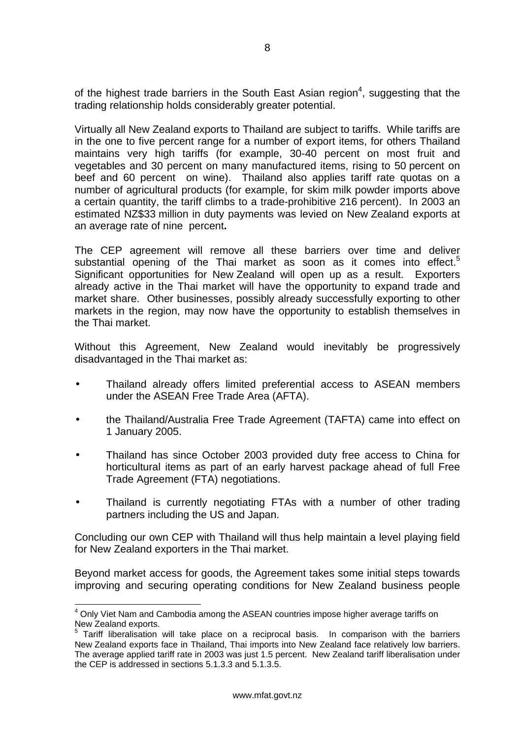of the highest trade barriers in the South East Asian region<sup>[4](#page-10-0)</sup>, suggesting that the trading relationship holds considerably greater potential.

Virtually all New Zealand exports to Thailand are subject to tariffs. While tariffs are in the one to five percent range for a number of export items, for others Thailand maintains very high tariffs (for example, 30-40 percent on most fruit and vegetables and 30 percent on many manufactured items, rising to 50 percent on beef and 60 percent on wine). Thailand also applies tariff rate quotas on a number of agricultural products (for example, for skim milk powder imports above a certain quantity, the tariff climbs to a trade-prohibitive 216 percent). In 2003 an estimated NZ\$33 million in duty payments was levied on New Zealand exports at an average rate of nine percent**.**

The CEP agreement will remove all these barriers over time and deliver substantial opening of the Thai market as soon as it comes into effect.<sup>[5](#page-10-1)</sup> Significant opportunities for New Zealand will open up as a result. Exporters already active in the Thai market will have the opportunity to expand trade and market share. Other businesses, possibly already successfully exporting to other markets in the region, may now have the opportunity to establish themselves in the Thai market.

Without this Agreement, New Zealand would inevitably be progressively disadvantaged in the Thai market as:

- Thailand already offers limited preferential access to ASEAN members under the ASEAN Free Trade Area (AFTA).
- the Thailand/Australia Free Trade Agreement (TAFTA) came into effect on 1 January 2005.
- Thailand has since October 2003 provided duty free access to China for horticultural items as part of an early harvest package ahead of full Free Trade Agreement (FTA) negotiations.
- Thailand is currently negotiating FTAs with a number of other trading partners including the US and Japan.

Concluding our own CEP with Thailand will thus help maintain a level playing field for New Zealand exporters in the Thai market.

Beyond market access for goods, the Agreement takes some initial steps towards improving and securing operating conditions for New Zealand business people

<span id="page-10-0"></span> <sup>4</sup> Only Viet Nam and Cambodia among the ASEAN countries impose higher average tariffs on

<span id="page-10-1"></span>New Zealand exports.<br><sup>5</sup> Tariff liberalisation will take place on a reciprocal basis. In comparison with the barriers New Zealand exports face in Thailand, Thai imports into New Zealand face relatively low barriers. The average applied tariff rate in 2003 was just 1.5 percent. New Zealand tariff liberalisation under the CEP is addressed in sections 5.1.3.3 and 5.1.3.5.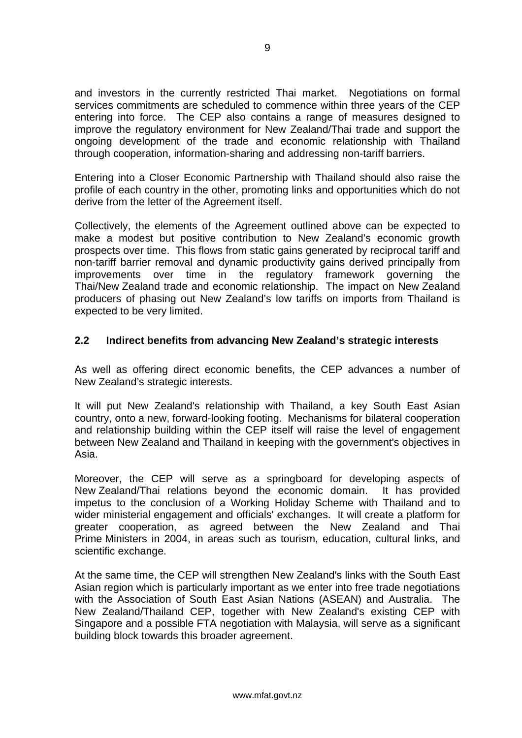<span id="page-11-0"></span>and investors in the currently restricted Thai market. Negotiations on formal services commitments are scheduled to commence within three years of the CEP entering into force. The CEP also contains a range of measures designed to improve the regulatory environment for New Zealand/Thai trade and support the ongoing development of the trade and economic relationship with Thailand through cooperation, information-sharing and addressing non-tariff barriers.

Entering into a Closer Economic Partnership with Thailand should also raise the profile of each country in the other, promoting links and opportunities which do not derive from the letter of the Agreement itself.

Collectively, the elements of the Agreement outlined above can be expected to make a modest but positive contribution to New Zealand's economic growth prospects over time. This flows from static gains generated by reciprocal tariff and non-tariff barrier removal and dynamic productivity gains derived principally from improvements over time in the regulatory framework governing the Thai/New Zealand trade and economic relationship. The impact on New Zealand producers of phasing out New Zealand's low tariffs on imports from Thailand is expected to be very limited.

#### **2.2 Indirect benefits from advancing New Zealand's strategic interests**

As well as offering direct economic benefits, the CEP advances a number of New Zealand's strategic interests.

It will put New Zealand's relationship with Thailand, a key South East Asian country, onto a new, forward-looking footing. Mechanisms for bilateral cooperation and relationship building within the CEP itself will raise the level of engagement between New Zealand and Thailand in keeping with the government's objectives in Asia.

Moreover, the CEP will serve as a springboard for developing aspects of New Zealand/Thai relations beyond the economic domain. It has provided impetus to the conclusion of a Working Holiday Scheme with Thailand and to wider ministerial engagement and officials' exchanges. It will create a platform for greater cooperation, as agreed between the New Zealand and Thai Prime Ministers in 2004, in areas such as tourism, education, cultural links, and scientific exchange.

At the same time, the CEP will strengthen New Zealand's links with the South East Asian region which is particularly important as we enter into free trade negotiations with the Association of South East Asian Nations (ASEAN) and Australia. The New Zealand/Thailand CEP, together with New Zealand's existing CEP with Singapore and a possible FTA negotiation with Malaysia, will serve as a significant building block towards this broader agreement.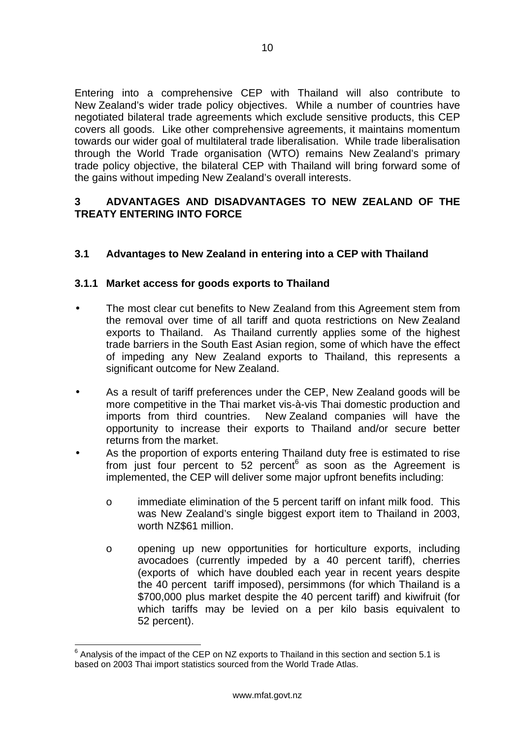<span id="page-12-0"></span>Entering into a comprehensive CEP with Thailand will also contribute to New Zealand's wider trade policy objectives. While a number of countries have negotiated bilateral trade agreements which exclude sensitive products, this CEP covers all goods. Like other comprehensive agreements, it maintains momentum towards our wider goal of multilateral trade liberalisation. While trade liberalisation through the World Trade organisation (WTO) remains New Zealand's primary trade policy objective, the bilateral CEP with Thailand will bring forward some of the gains without impeding New Zealand's overall interests.

#### **3 ADVANTAGES AND DISADVANTAGES TO NEW ZEALAND OF THE TREATY ENTERING INTO FORCE**

### **3.1 Advantages to New Zealand in entering into a CEP with Thailand**

#### **3.1.1 Market access for goods exports to Thailand**

- The most clear cut benefits to New Zealand from this Agreement stem from the removal over time of all tariff and quota restrictions on New Zealand exports to Thailand. As Thailand currently applies some of the highest trade barriers in the South East Asian region, some of which have the effect of impeding any New Zealand exports to Thailand, this represents a significant outcome for New Zealand.
- As a result of tariff preferences under the CEP, New Zealand goods will be more competitive in the Thai market vis-à-vis Thai domestic production and imports from third countries. New Zealand companies will have the opportunity to increase their exports to Thailand and/or secure better returns from the market.
- As the proportion of exports entering Thailand duty free is estimated to rise from just four percent to 52 percent<sup>[6](#page-12-1)</sup> as soon as the Agreement is implemented, the CEP will deliver some major upfront benefits including:
	- o immediate elimination of the 5 percent tariff on infant milk food. This was New Zealand's single biggest export item to Thailand in 2003, worth NZ\$61 million.
	- o opening up new opportunities for horticulture exports, including avocadoes (currently impeded by a 40 percent tariff), cherries (exports of which have doubled each year in recent years despite the 40 percent tariff imposed), persimmons (for which Thailand is a \$700,000 plus market despite the 40 percent tariff) and kiwifruit (for which tariffs may be levied on a per kilo basis equivalent to 52 percent).

<span id="page-12-1"></span><sup>————————————————————&</sup>lt;br><sup>6</sup> Analysis of the impact of the CEP on NZ exports to Thailand in this section and section 5.1 is based on 2003 Thai import statistics sourced from the World Trade Atlas.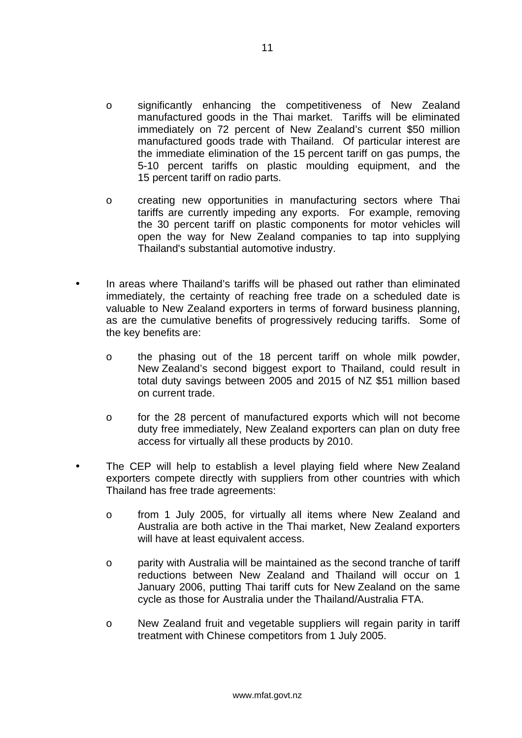- o significantly enhancing the competitiveness of New Zealand manufactured goods in the Thai market. Tariffs will be eliminated immediately on 72 percent of New Zealand's current \$50 million manufactured goods trade with Thailand. Of particular interest are the immediate elimination of the 15 percent tariff on gas pumps, the 5-10 percent tariffs on plastic moulding equipment, and the 15 percent tariff on radio parts.
- o creating new opportunities in manufacturing sectors where Thai tariffs are currently impeding any exports. For example, removing the 30 percent tariff on plastic components for motor vehicles will open the way for New Zealand companies to tap into supplying Thailand's substantial automotive industry.
- In areas where Thailand's tariffs will be phased out rather than eliminated immediately, the certainty of reaching free trade on a scheduled date is valuable to New Zealand exporters in terms of forward business planning, as are the cumulative benefits of progressively reducing tariffs. Some of the key benefits are:
	- o the phasing out of the 18 percent tariff on whole milk powder, New Zealand's second biggest export to Thailand, could result in total duty savings between 2005 and 2015 of NZ \$51 million based on current trade.
	- o for the 28 percent of manufactured exports which will not become duty free immediately, New Zealand exporters can plan on duty free access for virtually all these products by 2010.
- The CEP will help to establish a level playing field where New Zealand exporters compete directly with suppliers from other countries with which Thailand has free trade agreements:
	- o from 1 July 2005, for virtually all items where New Zealand and Australia are both active in the Thai market, New Zealand exporters will have at least equivalent access.
	- o parity with Australia will be maintained as the second tranche of tariff reductions between New Zealand and Thailand will occur on 1 January 2006, putting Thai tariff cuts for New Zealand on the same cycle as those for Australia under the Thailand/Australia FTA.
	- o New Zealand fruit and vegetable suppliers will regain parity in tariff treatment with Chinese competitors from 1 July 2005.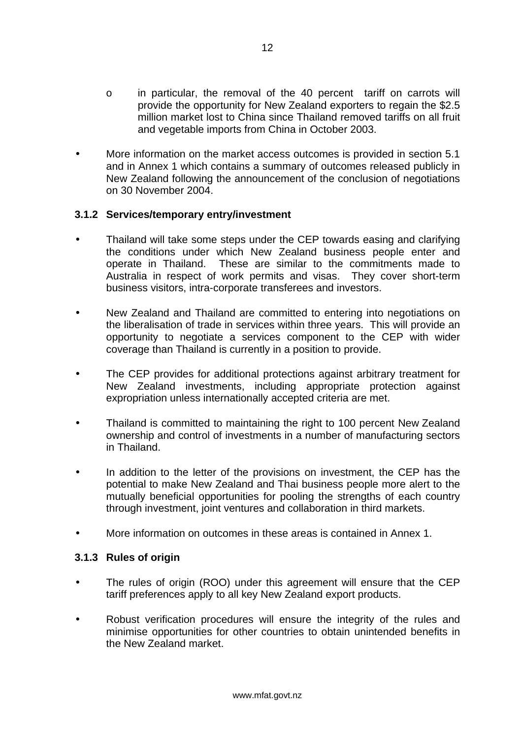- o in particular, the removal of the 40 percent tariff on carrots will provide the opportunity for New Zealand exporters to regain the \$2.5 million market lost to China since Thailand removed tariffs on all fruit and vegetable imports from China in October 2003.
- More information on the market access outcomes is provided in section 5.1 and in Annex 1 which contains a summary of outcomes released publicly in New Zealand following the announcement of the conclusion of negotiations on 30 November 2004.

#### **3.1.2 Services/temporary entry/investment**

- Thailand will take some steps under the CEP towards easing and clarifying the conditions under which New Zealand business people enter and operate in Thailand. These are similar to the commitments made to Australia in respect of work permits and visas. They cover short-term business visitors, intra-corporate transferees and investors.
- New Zealand and Thailand are committed to entering into negotiations on the liberalisation of trade in services within three years. This will provide an opportunity to negotiate a services component to the CEP with wider coverage than Thailand is currently in a position to provide.
- The CEP provides for additional protections against arbitrary treatment for New Zealand investments, including appropriate protection against expropriation unless internationally accepted criteria are met.
- Thailand is committed to maintaining the right to 100 percent New Zealand ownership and control of investments in a number of manufacturing sectors in Thailand.
- In addition to the letter of the provisions on investment, the CEP has the potential to make New Zealand and Thai business people more alert to the mutually beneficial opportunities for pooling the strengths of each country through investment, joint ventures and collaboration in third markets.
- More information on outcomes in these areas is contained in Annex 1.

#### **3.1.3 Rules of origin**

- The rules of origin (ROO) under this agreement will ensure that the CEP tariff preferences apply to all key New Zealand export products.
- Robust verification procedures will ensure the integrity of the rules and minimise opportunities for other countries to obtain unintended benefits in the New Zealand market.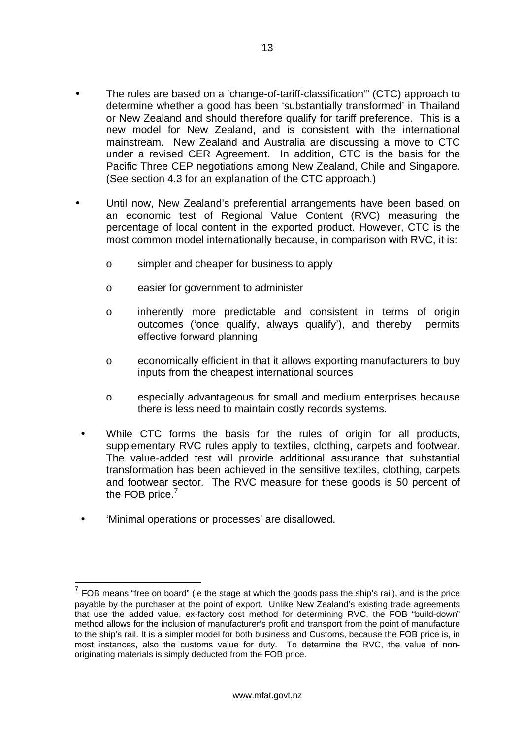- The rules are based on a 'change-of-tariff-classification'" (CTC) approach to determine whether a good has been 'substantially transformed' in Thailand or New Zealand and should therefore qualify for tariff preference. This is a new model for New Zealand, and is consistent with the international mainstream. New Zealand and Australia are discussing a move to CTC under a revised CER Agreement. In addition, CTC is the basis for the Pacific Three CEP negotiations among New Zealand, Chile and Singapore. (See section 4.3 for an explanation of the CTC approach.)
- Until now, New Zealand's preferential arrangements have been based on an economic test of Regional Value Content (RVC) measuring the percentage of local content in the exported product. However, CTC is the most common model internationally because, in comparison with RVC, it is:
	- o simpler and cheaper for business to apply
	- o easier for government to administer
	- o inherently more predictable and consistent in terms of origin outcomes ('once qualify, always qualify'), and thereby permits effective forward planning
	- o economically efficient in that it allows exporting manufacturers to buy inputs from the cheapest international sources
	- o especially advantageous for small and medium enterprises because there is less need to maintain costly records systems.
	- While CTC forms the basis for the rules of origin for all products, supplementary RVC rules apply to textiles, clothing, carpets and footwear. The value-added test will provide additional assurance that substantial transformation has been achieved in the sensitive textiles, clothing, carpets and footwear sector. The RVC measure for these goods is 50 percent of the FOB price. $7$
- 'Minimal operations or processes' are disallowed.

<span id="page-15-0"></span> $<sup>7</sup>$  FOB means "free on board" (ie the stage at which the goods pass the ship's rail), and is the price</sup> payable by the purchaser at the point of export. Unlike New Zealand's existing trade agreements that use the added value, ex-factory cost method for determining RVC, the FOB "build-down" method allows for the inclusion of manufacturer's profit and transport from the point of manufacture to the ship's rail. It is a simpler model for both business and Customs, because the FOB price is, in most instances, also the customs value for duty. To determine the RVC, the value of nonoriginating materials is simply deducted from the FOB price.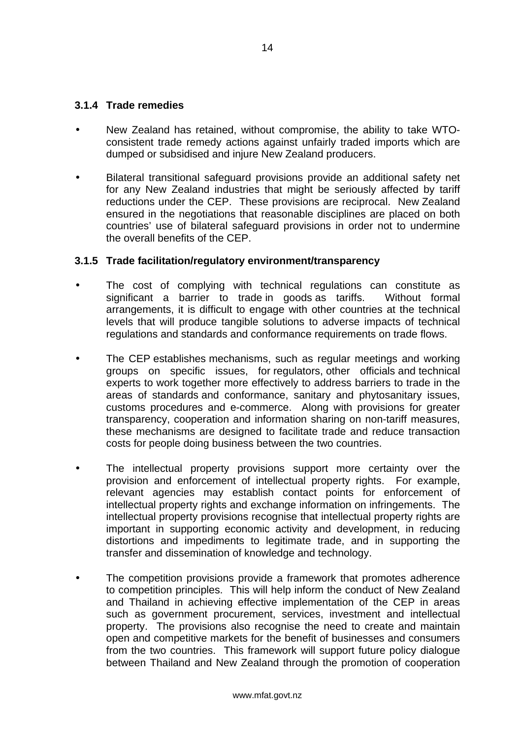#### **3.1.4 Trade remedies**

- New Zealand has retained, without compromise, the ability to take WTOconsistent trade remedy actions against unfairly traded imports which are dumped or subsidised and injure New Zealand producers.
- Bilateral transitional safeguard provisions provide an additional safety net for any New Zealand industries that might be seriously affected by tariff reductions under the CEP. These provisions are reciprocal. New Zealand ensured in the negotiations that reasonable disciplines are placed on both countries' use of bilateral safeguard provisions in order not to undermine the overall benefits of the CEP.

#### **3.1.5 Trade facilitation/regulatory environment/transparency**

- The cost of complying with technical regulations can constitute as significant a barrier to trade in goods as tariffs. Without formal arrangements, it is difficult to engage with other countries at the technical levels that will produce tangible solutions to adverse impacts of technical regulations and standards and conformance requirements on trade flows.
- The CEP establishes mechanisms, such as regular meetings and working groups on specific issues, for regulators, other officials and technical experts to work together more effectively to address barriers to trade in the areas of standards and conformance, sanitary and phytosanitary issues, customs procedures and e-commerce. Along with provisions for greater transparency, cooperation and information sharing on non-tariff measures, these mechanisms are designed to facilitate trade and reduce transaction costs for people doing business between the two countries.
- The intellectual property provisions support more certainty over the provision and enforcement of intellectual property rights. For example, relevant agencies may establish contact points for enforcement of intellectual property rights and exchange information on infringements. The intellectual property provisions recognise that intellectual property rights are important in supporting economic activity and development, in reducing distortions and impediments to legitimate trade, and in supporting the transfer and dissemination of knowledge and technology.
- The competition provisions provide a framework that promotes adherence to competition principles. This will help inform the conduct of New Zealand and Thailand in achieving effective implementation of the CEP in areas such as government procurement, services, investment and intellectual property. The provisions also recognise the need to create and maintain open and competitive markets for the benefit of businesses and consumers from the two countries. This framework will support future policy dialogue between Thailand and New Zealand through the promotion of cooperation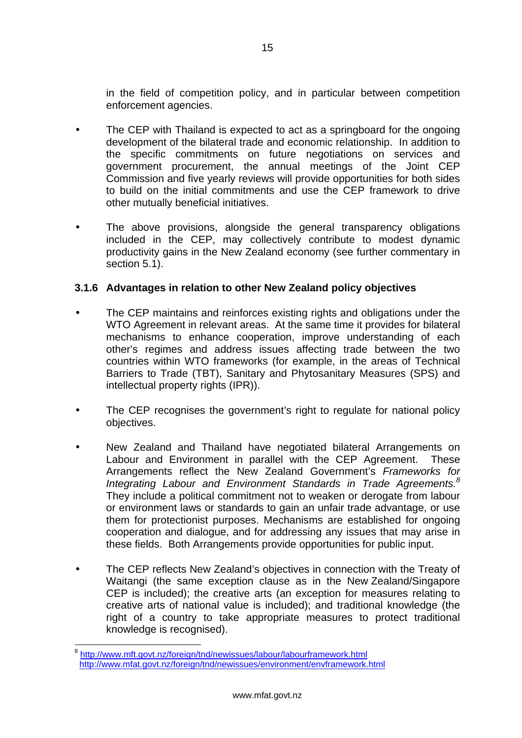in the field of competition policy, and in particular between competition enforcement agencies.

- The CEP with Thailand is expected to act as a springboard for the ongoing development of the bilateral trade and economic relationship. In addition to the specific commitments on future negotiations on services and government procurement, the annual meetings of the Joint CEP Commission and five yearly reviews will provide opportunities for both sides to build on the initial commitments and use the CEP framework to drive other mutually beneficial initiatives.
- The above provisions, alongside the general transparency obligations included in the CEP, may collectively contribute to modest dynamic productivity gains in the New Zealand economy (see further commentary in section 5.1).

### **3.1.6 Advantages in relation to other New Zealand policy objectives**

- The CEP maintains and reinforces existing rights and obligations under the WTO Agreement in relevant areas. At the same time it provides for bilateral mechanisms to enhance cooperation, improve understanding of each other's regimes and address issues affecting trade between the two countries within WTO frameworks (for example, in the areas of Technical Barriers to Trade (TBT), Sanitary and Phytosanitary Measures (SPS) and intellectual property rights (IPR)).
- The CEP recognises the government's right to regulate for national policy objectives.
- New Zealand and Thailand have negotiated bilateral Arrangements on Labour and Environment in parallel with the CEP Agreement. These Arrangements reflect the New Zealand Government's *Frameworks for Integrating Labour and Environment Standards in Trade Agreements.[8](#page-17-0)* They include a political commitment not to weaken or derogate from labour or environment laws or standards to gain an unfair trade advantage, or use them for protectionist purposes. Mechanisms are established for ongoing cooperation and dialogue, and for addressing any issues that may arise in these fields. Both Arrangements provide opportunities for public input.
- The CEP reflects New Zealand's objectives in connection with the Treaty of Waitangi (the same exception clause as in the New Zealand/Singapore CEP is included); the creative arts (an exception for measures relating to creative arts of national value is included); and traditional knowledge (the right of a country to take appropriate measures to protect traditional knowledge is recognised).

<span id="page-17-0"></span> <sup>8</sup> <http://www.mft.govt.nz/foreign/tnd/newissues/labour/labourframework.html> http://www.mfat.govt.nz/foreign/tnd/newissues/environment/envframework.html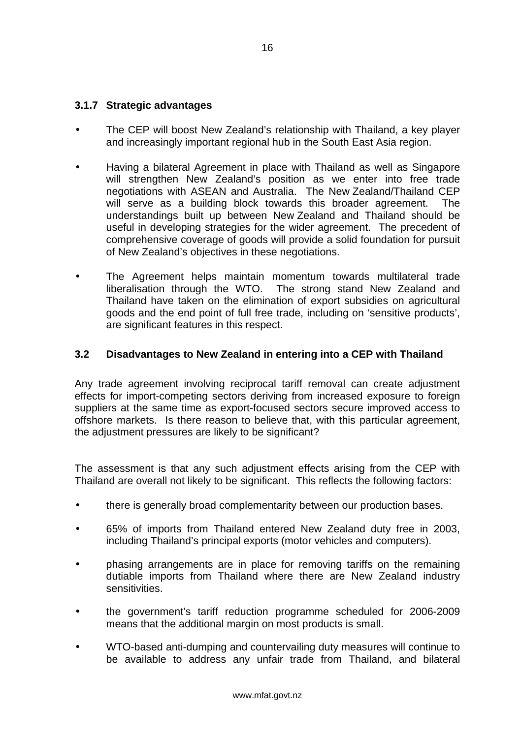#### <span id="page-18-0"></span>**3.1.7 Strategic advantages**

- The CEP will boost New Zealand's relationship with Thailand, a key player and increasingly important regional hub in the South East Asia region.
- Having a bilateral Agreement in place with Thailand as well as Singapore will strengthen New Zealand's position as we enter into free trade negotiations with ASEAN and Australia. The New Zealand/Thailand CEP will serve as a building block towards this broader agreement. The understandings built up between New Zealand and Thailand should be useful in developing strategies for the wider agreement. The precedent of comprehensive coverage of goods will provide a solid foundation for pursuit of New Zealand's objectives in these negotiations.
- The Agreement helps maintain momentum towards multilateral trade liberalisation through the WTO. The strong stand New Zealand and Thailand have taken on the elimination of export subsidies on agricultural goods and the end point of full free trade, including on 'sensitive products', are significant features in this respect.

#### **3.2 Disadvantages to New Zealand in entering into a CEP with Thailand**

Any trade agreement involving reciprocal tariff removal can create adjustment effects for import-competing sectors deriving from increased exposure to foreign suppliers at the same time as export-focused sectors secure improved access to offshore markets. Is there reason to believe that, with this particular agreement, the adjustment pressures are likely to be significant?

The assessment is that any such adjustment effects arising from the CEP with Thailand are overall not likely to be significant. This reflects the following factors:

- there is generally broad complementarity between our production bases.
- 65% of imports from Thailand entered New Zealand duty free in 2003, including Thailand's principal exports (motor vehicles and computers).
- phasing arrangements are in place for removing tariffs on the remaining dutiable imports from Thailand where there are New Zealand industry sensitivities.
- the government's tariff reduction programme scheduled for 2006-2009 means that the additional margin on most products is small.
- WTO-based anti-dumping and countervailing duty measures will continue to be available to address any unfair trade from Thailand, and bilateral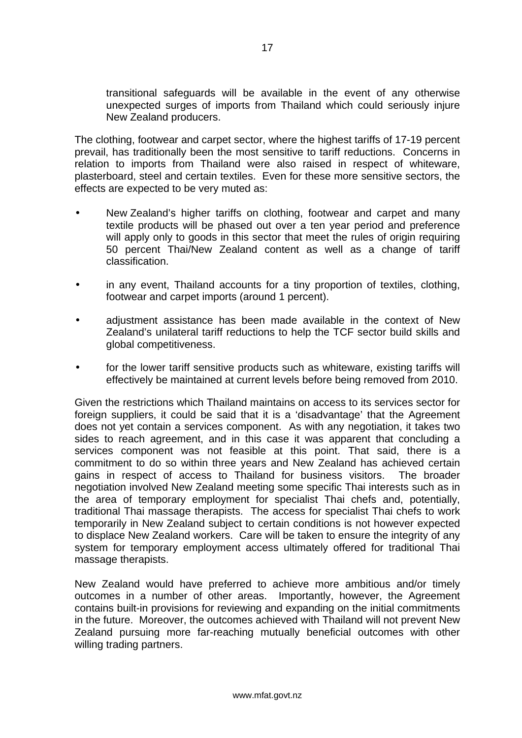transitional safeguards will be available in the event of any otherwise unexpected surges of imports from Thailand which could seriously injure New Zealand producers.

The clothing, footwear and carpet sector, where the highest tariffs of 17-19 percent prevail, has traditionally been the most sensitive to tariff reductions. Concerns in relation to imports from Thailand were also raised in respect of whiteware, plasterboard, steel and certain textiles. Even for these more sensitive sectors, the effects are expected to be very muted as:

- New Zealand's higher tariffs on clothing, footwear and carpet and many textile products will be phased out over a ten year period and preference will apply only to goods in this sector that meet the rules of origin requiring 50 percent Thai/New Zealand content as well as a change of tariff classification.
- in any event, Thailand accounts for a tiny proportion of textiles, clothing, footwear and carpet imports (around 1 percent).
- adjustment assistance has been made available in the context of New Zealand's unilateral tariff reductions to help the TCF sector build skills and global competitiveness.
- for the lower tariff sensitive products such as whiteware, existing tariffs will effectively be maintained at current levels before being removed from 2010.

Given the restrictions which Thailand maintains on access to its services sector for foreign suppliers, it could be said that it is a 'disadvantage' that the Agreement does not yet contain a services component. As with any negotiation, it takes two sides to reach agreement, and in this case it was apparent that concluding a services component was not feasible at this point. That said, there is a commitment to do so within three years and New Zealand has achieved certain gains in respect of access to Thailand for business visitors. The broader negotiation involved New Zealand meeting some specific Thai interests such as in the area of temporary employment for specialist Thai chefs and, potentially, traditional Thai massage therapists. The access for specialist Thai chefs to work temporarily in New Zealand subject to certain conditions is not however expected to displace New Zealand workers. Care will be taken to ensure the integrity of any system for temporary employment access ultimately offered for traditional Thai massage therapists.

New Zealand would have preferred to achieve more ambitious and/or timely outcomes in a number of other areas. Importantly, however, the Agreement contains built-in provisions for reviewing and expanding on the initial commitments in the future. Moreover, the outcomes achieved with Thailand will not prevent New Zealand pursuing more far-reaching mutually beneficial outcomes with other willing trading partners.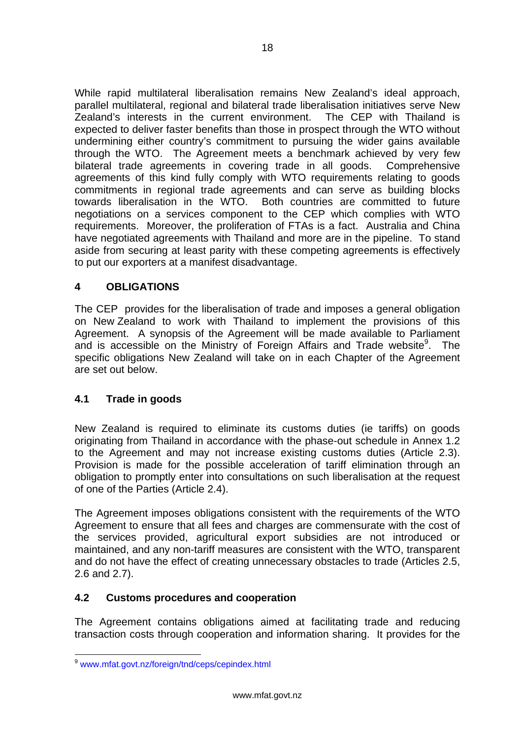<span id="page-20-0"></span>While rapid multilateral liberalisation remains New Zealand's ideal approach, parallel multilateral, regional and bilateral trade liberalisation initiatives serve New Zealand's interests in the current environment. The CEP with Thailand is expected to deliver faster benefits than those in prospect through the WTO without undermining either country's commitment to pursuing the wider gains available through the WTO. The Agreement meets a benchmark achieved by very few bilateral trade agreements in covering trade in all goods. Comprehensive agreements of this kind fully comply with WTO requirements relating to goods commitments in regional trade agreements and can serve as building blocks towards liberalisation in the WTO. Both countries are committed to future negotiations on a services component to the CEP which complies with WTO requirements. Moreover, the proliferation of FTAs is a fact. Australia and China have negotiated agreements with Thailand and more are in the pipeline. To stand aside from securing at least parity with these competing agreements is effectively to put our exporters at a manifest disadvantage.

### **4 OBLIGATIONS**

The CEP provides for the liberalisation of trade and imposes a general obligation on New Zealand to work with Thailand to implement the provisions of this Agreement. A synopsis of the Agreement will be made available to Parliament and is accessible on the Ministry of Foreign Affairs and Trade website $9$ . The specific obligations New Zealand will take on in each Chapter of the Agreement are set out below.

### **4.1 Trade in goods**

New Zealand is required to eliminate its customs duties (ie tariffs) on goods originating from Thailand in accordance with the phase-out schedule in Annex 1.2 to the Agreement and may not increase existing customs duties (Article 2.3). Provision is made for the possible acceleration of tariff elimination through an obligation to promptly enter into consultations on such liberalisation at the request of one of the Parties (Article 2.4).

The Agreement imposes obligations consistent with the requirements of the WTO Agreement to ensure that all fees and charges are commensurate with the cost of the services provided, agricultural export subsidies are not introduced or maintained, and any non-tariff measures are consistent with the WTO, transparent and do not have the effect of creating unnecessary obstacles to trade (Articles 2.5, 2.6 and 2.7).

### **4.2 Customs procedures and cooperation**

The Agreement contains obligations aimed at facilitating trade and reducing transaction costs through cooperation and information sharing. It provides for the

<span id="page-20-1"></span> <sup>9</sup> www.mfat.govt.nz/foreign/tnd/ceps/cepindex.html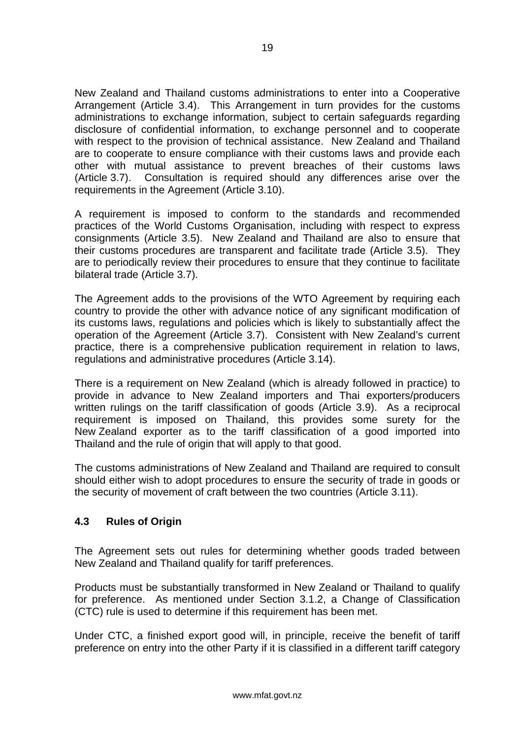<span id="page-21-0"></span>New Zealand and Thailand customs administrations to enter into a Cooperative Arrangement (Article 3.4). This Arrangement in turn provides for the customs administrations to exchange information, subject to certain safeguards regarding disclosure of confidential information, to exchange personnel and to cooperate with respect to the provision of technical assistance. New Zealand and Thailand are to cooperate to ensure compliance with their customs laws and provide each other with mutual assistance to prevent breaches of their customs laws (Article 3.7). Consultation is required should any differences arise over the requirements in the Agreement (Article 3.10).

A requirement is imposed to conform to the standards and recommended practices of the World Customs Organisation, including with respect to express consignments (Article 3.5). New Zealand and Thailand are also to ensure that their customs procedures are transparent and facilitate trade (Article 3.5). They are to periodically review their procedures to ensure that they continue to facilitate bilateral trade (Article 3.7).

The Agreement adds to the provisions of the WTO Agreement by requiring each country to provide the other with advance notice of any significant modification of its customs laws, regulations and policies which is likely to substantially affect the operation of the Agreement (Article 3.7). Consistent with New Zealand's current practice, there is a comprehensive publication requirement in relation to laws, regulations and administrative procedures (Article 3.14).

There is a requirement on New Zealand (which is already followed in practice) to provide in advance to New Zealand importers and Thai exporters/producers written rulings on the tariff classification of goods (Article 3.9). As a reciprocal requirement is imposed on Thailand, this provides some surety for the New Zealand exporter as to the tariff classification of a good imported into Thailand and the rule of origin that will apply to that good.

The customs administrations of New Zealand and Thailand are required to consult should either wish to adopt procedures to ensure the security of trade in goods or the security of movement of craft between the two countries (Article 3.11).

### **4.3 Rules of Origin**

The Agreement sets out rules for determining whether goods traded between New Zealand and Thailand qualify for tariff preferences.

Products must be substantially transformed in New Zealand or Thailand to qualify for preference. As mentioned under Section 3.1.2, a Change of Classification (CTC) rule is used to determine if this requirement has been met.

Under CTC, a finished export good will, in principle, receive the benefit of tariff preference on entry into the other Party if it is classified in a different tariff category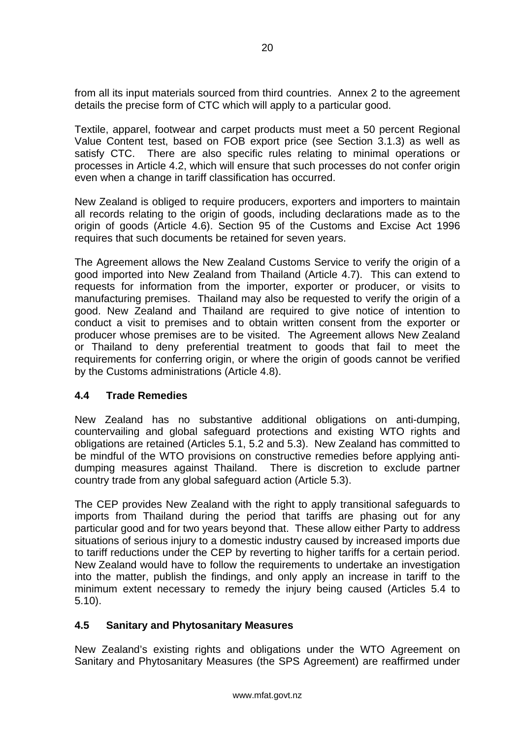<span id="page-22-0"></span>from all its input materials sourced from third countries. Annex 2 to the agreement details the precise form of CTC which will apply to a particular good.

Textile, apparel, footwear and carpet products must meet a 50 percent Regional Value Content test, based on FOB export price (see Section 3.1.3) as well as satisfy CTC. There are also specific rules relating to minimal operations or processes in Article 4.2, which will ensure that such processes do not confer origin even when a change in tariff classification has occurred.

New Zealand is obliged to require producers, exporters and importers to maintain all records relating to the origin of goods, including declarations made as to the origin of goods (Article 4.6). Section 95 of the Customs and Excise Act 1996 requires that such documents be retained for seven years.

The Agreement allows the New Zealand Customs Service to verify the origin of a good imported into New Zealand from Thailand (Article 4.7). This can extend to requests for information from the importer, exporter or producer, or visits to manufacturing premises. Thailand may also be requested to verify the origin of a good. New Zealand and Thailand are required to give notice of intention to conduct a visit to premises and to obtain written consent from the exporter or producer whose premises are to be visited. The Agreement allows New Zealand or Thailand to deny preferential treatment to goods that fail to meet the requirements for conferring origin, or where the origin of goods cannot be verified by the Customs administrations (Article 4.8).

### **4.4 Trade Remedies**

New Zealand has no substantive additional obligations on anti-dumping, countervailing and global safeguard protections and existing WTO rights and obligations are retained (Articles 5.1, 5.2 and 5.3). New Zealand has committed to be mindful of the WTO provisions on constructive remedies before applying antidumping measures against Thailand. There is discretion to exclude partner country trade from any global safeguard action (Article 5.3).

The CEP provides New Zealand with the right to apply transitional safeguards to imports from Thailand during the period that tariffs are phasing out for any particular good and for two years beyond that. These allow either Party to address situations of serious injury to a domestic industry caused by increased imports due to tariff reductions under the CEP by reverting to higher tariffs for a certain period. New Zealand would have to follow the requirements to undertake an investigation into the matter, publish the findings, and only apply an increase in tariff to the minimum extent necessary to remedy the injury being caused (Articles 5.4 to 5.10).

#### **4.5 Sanitary and Phytosanitary Measures**

New Zealand's existing rights and obligations under the WTO Agreement on Sanitary and Phytosanitary Measures (the SPS Agreement) are reaffirmed under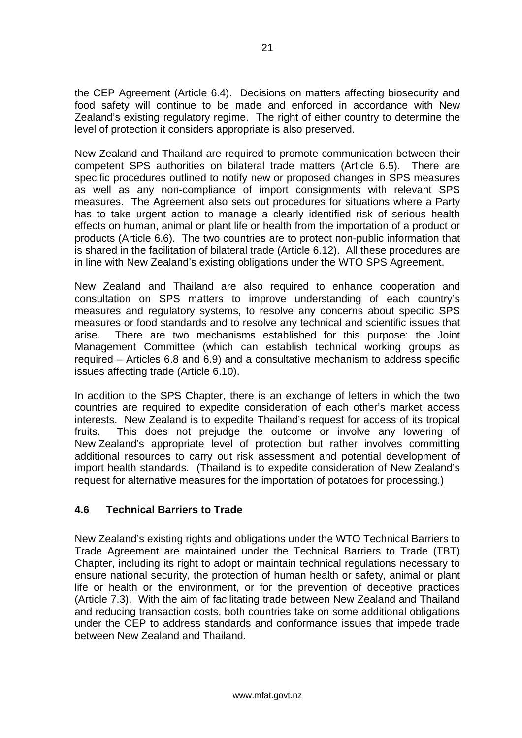<span id="page-23-0"></span>the CEP Agreement (Article 6.4). Decisions on matters affecting biosecurity and food safety will continue to be made and enforced in accordance with New Zealand's existing regulatory regime. The right of either country to determine the level of protection it considers appropriate is also preserved.

New Zealand and Thailand are required to promote communication between their competent SPS authorities on bilateral trade matters (Article 6.5). There are specific procedures outlined to notify new or proposed changes in SPS measures as well as any non-compliance of import consignments with relevant SPS measures. The Agreement also sets out procedures for situations where a Party has to take urgent action to manage a clearly identified risk of serious health effects on human, animal or plant life or health from the importation of a product or products (Article 6.6). The two countries are to protect non-public information that is shared in the facilitation of bilateral trade (Article 6.12). All these procedures are in line with New Zealand's existing obligations under the WTO SPS Agreement.

New Zealand and Thailand are also required to enhance cooperation and consultation on SPS matters to improve understanding of each country's measures and regulatory systems, to resolve any concerns about specific SPS measures or food standards and to resolve any technical and scientific issues that arise. There are two mechanisms established for this purpose: the Joint Management Committee (which can establish technical working groups as required – Articles 6.8 and 6.9) and a consultative mechanism to address specific issues affecting trade (Article 6.10).

In addition to the SPS Chapter, there is an exchange of letters in which the two countries are required to expedite consideration of each other's market access interests. New Zealand is to expedite Thailand's request for access of its tropical fruits. This does not prejudge the outcome or involve any lowering of New Zealand's appropriate level of protection but rather involves committing additional resources to carry out risk assessment and potential development of import health standards. (Thailand is to expedite consideration of New Zealand's request for alternative measures for the importation of potatoes for processing.)

### **4.6 Technical Barriers to Trade**

New Zealand's existing rights and obligations under the WTO Technical Barriers to Trade Agreement are maintained under the Technical Barriers to Trade (TBT) Chapter, including its right to adopt or maintain technical regulations necessary to ensure national security, the protection of human health or safety, animal or plant life or health or the environment, or for the prevention of deceptive practices (Article 7.3). With the aim of facilitating trade between New Zealand and Thailand and reducing transaction costs, both countries take on some additional obligations under the CEP to address standards and conformance issues that impede trade between New Zealand and Thailand.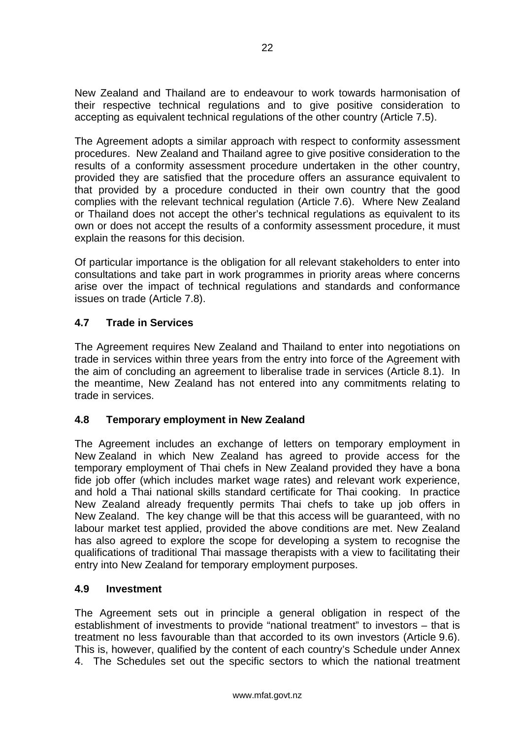<span id="page-24-0"></span>New Zealand and Thailand are to endeavour to work towards harmonisation of their respective technical regulations and to give positive consideration to accepting as equivalent technical regulations of the other country (Article 7.5).

The Agreement adopts a similar approach with respect to conformity assessment procedures. New Zealand and Thailand agree to give positive consideration to the results of a conformity assessment procedure undertaken in the other country, provided they are satisfied that the procedure offers an assurance equivalent to that provided by a procedure conducted in their own country that the good complies with the relevant technical regulation (Article 7.6). Where New Zealand or Thailand does not accept the other's technical regulations as equivalent to its own or does not accept the results of a conformity assessment procedure, it must explain the reasons for this decision.

Of particular importance is the obligation for all relevant stakeholders to enter into consultations and take part in work programmes in priority areas where concerns arise over the impact of technical regulations and standards and conformance issues on trade (Article 7.8).

### **4.7 Trade in Services**

The Agreement requires New Zealand and Thailand to enter into negotiations on trade in services within three years from the entry into force of the Agreement with the aim of concluding an agreement to liberalise trade in services (Article 8.1). In the meantime, New Zealand has not entered into any commitments relating to trade in services.

### **4.8 Temporary employment in New Zealand**

The Agreement includes an exchange of letters on temporary employment in New Zealand in which New Zealand has agreed to provide access for the temporary employment of Thai chefs in New Zealand provided they have a bona fide job offer (which includes market wage rates) and relevant work experience, and hold a Thai national skills standard certificate for Thai cooking. In practice New Zealand already frequently permits Thai chefs to take up job offers in New Zealand. The key change will be that this access will be guaranteed, with no labour market test applied, provided the above conditions are met. New Zealand has also agreed to explore the scope for developing a system to recognise the qualifications of traditional Thai massage therapists with a view to facilitating their entry into New Zealand for temporary employment purposes.

### **4.9 Investment**

The Agreement sets out in principle a general obligation in respect of the establishment of investments to provide "national treatment" to investors – that is treatment no less favourable than that accorded to its own investors (Article 9.6). This is, however, qualified by the content of each country's Schedule under Annex 4. The Schedules set out the specific sectors to which the national treatment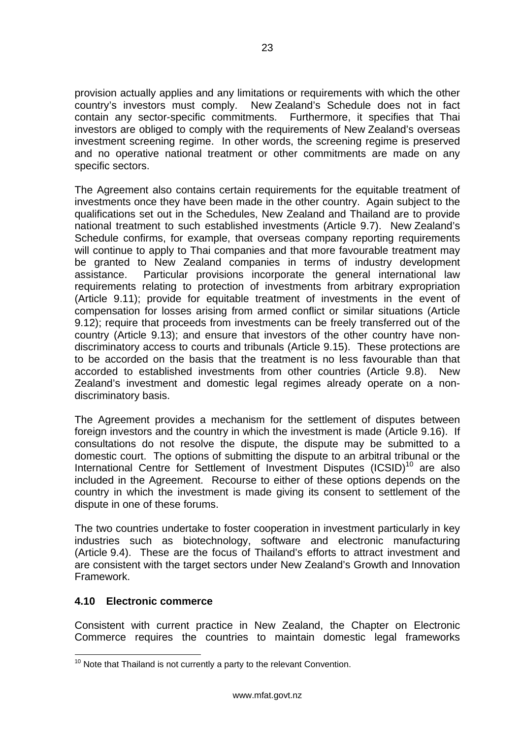<span id="page-25-0"></span>provision actually applies and any limitations or requirements with which the other country's investors must comply. New Zealand's Schedule does not in fact contain any sector-specific commitments. Furthermore, it specifies that Thai investors are obliged to comply with the requirements of New Zealand's overseas investment screening regime. In other words, the screening regime is preserved and no operative national treatment or other commitments are made on any specific sectors.

The Agreement also contains certain requirements for the equitable treatment of investments once they have been made in the other country. Again subject to the qualifications set out in the Schedules, New Zealand and Thailand are to provide national treatment to such established investments (Article 9.7). New Zealand's Schedule confirms, for example, that overseas company reporting requirements will continue to apply to Thai companies and that more favourable treatment may be granted to New Zealand companies in terms of industry development assistance. Particular provisions incorporate the general international law requirements relating to protection of investments from arbitrary expropriation (Article 9.11); provide for equitable treatment of investments in the event of compensation for losses arising from armed conflict or similar situations (Article 9.12); require that proceeds from investments can be freely transferred out of the country (Article 9.13); and ensure that investors of the other country have nondiscriminatory access to courts and tribunals (Article 9.15). These protections are to be accorded on the basis that the treatment is no less favourable than that accorded to established investments from other countries (Article 9.8). New Zealand's investment and domestic legal regimes already operate on a nondiscriminatory basis.

The Agreement provides a mechanism for the settlement of disputes between foreign investors and the country in which the investment is made (Article 9.16). If consultations do not resolve the dispute, the dispute may be submitted to a domestic court. The options of submitting the dispute to an arbitral tribunal or the International Centre for Settlement of Investment Disputes  $(ICSID)^{10}$  are also included in the Agreement. Recourse to either of these options depends on the country in which the investment is made giving its consent to settlement of the dispute in one of these forums.

The two countries undertake to foster cooperation in investment particularly in key industries such as biotechnology, software and electronic manufacturing (Article 9.4). These are the focus of Thailand's efforts to attract investment and are consistent with the target sectors under New Zealand's Growth and Innovation Framework.

#### **4.10 Electronic commerce**

Consistent with current practice in New Zealand, the Chapter on Electronic Commerce requires the countries to maintain domestic legal frameworks

<span id="page-25-1"></span> $10$  Note that Thailand is not currently a party to the relevant Convention.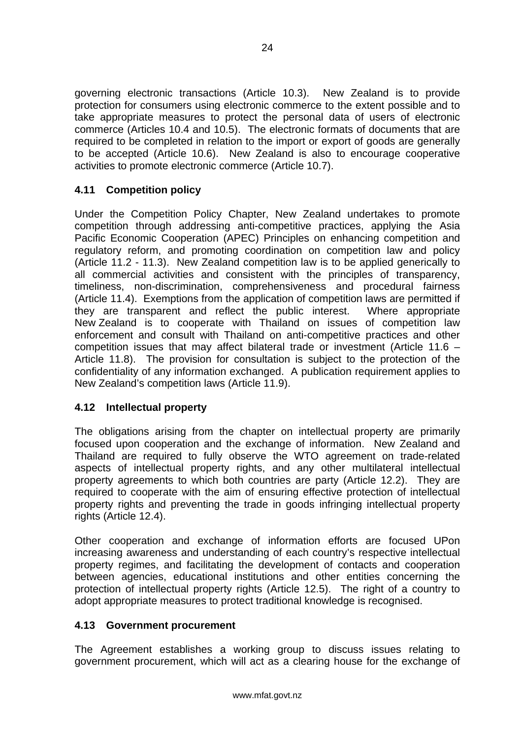<span id="page-26-0"></span>governing electronic transactions (Article 10.3). New Zealand is to provide protection for consumers using electronic commerce to the extent possible and to take appropriate measures to protect the personal data of users of electronic commerce (Articles 10.4 and 10.5). The electronic formats of documents that are required to be completed in relation to the import or export of goods are generally to be accepted (Article 10.6). New Zealand is also to encourage cooperative activities to promote electronic commerce (Article 10.7).

### **4.11 Competition policy**

Under the Competition Policy Chapter, New Zealand undertakes to promote competition through addressing anti-competitive practices, applying the Asia Pacific Economic Cooperation (APEC) Principles on enhancing competition and regulatory reform, and promoting coordination on competition law and policy (Article 11.2 - 11.3). New Zealand competition law is to be applied generically to all commercial activities and consistent with the principles of transparency, timeliness, non-discrimination, comprehensiveness and procedural fairness (Article 11.4). Exemptions from the application of competition laws are permitted if they are transparent and reflect the public interest. Where appropriate New Zealand is to cooperate with Thailand on issues of competition law enforcement and consult with Thailand on anti-competitive practices and other competition issues that may affect bilateral trade or investment (Article 11.6 – Article 11.8). The provision for consultation is subject to the protection of the confidentiality of any information exchanged. A publication requirement applies to New Zealand's competition laws (Article 11.9).

### **4.12 Intellectual property**

The obligations arising from the chapter on intellectual property are primarily focused upon cooperation and the exchange of information. New Zealand and Thailand are required to fully observe the WTO agreement on trade-related aspects of intellectual property rights, and any other multilateral intellectual property agreements to which both countries are party (Article 12.2). They are required to cooperate with the aim of ensuring effective protection of intellectual property rights and preventing the trade in goods infringing intellectual property rights (Article 12.4).

Other cooperation and exchange of information efforts are focused UPon increasing awareness and understanding of each country's respective intellectual property regimes, and facilitating the development of contacts and cooperation between agencies, educational institutions and other entities concerning the protection of intellectual property rights (Article 12.5). The right of a country to adopt appropriate measures to protect traditional knowledge is recognised.

### **4.13 Government procurement**

The Agreement establishes a working group to discuss issues relating to government procurement, which will act as a clearing house for the exchange of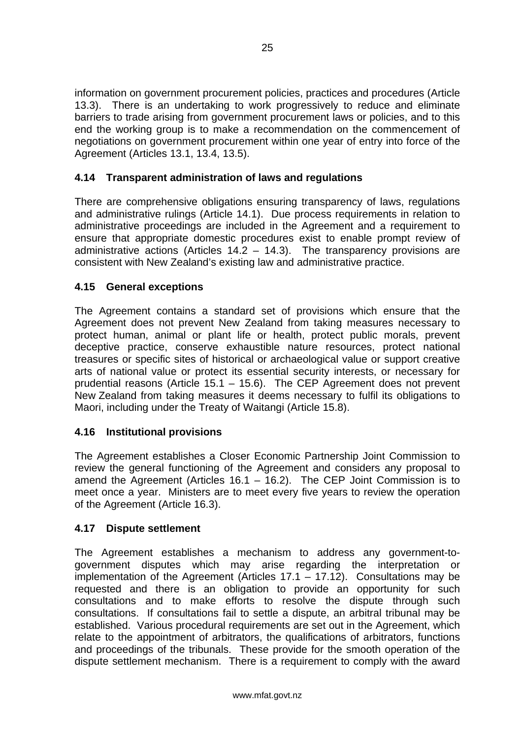<span id="page-27-0"></span>information on government procurement policies, practices and procedures (Article 13.3). There is an undertaking to work progressively to reduce and eliminate barriers to trade arising from government procurement laws or policies, and to this end the working group is to make a recommendation on the commencement of negotiations on government procurement within one year of entry into force of the Agreement (Articles 13.1, 13.4, 13.5).

### **4.14 Transparent administration of laws and regulations**

There are comprehensive obligations ensuring transparency of laws, regulations and administrative rulings (Article 14.1). Due process requirements in relation to administrative proceedings are included in the Agreement and a requirement to ensure that appropriate domestic procedures exist to enable prompt review of administrative actions (Articles 14.2 – 14.3). The transparency provisions are consistent with New Zealand's existing law and administrative practice.

### **4.15 General exceptions**

The Agreement contains a standard set of provisions which ensure that the Agreement does not prevent New Zealand from taking measures necessary to protect human, animal or plant life or health, protect public morals, prevent deceptive practice, conserve exhaustible nature resources, protect national treasures or specific sites of historical or archaeological value or support creative arts of national value or protect its essential security interests, or necessary for prudential reasons (Article 15.1 – 15.6). The CEP Agreement does not prevent New Zealand from taking measures it deems necessary to fulfil its obligations to Maori, including under the Treaty of Waitangi (Article 15.8).

### **4.16 Institutional provisions**

The Agreement establishes a Closer Economic Partnership Joint Commission to review the general functioning of the Agreement and considers any proposal to amend the Agreement (Articles 16.1 – 16.2). The CEP Joint Commission is to meet once a year. Ministers are to meet every five years to review the operation of the Agreement (Article 16.3).

#### **4.17 Dispute settlement**

The Agreement establishes a mechanism to address any government-togovernment disputes which may arise regarding the interpretation or implementation of the Agreement (Articles  $17.1 - 17.12$ ). Consultations may be requested and there is an obligation to provide an opportunity for such consultations and to make efforts to resolve the dispute through such consultations. If consultations fail to settle a dispute, an arbitral tribunal may be established. Various procedural requirements are set out in the Agreement, which relate to the appointment of arbitrators, the qualifications of arbitrators, functions and proceedings of the tribunals. These provide for the smooth operation of the dispute settlement mechanism. There is a requirement to comply with the award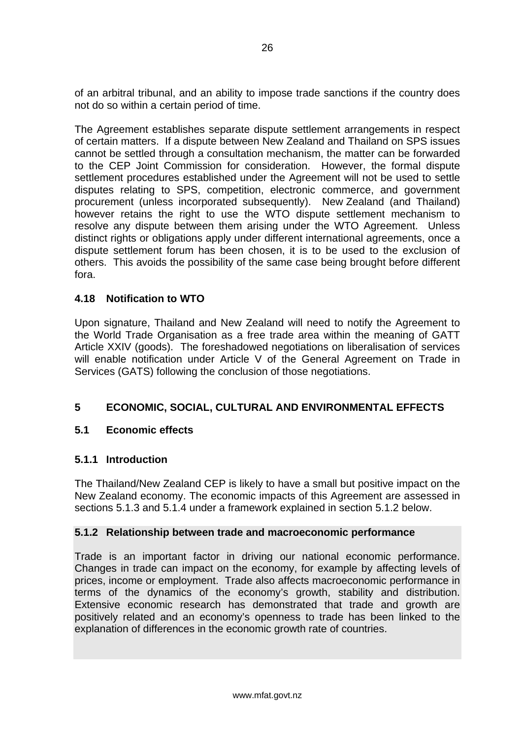<span id="page-28-0"></span>of an arbitral tribunal, and an ability to impose trade sanctions if the country does not do so within a certain period of time.

The Agreement establishes separate dispute settlement arrangements in respect of certain matters. If a dispute between New Zealand and Thailand on SPS issues cannot be settled through a consultation mechanism, the matter can be forwarded to the CEP Joint Commission for consideration. However, the formal dispute settlement procedures established under the Agreement will not be used to settle disputes relating to SPS, competition, electronic commerce, and government procurement (unless incorporated subsequently). New Zealand (and Thailand) however retains the right to use the WTO dispute settlement mechanism to resolve any dispute between them arising under the WTO Agreement. Unless distinct rights or obligations apply under different international agreements, once a dispute settlement forum has been chosen, it is to be used to the exclusion of others. This avoids the possibility of the same case being brought before different fora.

### **4.18 Notification to WTO**

Upon signature, Thailand and New Zealand will need to notify the Agreement to the World Trade Organisation as a free trade area within the meaning of GATT Article XXIV (goods). The foreshadowed negotiations on liberalisation of services will enable notification under Article V of the General Agreement on Trade in Services (GATS) following the conclusion of those negotiations.

### **5 ECONOMIC, SOCIAL, CULTURAL AND ENVIRONMENTAL EFFECTS**

#### **5.1 Economic effects**

#### **5.1.1 Introduction**

The Thailand/New Zealand CEP is likely to have a small but positive impact on the New Zealand economy. The economic impacts of this Agreement are assessed in sections 5.1.3 and 5.1.4 under a framework explained in section 5.1.2 below.

#### **5.1.2 Relationship between trade and macroeconomic performance**

Trade is an important factor in driving our national economic performance. Changes in trade can impact on the economy, for example by affecting levels of prices, income or employment. Trade also affects macroeconomic performance in terms of the dynamics of the economy's growth, stability and distribution. Extensive economic research has demonstrated that trade and growth are positively related and an economy's openness to trade has been linked to the explanation of differences in the economic growth rate of countries.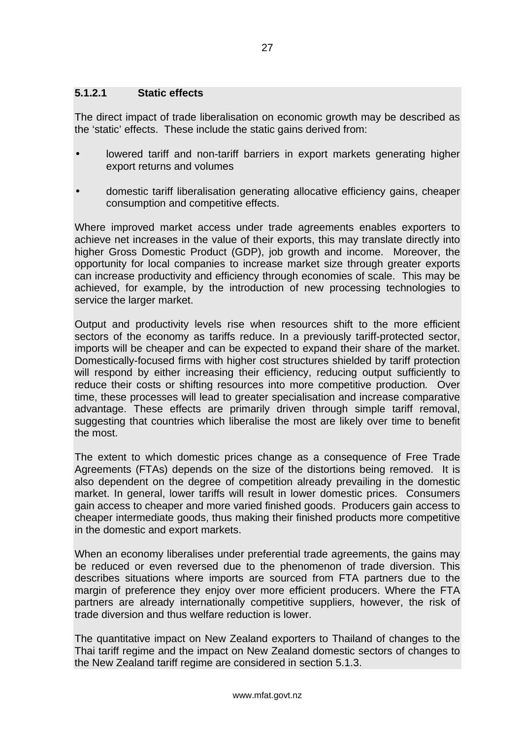#### **5.1.2.1 Static effects**

The direct impact of trade liberalisation on economic growth may be described as the 'static' effects. These include the static gains derived from:

- lowered tariff and non-tariff barriers in export markets generating higher export returns and volumes
- domestic tariff liberalisation generating allocative efficiency gains, cheaper consumption and competitive effects.

Where improved market access under trade agreements enables exporters to achieve net increases in the value of their exports, this may translate directly into higher Gross Domestic Product (GDP), job growth and income. Moreover, the opportunity for local companies to increase market size through greater exports can increase productivity and efficiency through economies of scale. This may be achieved, for example, by the introduction of new processing technologies to service the larger market.

Output and productivity levels rise when resources shift to the more efficient sectors of the economy as tariffs reduce. In a previously tariff-protected sector, imports will be cheaper and can be expected to expand their share of the market. Domestically-focused firms with higher cost structures shielded by tariff protection will respond by either increasing their efficiency, reducing output sufficiently to reduce their costs or shifting resources into more competitive production*.* Over time, these processes will lead to greater specialisation and increase comparative advantage. These effects are primarily driven through simple tariff removal, suggesting that countries which liberalise the most are likely over time to benefit the most.

The extent to which domestic prices change as a consequence of Free Trade Agreements (FTAs) depends on the size of the distortions being removed. It is also dependent on the degree of competition already prevailing in the domestic market. In general, lower tariffs will result in lower domestic prices. Consumers gain access to cheaper and more varied finished goods. Producers gain access to cheaper intermediate goods, thus making their finished products more competitive in the domestic and export markets.

When an economy liberalises under preferential trade agreements, the gains may be reduced or even reversed due to the phenomenon of trade diversion. This describes situations where imports are sourced from FTA partners due to the margin of preference they enjoy over more efficient producers. Where the FTA partners are already internationally competitive suppliers, however, the risk of trade diversion and thus welfare reduction is lower.

The quantitative impact on New Zealand exporters to Thailand of changes to the Thai tariff regime and the impact on New Zealand domestic sectors of changes to the New Zealand tariff regime are considered in section 5.1.3.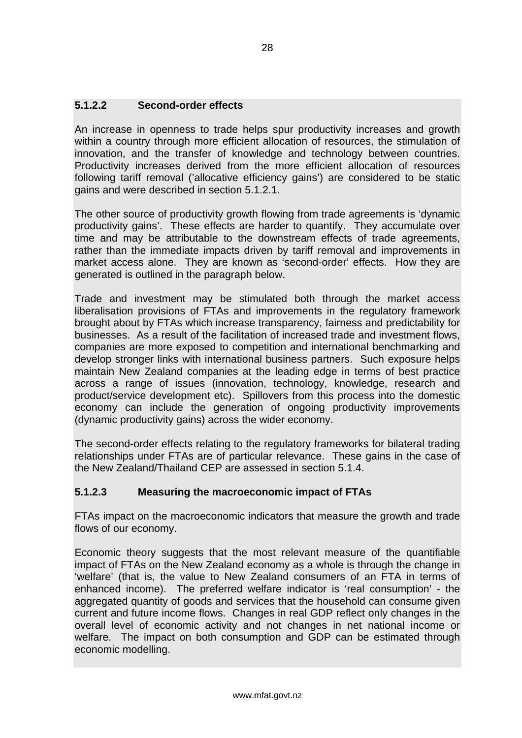### **5.1.2.2 Second-order effects**

An increase in openness to trade helps spur productivity increases and growth within a country through more efficient allocation of resources, the stimulation of innovation, and the transfer of knowledge and technology between countries. Productivity increases derived from the more efficient allocation of resources following tariff removal ('allocative efficiency gains') are considered to be static gains and were described in section 5.1.2.1.

The other source of productivity growth flowing from trade agreements is 'dynamic productivity gains'. These effects are harder to quantify. They accumulate over time and may be attributable to the downstream effects of trade agreements, rather than the immediate impacts driven by tariff removal and improvements in market access alone. They are known as 'second-order' effects. How they are generated is outlined in the paragraph below.

Trade and investment may be stimulated both through the market access liberalisation provisions of FTAs and improvements in the regulatory framework brought about by FTAs which increase transparency, fairness and predictability for businesses. As a result of the facilitation of increased trade and investment flows, companies are more exposed to competition and international benchmarking and develop stronger links with international business partners. Such exposure helps maintain New Zealand companies at the leading edge in terms of best practice across a range of issues (innovation, technology, knowledge, research and product/service development etc). Spillovers from this process into the domestic economy can include the generation of ongoing productivity improvements (dynamic productivity gains) across the wider economy.

The second-order effects relating to the regulatory frameworks for bilateral trading relationships under FTAs are of particular relevance. These gains in the case of the New Zealand/Thailand CEP are assessed in section 5.1.4.

### **5.1.2.3 Measuring the macroeconomic impact of FTAs**

FTAs impact on the macroeconomic indicators that measure the growth and trade flows of our economy.

Economic theory suggests that the most relevant measure of the quantifiable impact of FTAs on the New Zealand economy as a whole is through the change in 'welfare' (that is, the value to New Zealand consumers of an FTA in terms of enhanced income). The preferred welfare indicator is 'real consumption' - the aggregated quantity of goods and services that the household can consume given current and future income flows. Changes in real GDP reflect only changes in the overall level of economic activity and not changes in net national income or welfare. The impact on both consumption and GDP can be estimated through economic modelling.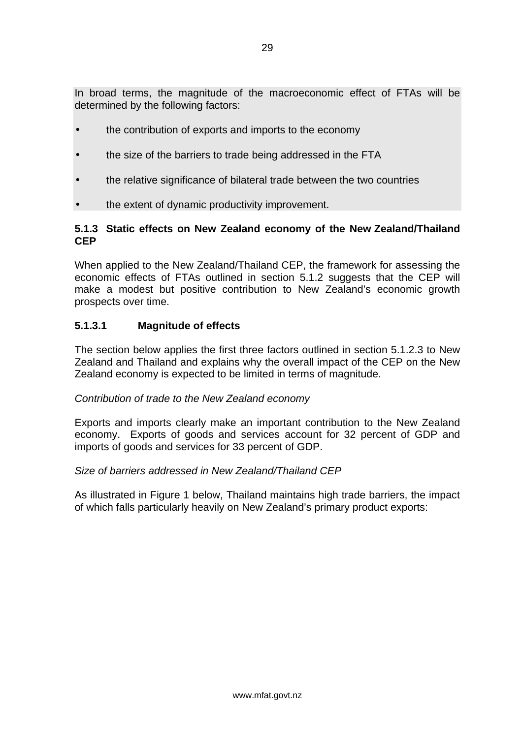In broad terms, the magnitude of the macroeconomic effect of FTAs will be determined by the following factors:

- the contribution of exports and imports to the economy
- the size of the barriers to trade being addressed in the FTA
- the relative significance of bilateral trade between the two countries
- the extent of dynamic productivity improvement.

#### **5.1.3 Static effects on New Zealand economy of the New Zealand/Thailand CEP**

When applied to the New Zealand/Thailand CEP, the framework for assessing the economic effects of FTAs outlined in section 5.1.2 suggests that the CEP will make a modest but positive contribution to New Zealand's economic growth prospects over time.

### **5.1.3.1 Magnitude of effects**

The section below applies the first three factors outlined in section 5.1.2.3 to New Zealand and Thailand and explains why the overall impact of the CEP on the New Zealand economy is expected to be limited in terms of magnitude.

#### *Contribution of trade to the New Zealand economy*

Exports and imports clearly make an important contribution to the New Zealand economy. Exports of goods and services account for 32 percent of GDP and imports of goods and services for 33 percent of GDP.

#### *Size of barriers addressed in New Zealand/Thailand CEP*

As illustrated in Figure 1 below, Thailand maintains high trade barriers, the impact of which falls particularly heavily on New Zealand's primary product exports: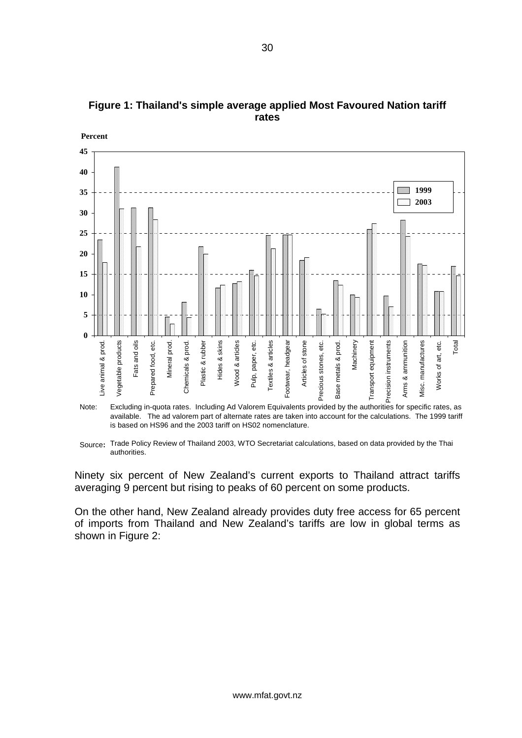

**Figure 1: Thailand's simple average applied Most Favoured Nation tariff rates** 

**Percent**

Ninety six percent of New Zealand's current exports to Thailand attract tariffs averaging 9 percent but rising to peaks of 60 percent on some products.

On the other hand, New Zealand already provides duty free access for 65 percent of imports from Thailand and New Zealand's tariffs are low in global terms as shown in Figure 2:

available. The ad valorem part of alternate rates are taken into account for the calculations. The 1999 tariff is based on HS96 and the 2003 tariff on HS02 nomenclature. Note:

Source: Trade Policy Review of Thailand 2003, WTO Secretariat calculations, based on data provided by the Thai authorities.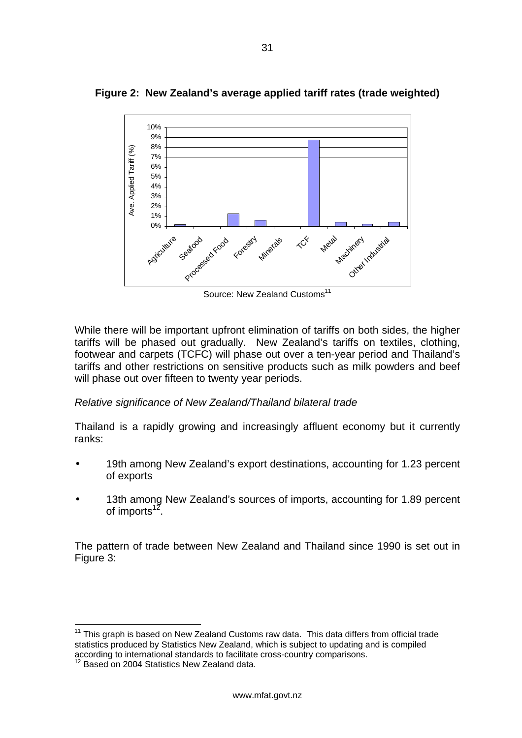

**Figure 2: New Zealand's average applied tariff rates (trade weighted)** 

Source: New Zealand Customs<sup>11</sup>

While there will be important upfront elimination of tariffs on both sides, the higher tariffs will be phased out gradually. New Zealand's tariffs on textiles, clothing, footwear and carpets (TCFC) will phase out over a ten-year period and Thailand's tariffs and other restrictions on sensitive products such as milk powders and beef will phase out over fifteen to twenty year periods.

### *Relative significance of New Zealand/Thailand bilateral trade*

Thailand is a rapidly growing and increasingly affluent economy but it currently ranks:

- 19th among New Zealand's export destinations, accounting for 1.23 percent of exports
- 13th among New Zealand's sources of imports, accounting for 1.89 percent of imports<sup>12</sup>.

The pattern of trade between New Zealand and Thailand since 1990 is set out in Figure 3:

<span id="page-33-0"></span> $11$  This graph is based on New Zealand Customs raw data. This data differs from official trade statistics produced by Statistics New Zealand, which is subject to updating and is compiled according to international standards to facilitate cross-country comparisons.

<span id="page-33-1"></span> $12$  Based on 2004 Statistics New Zealand data.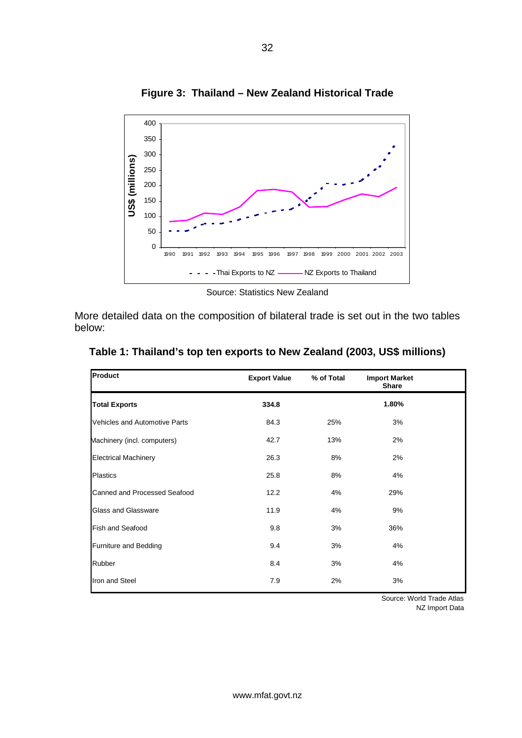

**Figure 3: Thailand – New Zealand Historical Trade** 

Source: Statistics New Zealand

More detailed data on the composition of bilateral trade is set out in the two tables below:

| Product                              | <b>Export Value</b> | % of Total | <b>Import Market</b><br><b>Share</b> |  |
|--------------------------------------|---------------------|------------|--------------------------------------|--|
| <b>Total Exports</b>                 | 334.8               |            | 1.80%                                |  |
| <b>Vehicles and Automotive Parts</b> | 84.3                | 25%        | 3%                                   |  |
| Machinery (incl. computers)          | 42.7                | 13%        | 2%                                   |  |
| <b>Electrical Machinery</b>          | 26.3                | 8%         | 2%                                   |  |
| <b>Plastics</b>                      | 25.8                | 8%         | 4%                                   |  |
| Canned and Processed Seafood         | 12.2                | 4%         | 29%                                  |  |
| <b>Glass and Glassware</b>           | 11.9                | 4%         | 9%                                   |  |
| <b>Fish and Seafood</b>              | 9.8                 | 3%         | 36%                                  |  |
| <b>Furniture and Bedding</b>         | 9.4                 | 3%         | 4%                                   |  |
| Rubber                               | 8.4                 | 3%         | 4%                                   |  |
| Iron and Steel                       | 7.9                 | 2%         | 3%                                   |  |

**Table 1: Thailand's top ten exports to New Zealand (2003, US\$ millions)** 

Source: World Trade Atlas NZ Import Data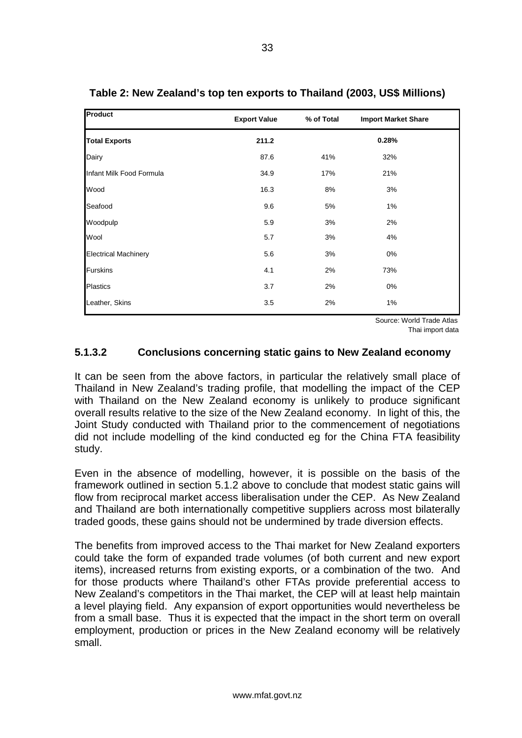| <b>Product</b>              | <b>Export Value</b> | % of Total | <b>Import Market Share</b> |
|-----------------------------|---------------------|------------|----------------------------|
| <b>Total Exports</b>        | 211.2               |            | 0.28%                      |
| Dairy                       | 87.6                | 41%        | 32%                        |
| Infant Milk Food Formula    | 34.9                | 17%        | 21%                        |
| Wood                        | 16.3                | 8%         | 3%                         |
| Seafood                     | 9.6                 | 5%         | 1%                         |
| Woodpulp                    | 5.9                 | 3%         | 2%                         |
| Wool                        | 5.7                 | 3%         | 4%                         |
| <b>Electrical Machinery</b> | 5.6                 | 3%         | 0%                         |
| <b>Furskins</b>             | 4.1                 | 2%         | 73%                        |
| <b>Plastics</b>             | 3.7                 | 2%         | 0%                         |
| Leather, Skins              | 3.5                 | 2%         | 1%                         |

**Table 2: New Zealand's top ten exports to Thailand (2003, US\$ Millions)** 

Source: World Trade Atlas

Thai import data

#### **5.1.3.2 Conclusions concerning static gains to New Zealand economy**

It can be seen from the above factors, in particular the relatively small place of Thailand in New Zealand's trading profile, that modelling the impact of the CEP with Thailand on the New Zealand economy is unlikely to produce significant overall results relative to the size of the New Zealand economy. In light of this, the Joint Study conducted with Thailand prior to the commencement of negotiations did not include modelling of the kind conducted eg for the China FTA feasibility study.

Even in the absence of modelling, however, it is possible on the basis of the framework outlined in section 5.1.2 above to conclude that modest static gains will flow from reciprocal market access liberalisation under the CEP. As New Zealand and Thailand are both internationally competitive suppliers across most bilaterally traded goods, these gains should not be undermined by trade diversion effects.

The benefits from improved access to the Thai market for New Zealand exporters could take the form of expanded trade volumes (of both current and new export items), increased returns from existing exports, or a combination of the two. And for those products where Thailand's other FTAs provide preferential access to New Zealand's competitors in the Thai market, the CEP will at least help maintain a level playing field. Any expansion of export opportunities would nevertheless be from a small base. Thus it is expected that the impact in the short term on overall employment, production or prices in the New Zealand economy will be relatively small.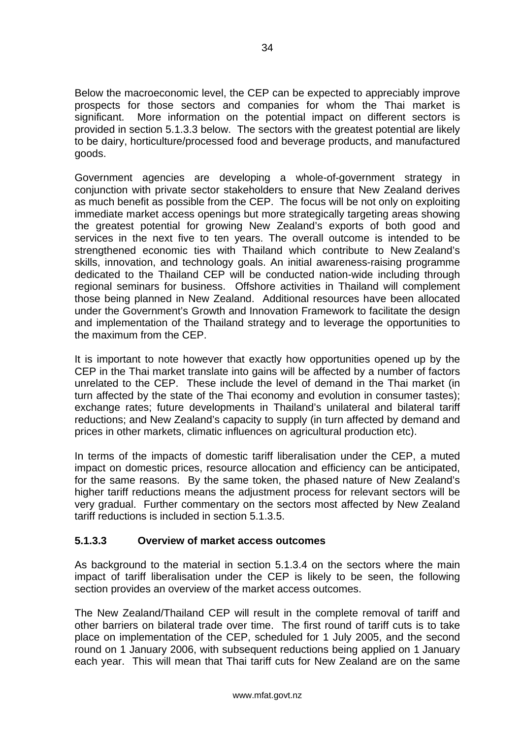Below the macroeconomic level, the CEP can be expected to appreciably improve prospects for those sectors and companies for whom the Thai market is significant. More information on the potential impact on different sectors is provided in section 5.1.3.3 below. The sectors with the greatest potential are likely to be dairy, horticulture/processed food and beverage products, and manufactured goods.

Government agencies are developing a whole-of-government strategy in conjunction with private sector stakeholders to ensure that New Zealand derives as much benefit as possible from the CEP. The focus will be not only on exploiting immediate market access openings but more strategically targeting areas showing the greatest potential for growing New Zealand's exports of both good and services in the next five to ten years. The overall outcome is intended to be strengthened economic ties with Thailand which contribute to New Zealand's skills, innovation, and technology goals. An initial awareness-raising programme dedicated to the Thailand CEP will be conducted nation-wide including through regional seminars for business. Offshore activities in Thailand will complement those being planned in New Zealand. Additional resources have been allocated under the Government's Growth and Innovation Framework to facilitate the design and implementation of the Thailand strategy and to leverage the opportunities to the maximum from the CEP.

It is important to note however that exactly how opportunities opened up by the CEP in the Thai market translate into gains will be affected by a number of factors unrelated to the CEP. These include the level of demand in the Thai market (in turn affected by the state of the Thai economy and evolution in consumer tastes); exchange rates; future developments in Thailand's unilateral and bilateral tariff reductions; and New Zealand's capacity to supply (in turn affected by demand and prices in other markets, climatic influences on agricultural production etc).

In terms of the impacts of domestic tariff liberalisation under the CEP, a muted impact on domestic prices, resource allocation and efficiency can be anticipated, for the same reasons. By the same token, the phased nature of New Zealand's higher tariff reductions means the adjustment process for relevant sectors will be very gradual. Further commentary on the sectors most affected by New Zealand tariff reductions is included in section 5.1.3.5.

### **5.1.3.3 Overview of market access outcomes**

As background to the material in section 5.1.3.4 on the sectors where the main impact of tariff liberalisation under the CEP is likely to be seen, the following section provides an overview of the market access outcomes.

The New Zealand/Thailand CEP will result in the complete removal of tariff and other barriers on bilateral trade over time. The first round of tariff cuts is to take place on implementation of the CEP, scheduled for 1 July 2005, and the second round on 1 January 2006, with subsequent reductions being applied on 1 January each year. This will mean that Thai tariff cuts for New Zealand are on the same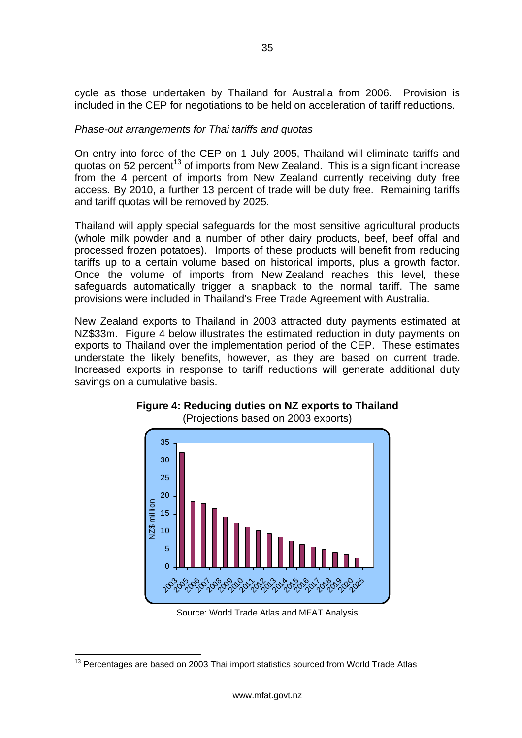cycle as those undertaken by Thailand for Australia from 2006. Provision is included in the CEP for negotiations to be held on acceleration of tariff reductions.

#### *Phase-out arrangements for Thai tariffs and quotas*

On entry into force of the CEP on 1 July 2005, Thailand will eliminate tariffs and quotas on 52 percent<sup>13</sup> of imports from New Zealand. This is a significant increase from the 4 percent of imports from New Zealand currently receiving duty free access. By 2010, a further 13 percent of trade will be duty free. Remaining tariffs and tariff quotas will be removed by 2025.

Thailand will apply special safeguards for the most sensitive agricultural products (whole milk powder and a number of other dairy products, beef, beef offal and processed frozen potatoes). Imports of these products will benefit from reducing tariffs up to a certain volume based on historical imports, plus a growth factor. Once the volume of imports from New Zealand reaches this level, these safeguards automatically trigger a snapback to the normal tariff. The same provisions were included in Thailand's Free Trade Agreement with Australia.

New Zealand exports to Thailand in 2003 attracted duty payments estimated at NZ\$33m. Figure 4 below illustrates the estimated reduction in duty payments on exports to Thailand over the implementation period of the CEP. These estimates understate the likely benefits, however, as they are based on current trade. Increased exports in response to tariff reductions will generate additional duty savings on a cumulative basis.



#### **Figure 4: Reducing duties on NZ exports to Thailand**  (Projections based on 2003 exports)

Source: World Trade Atlas and MFAT Analysis

<span id="page-37-0"></span><sup>&</sup>lt;sup>13</sup> Percentages are based on 2003 Thai import statistics sourced from World Trade Atlas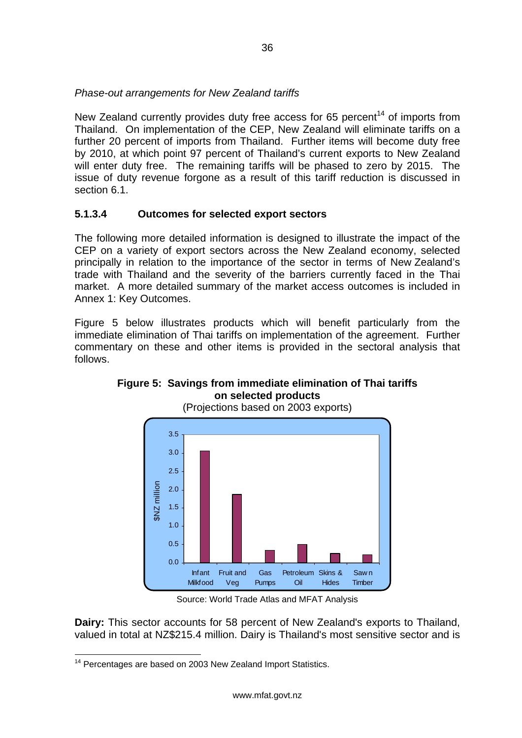### *Phase-out arrangements for New Zealand tariffs*

New Zealand currently provides duty free access for 65 percent<sup>14</sup> of imports from Thailand. On implementation of the CEP, New Zealand will eliminate tariffs on a further 20 percent of imports from Thailand. Further items will become duty free by 2010, at which point 97 percent of Thailand's current exports to New Zealand will enter duty free. The remaining tariffs will be phased to zero by 2015. The issue of duty revenue forgone as a result of this tariff reduction is discussed in section 6.1.

### **5.1.3.4 Outcomes for selected export sectors**

The following more detailed information is designed to illustrate the impact of the CEP on a variety of export sectors across the New Zealand economy, selected principally in relation to the importance of the sector in terms of New Zealand's trade with Thailand and the severity of the barriers currently faced in the Thai market. A more detailed summary of the market access outcomes is included in Annex 1: Key Outcomes.

Figure 5 below illustrates products which will benefit particularly from the immediate elimination of Thai tariffs on implementation of the agreement. Further commentary on these and other items is provided in the sectoral analysis that follows.



### **Figure 5: Savings from immediate elimination of Thai tariffs on selected products**

Source: World Trade Atlas and MFAT Analysis

**Dairy:** This sector accounts for 58 percent of New Zealand's exports to Thailand, valued in total at NZ\$215.4 million. Dairy is Thailand's most sensitive sector and is

<span id="page-38-0"></span><sup>&</sup>lt;sup>14</sup> Percentages are based on 2003 New Zealand Import Statistics.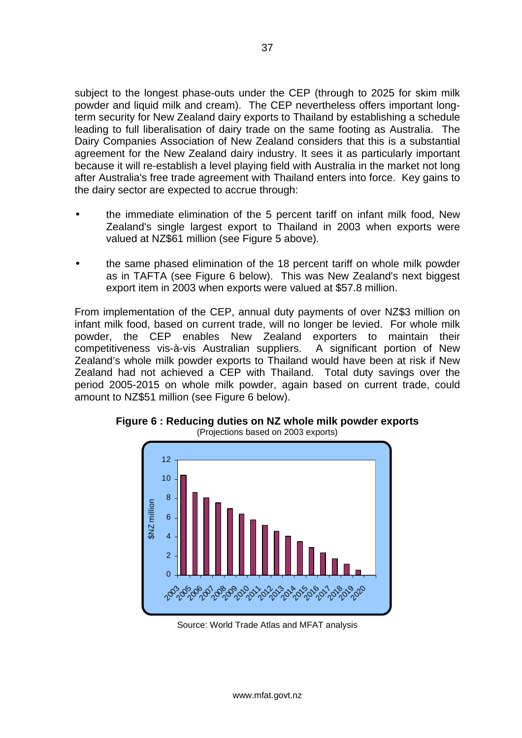subject to the longest phase-outs under the CEP (through to 2025 for skim milk powder and liquid milk and cream). The CEP nevertheless offers important longterm security for New Zealand dairy exports to Thailand by establishing a schedule leading to full liberalisation of dairy trade on the same footing as Australia. The Dairy Companies Association of New Zealand considers that this is a substantial agreement for the New Zealand dairy industry. It sees it as particularly important because it will re-establish a level playing field with Australia in the market not long after Australia's free trade agreement with Thailand enters into force. Key gains to the dairy sector are expected to accrue through:

- the immediate elimination of the 5 percent tariff on infant milk food, New Zealand's single largest export to Thailand in 2003 when exports were valued at NZ\$61 million (see Figure 5 above).
- the same phased elimination of the 18 percent tariff on whole milk powder as in TAFTA (see Figure 6 below). This was New Zealand's next biggest export item in 2003 when exports were valued at \$57.8 million.

From implementation of the CEP, annual duty payments of over NZ\$3 million on infant milk food, based on current trade, will no longer be levied. For whole milk powder, the CEP enables New Zealand exporters to maintain their competitiveness vis-à-vis Australian suppliers. A significant portion of New Zealand's whole milk powder exports to Thailand would have been at risk if New Zealand had not achieved a CEP with Thailand. Total duty savings over the period 2005-2015 on whole milk powder, again based on current trade, could amount to NZ\$51 million (see Figure 6 below).



**Figure 6 : Reducing duties on NZ whole milk powder exports**  (Projections based on 2003 exports)

Source: World Trade Atlas and MFAT analysis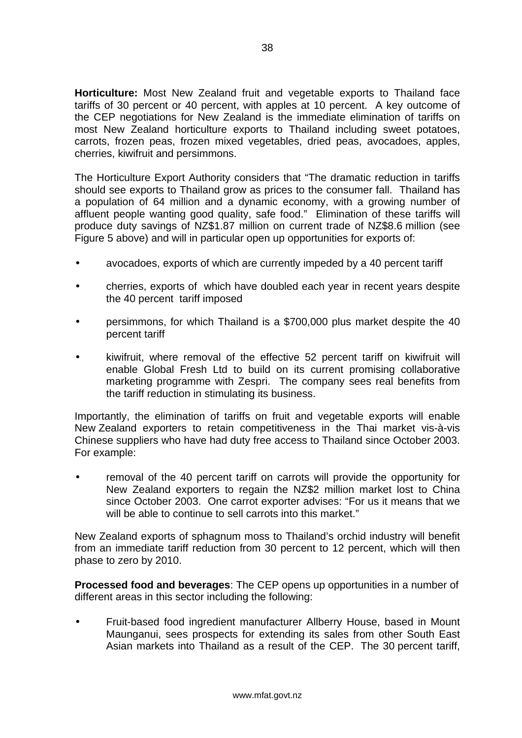**Horticulture:** Most New Zealand fruit and vegetable exports to Thailand face tariffs of 30 percent or 40 percent, with apples at 10 percent. A key outcome of the CEP negotiations for New Zealand is the immediate elimination of tariffs on most New Zealand horticulture exports to Thailand including sweet potatoes, carrots, frozen peas, frozen mixed vegetables, dried peas, avocadoes, apples, cherries, kiwifruit and persimmons.

The Horticulture Export Authority considers that "The dramatic reduction in tariffs should see exports to Thailand grow as prices to the consumer fall. Thailand has a population of 64 million and a dynamic economy, with a growing number of affluent people wanting good quality, safe food." Elimination of these tariffs will produce duty savings of NZ\$1.87 million on current trade of NZ\$8.6 million (see Figure 5 above) and will in particular open up opportunities for exports of:

- avocadoes, exports of which are currently impeded by a 40 percent tariff
- cherries, exports of which have doubled each year in recent years despite the 40 percent tariff imposed
- persimmons, for which Thailand is a \$700,000 plus market despite the 40 percent tariff
- kiwifruit, where removal of the effective 52 percent tariff on kiwifruit will enable Global Fresh Ltd to build on its current promising collaborative marketing programme with Zespri. The company sees real benefits from the tariff reduction in stimulating its business.

Importantly, the elimination of tariffs on fruit and vegetable exports will enable New Zealand exporters to retain competitiveness in the Thai market vis-à-vis Chinese suppliers who have had duty free access to Thailand since October 2003. For example:

• removal of the 40 percent tariff on carrots will provide the opportunity for New Zealand exporters to regain the NZ\$2 million market lost to China since October 2003. One carrot exporter advises: "For us it means that we will be able to continue to sell carrots into this market."

New Zealand exports of sphagnum moss to Thailand's orchid industry will benefit from an immediate tariff reduction from 30 percent to 12 percent, which will then phase to zero by 2010.

**Processed food and beverages**: The CEP opens up opportunities in a number of different areas in this sector including the following:

• Fruit-based food ingredient manufacturer Allberry House, based in Mount Maunganui, sees prospects for extending its sales from other South East Asian markets into Thailand as a result of the CEP. The 30 percent tariff,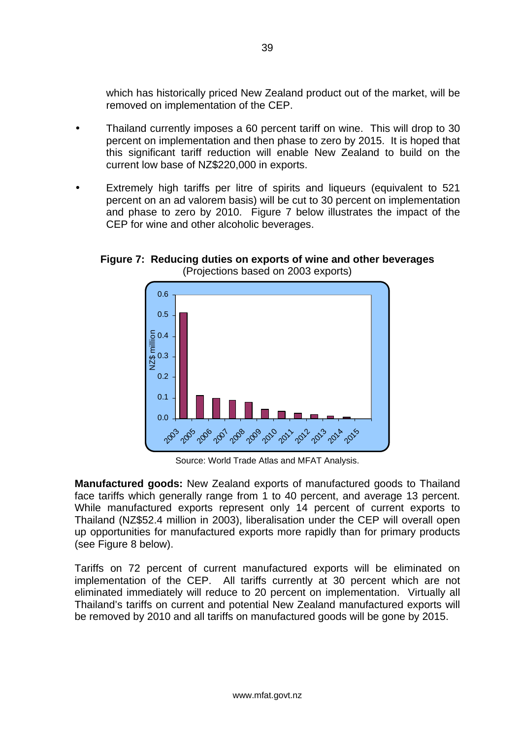which has historically priced New Zealand product out of the market, will be removed on implementation of the CEP.

- Thailand currently imposes a 60 percent tariff on wine. This will drop to 30 percent on implementation and then phase to zero by 2015. It is hoped that this significant tariff reduction will enable New Zealand to build on the current low base of NZ\$220,000 in exports.
- Extremely high tariffs per litre of spirits and liqueurs (equivalent to 521 percent on an ad valorem basis) will be cut to 30 percent on implementation and phase to zero by 2010. Figure 7 below illustrates the impact of the CEP for wine and other alcoholic beverages.





Source: World Trade Atlas and MFAT Analysis.

**Manufactured goods:** New Zealand exports of manufactured goods to Thailand face tariffs which generally range from 1 to 40 percent, and average 13 percent. While manufactured exports represent only 14 percent of current exports to Thailand (NZ\$52.4 million in 2003), liberalisation under the CEP will overall open up opportunities for manufactured exports more rapidly than for primary products (see Figure 8 below).

Tariffs on 72 percent of current manufactured exports will be eliminated on implementation of the CEP. All tariffs currently at 30 percent which are not eliminated immediately will reduce to 20 percent on implementation. Virtually all Thailand's tariffs on current and potential New Zealand manufactured exports will be removed by 2010 and all tariffs on manufactured goods will be gone by 2015.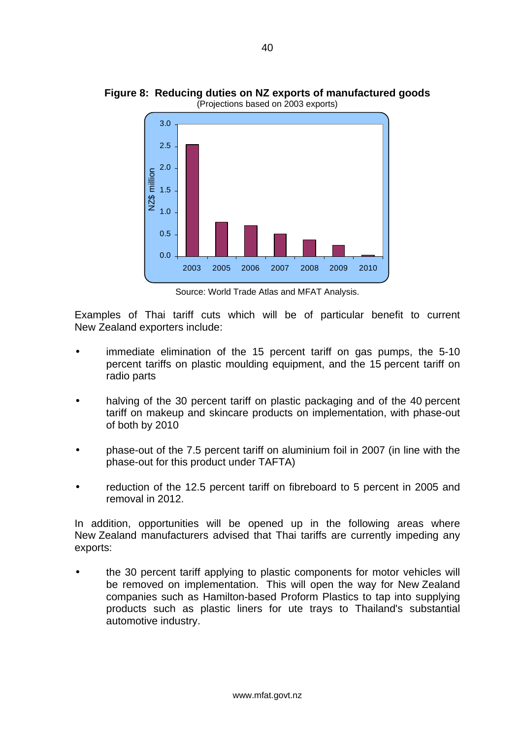

**Figure 8: Reducing duties on NZ exports of manufactured goods**  (Projections based on 2003 exports)

Source: World Trade Atlas and MFAT Analysis.

Examples of Thai tariff cuts which will be of particular benefit to current New Zealand exporters include:

- immediate elimination of the 15 percent tariff on gas pumps, the 5-10 percent tariffs on plastic moulding equipment, and the 15 percent tariff on radio parts
- halving of the 30 percent tariff on plastic packaging and of the 40 percent tariff on makeup and skincare products on implementation, with phase-out of both by 2010
- phase-out of the 7.5 percent tariff on aluminium foil in 2007 (in line with the phase-out for this product under TAFTA)
- reduction of the 12.5 percent tariff on fibreboard to 5 percent in 2005 and removal in 2012.

In addition, opportunities will be opened up in the following areas where New Zealand manufacturers advised that Thai tariffs are currently impeding any exports:

• the 30 percent tariff applying to plastic components for motor vehicles will be removed on implementation. This will open the way for New Zealand companies such as Hamilton-based Proform Plastics to tap into supplying products such as plastic liners for ute trays to Thailand's substantial automotive industry.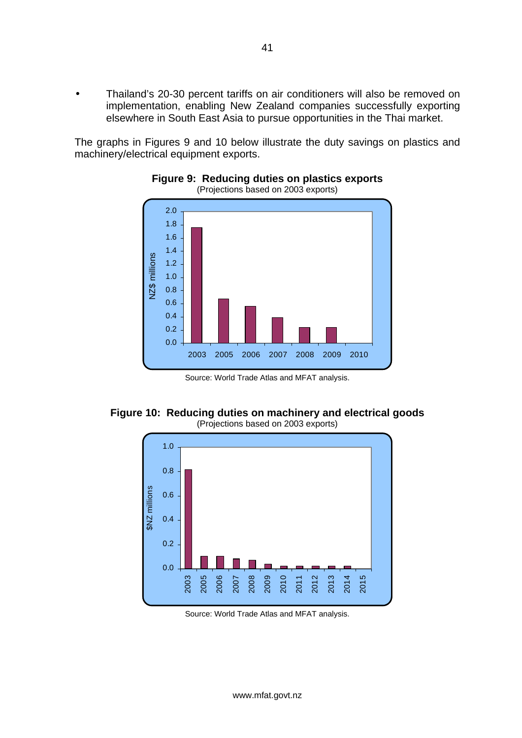• Thailand's 20-30 percent tariffs on air conditioners will also be removed on implementation, enabling New Zealand companies successfully exporting elsewhere in South East Asia to pursue opportunities in the Thai market.

The graphs in Figures 9 and 10 below illustrate the duty savings on plastics and machinery/electrical equipment exports.



#### **Figure 9: Reducing duties on plastics exports**  (Projections based on 2003 exports)

Source: World Trade Atlas and MFAT analysis.





Source: World Trade Atlas and MFAT analysis.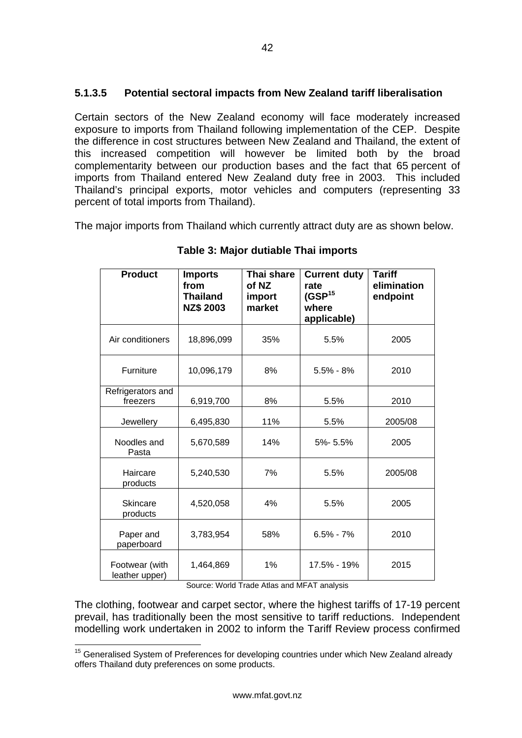### **5.1.3.5 Potential sectoral impacts from New Zealand tariff liberalisation**

Certain sectors of the New Zealand economy will face moderately increased exposure to imports from Thailand following implementation of the CEP. Despite the difference in cost structures between New Zealand and Thailand, the extent of this increased competition will however be limited both by the broad complementarity between our production bases and the fact that 65 percent of imports from Thailand entered New Zealand duty free in 2003. This included Thailand's principal exports, motor vehicles and computers (representing 33 percent of total imports from Thailand).

The major imports from Thailand which currently attract duty are as shown below.

| <b>Product</b>                   | <b>Imports</b><br>from<br><b>Thailand</b><br><b>NZ\$ 2003</b> | Thai share<br>of NZ<br>import<br>market | <b>Current duty</b><br>rate<br>(GSP <sup>15</sup> )<br>where<br>applicable) | <b>Tariff</b><br>elimination<br>endpoint |
|----------------------------------|---------------------------------------------------------------|-----------------------------------------|-----------------------------------------------------------------------------|------------------------------------------|
| Air conditioners                 | 18,896,099                                                    | 35%                                     | 5.5%                                                                        | 2005                                     |
| Furniture                        | 10,096,179                                                    | 8%                                      | $5.5\% - 8\%$                                                               | 2010                                     |
| Refrigerators and<br>freezers    | 6,919,700                                                     | 8%                                      | 5.5%                                                                        | 2010                                     |
| Jewellery                        | 6,495,830                                                     | 11%                                     | 5.5%                                                                        | 2005/08                                  |
| Noodles and<br>Pasta             | 5,670,589                                                     | 14%                                     | 5%-5.5%                                                                     | 2005                                     |
| Haircare<br>products             | 5,240,530                                                     | 7%                                      | 5.5%                                                                        | 2005/08                                  |
| <b>Skincare</b><br>products      | 4,520,058                                                     | 4%                                      | 5.5%                                                                        | 2005                                     |
| Paper and<br>paperboard          | 3,783,954                                                     | 58%                                     | $6.5\% - 7\%$                                                               | 2010                                     |
| Footwear (with<br>leather upper) | 1,464,869                                                     | 1%                                      | 17.5% - 19%                                                                 | 2015                                     |

**Table 3: Major dutiable Thai imports** 

Source: World Trade Atlas and MFAT analysis

The clothing, footwear and carpet sector, where the highest tariffs of 17-19 percent prevail, has traditionally been the most sensitive to tariff reductions. Independent modelling work undertaken in 2002 to inform the Tariff Review process confirmed

<span id="page-44-0"></span><sup>&</sup>lt;sup>15</sup> Generalised System of Preferences for developing countries under which New Zealand already offers Thailand duty preferences on some products.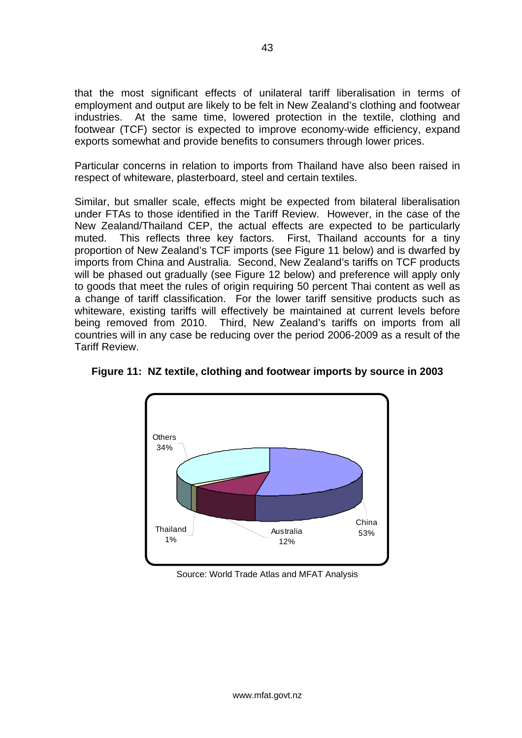that the most significant effects of unilateral tariff liberalisation in terms of employment and output are likely to be felt in New Zealand's clothing and footwear industries. At the same time, lowered protection in the textile, clothing and footwear (TCF) sector is expected to improve economy-wide efficiency, expand exports somewhat and provide benefits to consumers through lower prices.

Particular concerns in relation to imports from Thailand have also been raised in respect of whiteware, plasterboard, steel and certain textiles.

Similar, but smaller scale, effects might be expected from bilateral liberalisation under FTAs to those identified in the Tariff Review. However, in the case of the New Zealand/Thailand CEP, the actual effects are expected to be particularly muted. This reflects three key factors. First, Thailand accounts for a tiny proportion of New Zealand's TCF imports (see Figure 11 below) and is dwarfed by imports from China and Australia. Second, New Zealand's tariffs on TCF products will be phased out gradually (see Figure 12 below) and preference will apply only to goods that meet the rules of origin requiring 50 percent Thai content as well as a change of tariff classification. For the lower tariff sensitive products such as whiteware, existing tariffs will effectively be maintained at current levels before being removed from 2010. Third, New Zealand's tariffs on imports from all countries will in any case be reducing over the period 2006-2009 as a result of the Tariff Review.



**Figure 11: NZ textile, clothing and footwear imports by source in 2003** 

Source: World Trade Atlas and MFAT Analysis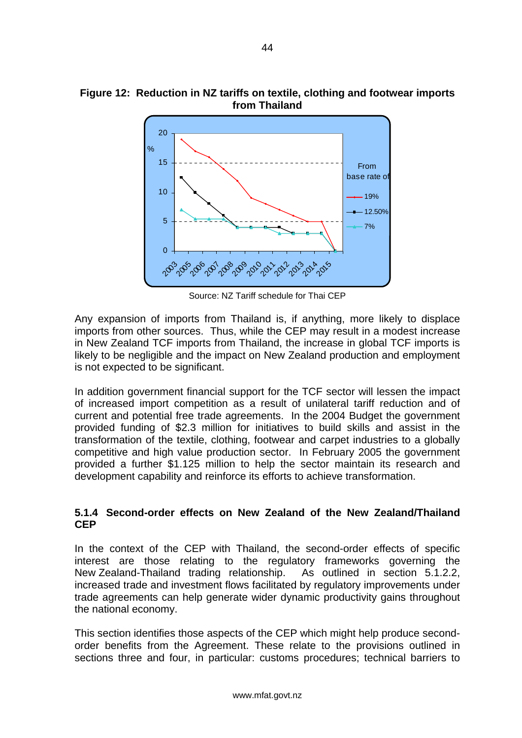

Source: NZ Tariff schedule for Thai CEP

Any expansion of imports from Thailand is, if anything, more likely to displace imports from other sources. Thus, while the CEP may result in a modest increase in New Zealand TCF imports from Thailand, the increase in global TCF imports is likely to be negligible and the impact on New Zealand production and employment is not expected to be significant.

In addition government financial support for the TCF sector will lessen the impact of increased import competition as a result of unilateral tariff reduction and of current and potential free trade agreements. In the 2004 Budget the government provided funding of \$2.3 million for initiatives to build skills and assist in the transformation of the textile, clothing, footwear and carpet industries to a globally competitive and high value production sector. In February 2005 the government provided a further \$1.125 million to help the sector maintain its research and development capability and reinforce its efforts to achieve transformation.

#### **5.1.4 Second-order effects on New Zealand of the New Zealand/Thailand CEP**

In the context of the CEP with Thailand, the second-order effects of specific interest are those relating to the regulatory frameworks governing the New Zealand-Thailand trading relationship. As outlined in section 5.1.2.2, increased trade and investment flows facilitated by regulatory improvements under trade agreements can help generate wider dynamic productivity gains throughout the national economy.

This section identifies those aspects of the CEP which might help produce secondorder benefits from the Agreement. These relate to the provisions outlined in sections three and four, in particular: customs procedures; technical barriers to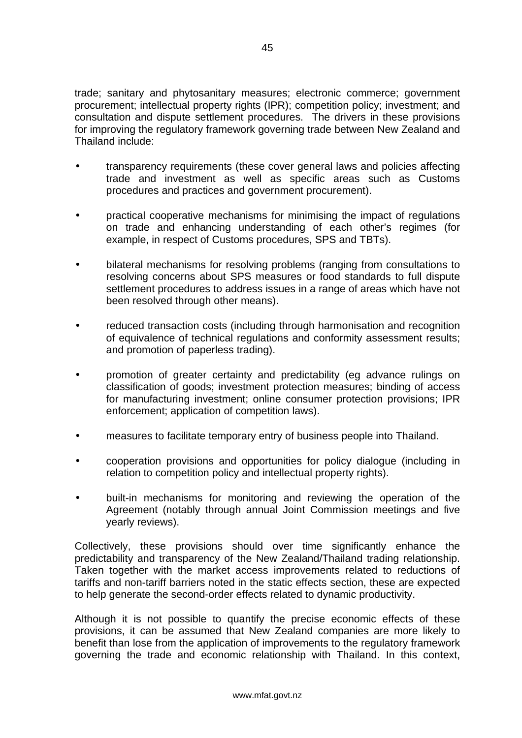trade; sanitary and phytosanitary measures; electronic commerce; government procurement; intellectual property rights (IPR); competition policy; investment; and consultation and dispute settlement procedures. The drivers in these provisions for improving the regulatory framework governing trade between New Zealand and Thailand include:

- transparency requirements (these cover general laws and policies affecting trade and investment as well as specific areas such as Customs procedures and practices and government procurement).
- practical cooperative mechanisms for minimising the impact of regulations on trade and enhancing understanding of each other's regimes (for example, in respect of Customs procedures, SPS and TBTs).
- bilateral mechanisms for resolving problems (ranging from consultations to resolving concerns about SPS measures or food standards to full dispute settlement procedures to address issues in a range of areas which have not been resolved through other means).
- reduced transaction costs (including through harmonisation and recognition of equivalence of technical regulations and conformity assessment results; and promotion of paperless trading).
- promotion of greater certainty and predictability (eg advance rulings on classification of goods; investment protection measures; binding of access for manufacturing investment; online consumer protection provisions; IPR enforcement; application of competition laws).
- measures to facilitate temporary entry of business people into Thailand.
- cooperation provisions and opportunities for policy dialogue (including in relation to competition policy and intellectual property rights).
- built-in mechanisms for monitoring and reviewing the operation of the Agreement (notably through annual Joint Commission meetings and five yearly reviews).

Collectively, these provisions should over time significantly enhance the predictability and transparency of the New Zealand/Thailand trading relationship. Taken together with the market access improvements related to reductions of tariffs and non-tariff barriers noted in the static effects section, these are expected to help generate the second-order effects related to dynamic productivity.

Although it is not possible to quantify the precise economic effects of these provisions, it can be assumed that New Zealand companies are more likely to benefit than lose from the application of improvements to the regulatory framework governing the trade and economic relationship with Thailand. In this context,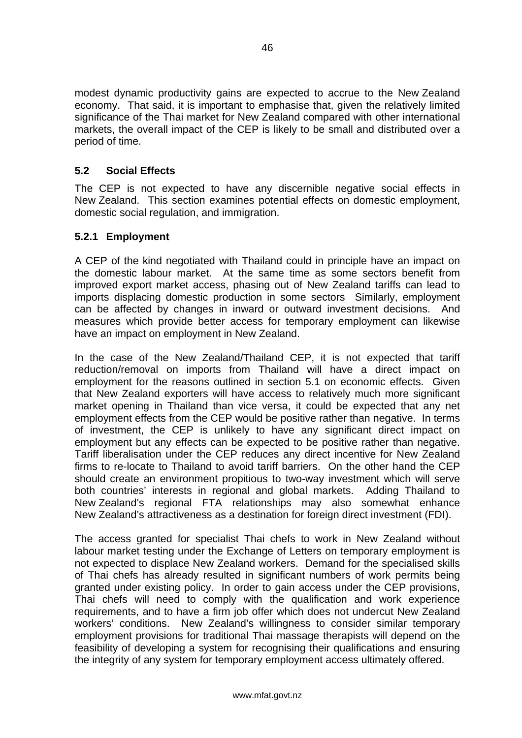<span id="page-48-0"></span>modest dynamic productivity gains are expected to accrue to the New Zealand economy. That said, it is important to emphasise that, given the relatively limited significance of the Thai market for New Zealand compared with other international markets, the overall impact of the CEP is likely to be small and distributed over a period of time.

#### **5.2 Social Effects**

The CEP is not expected to have any discernible negative social effects in New Zealand. This section examines potential effects on domestic employment, domestic social regulation, and immigration.

#### **5.2.1 Employment**

A CEP of the kind negotiated with Thailand could in principle have an impact on the domestic labour market. At the same time as some sectors benefit from improved export market access, phasing out of New Zealand tariffs can lead to imports displacing domestic production in some sectors Similarly, employment can be affected by changes in inward or outward investment decisions. And measures which provide better access for temporary employment can likewise have an impact on employment in New Zealand.

In the case of the New Zealand/Thailand CEP, it is not expected that tariff reduction/removal on imports from Thailand will have a direct impact on employment for the reasons outlined in section 5.1 on economic effects. Given that New Zealand exporters will have access to relatively much more significant market opening in Thailand than vice versa, it could be expected that any net employment effects from the CEP would be positive rather than negative. In terms of investment, the CEP is unlikely to have any significant direct impact on employment but any effects can be expected to be positive rather than negative. Tariff liberalisation under the CEP reduces any direct incentive for New Zealand firms to re-locate to Thailand to avoid tariff barriers. On the other hand the CEP should create an environment propitious to two-way investment which will serve both countries' interests in regional and global markets. Adding Thailand to New Zealand's regional FTA relationships may also somewhat enhance New Zealand's attractiveness as a destination for foreign direct investment (FDI).

The access granted for specialist Thai chefs to work in New Zealand without labour market testing under the Exchange of Letters on temporary employment is not expected to displace New Zealand workers. Demand for the specialised skills of Thai chefs has already resulted in significant numbers of work permits being granted under existing policy. In order to gain access under the CEP provisions, Thai chefs will need to comply with the qualification and work experience requirements, and to have a firm job offer which does not undercut New Zealand workers' conditions. New Zealand's willingness to consider similar temporary employment provisions for traditional Thai massage therapists will depend on the feasibility of developing a system for recognising their qualifications and ensuring the integrity of any system for temporary employment access ultimately offered.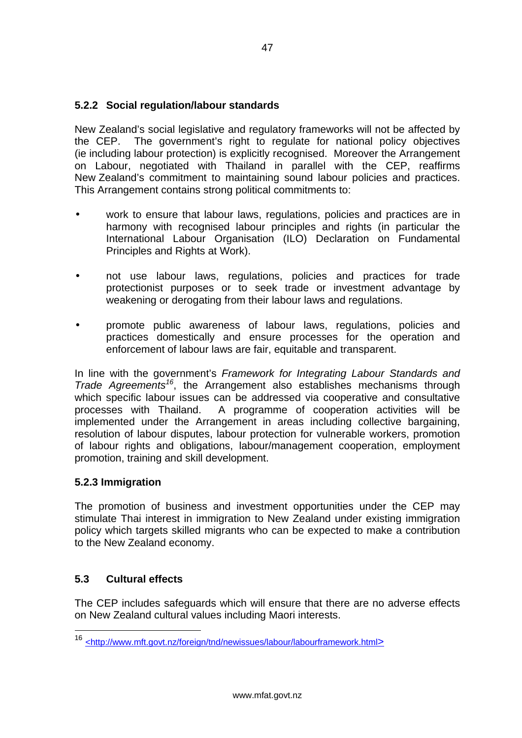### <span id="page-49-0"></span>**5.2.2 Social regulation/labour standards**

New Zealand's social legislative and regulatory frameworks will not be affected by the CEP. The government's right to regulate for national policy objectives (ie including labour protection) is explicitly recognised. Moreover the Arrangement on Labour, negotiated with Thailand in parallel with the CEP, reaffirms New Zealand's commitment to maintaining sound labour policies and practices. This Arrangement contains strong political commitments to:

- work to ensure that labour laws, regulations, policies and practices are in harmony with recognised labour principles and rights (in particular the International Labour Organisation (ILO) Declaration on Fundamental Principles and Rights at Work).
- not use labour laws, regulations, policies and practices for trade protectionist purposes or to seek trade or investment advantage by weakening or derogating from their labour laws and regulations.
- promote public awareness of labour laws, regulations, policies and practices domestically and ensure processes for the operation and enforcement of labour laws are fair, equitable and transparent.

In line with the government's *Framework for Integrating Labour Standards and Trade Agreements[16](#page-49-1)*, the Arrangement also establishes mechanisms through which specific labour issues can be addressed via cooperative and consultative processes with Thailand. A programme of cooperation activities will be implemented under the Arrangement in areas including collective bargaining, resolution of labour disputes, labour protection for vulnerable workers, promotion of labour rights and obligations, labour/management cooperation, employment promotion, training and skill development.

### **5.2.3 Immigration**

The promotion of business and investment opportunities under the CEP may stimulate Thai interest in immigration to New Zealand under existing immigration policy which targets skilled migrants who can be expected to make a contribution to the New Zealand economy.

### **5.3 Cultural effects**

The CEP includes safeguards which will ensure that there are no adverse effects on New Zealand cultural values including Maori interests.

<span id="page-49-1"></span> <sup>16</sup> <http://www.mft.govt.nz/foreign/tnd/newissues/labour/labourframework.html>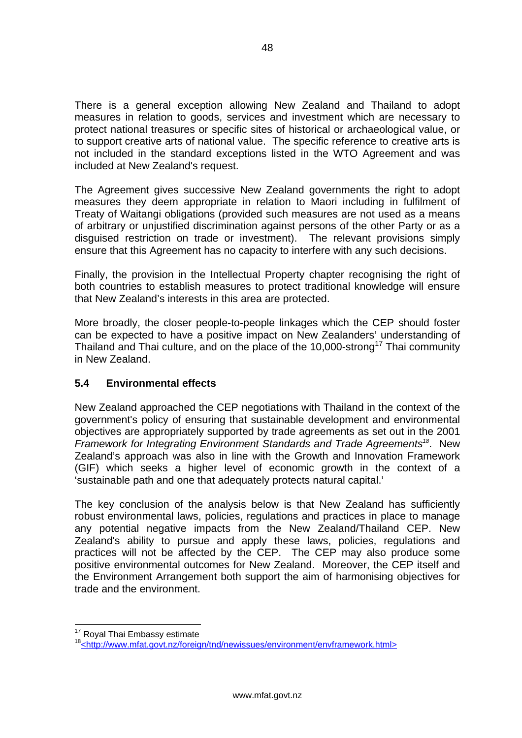<span id="page-50-0"></span>There is a general exception allowing New Zealand and Thailand to adopt measures in relation to goods, services and investment which are necessary to protect national treasures or specific sites of historical or archaeological value, or to support creative arts of national value. The specific reference to creative arts is not included in the standard exceptions listed in the WTO Agreement and was included at New Zealand's request.

The Agreement gives successive New Zealand governments the right to adopt measures they deem appropriate in relation to Maori including in fulfilment of Treaty of Waitangi obligations (provided such measures are not used as a means of arbitrary or unjustified discrimination against persons of the other Party or as a disguised restriction on trade or investment). The relevant provisions simply ensure that this Agreement has no capacity to interfere with any such decisions.

Finally, the provision in the Intellectual Property chapter recognising the right of both countries to establish measures to protect traditional knowledge will ensure that New Zealand's interests in this area are protected.

More broadly, the closer people-to-people linkages which the CEP should foster can be expected to have a positive impact on New Zealanders' understanding of Thailand and Thai culture, and on the place of the 10,000-strong<sup>17</sup> Thai community in New Zealand.

### **5.4 Environmental effects**

New Zealand approached the CEP negotiations with Thailand in the context of the government's policy of ensuring that sustainable development and environmental objectives are appropriately supported by trade agreements as set out in the 2001 *Framework for Integrating Environment Standards and Trade Agreements[18](#page-50-2)*. New Zealand's approach was also in line with the Growth and Innovation Framework (GIF) which seeks a higher level of economic growth in the context of a 'sustainable path and one that adequately protects natural capital.'

The key conclusion of the analysis below is that New Zealand has sufficiently robust environmental laws, policies, regulations and practices in place to manage any potential negative impacts from the New Zealand/Thailand CEP. New Zealand's ability to pursue and apply these laws, policies, regulations and practices will not be affected by the CEP. The CEP may also produce some positive environmental outcomes for New Zealand. Moreover, the CEP itself and the Environment Arrangement both support the aim of harmonising objectives for trade and the environment.

<span id="page-50-1"></span><sup>&</sup>lt;sup>17</sup> Roval Thai Embassy estimate

<span id="page-50-2"></span><sup>18&</sup>lt;http://www.mfat.govt.nz/foreign/tnd/newissues/environment/envframework.html>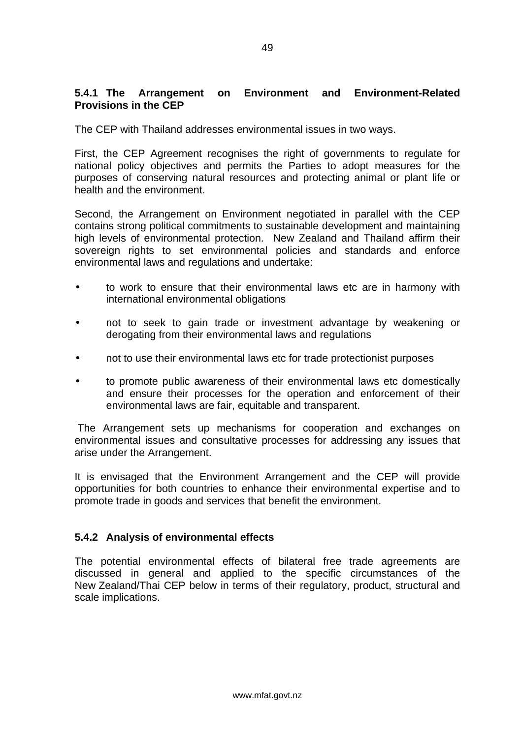### **5.4.1 The Arrangement on Environment and Environment-Related Provisions in the CEP**

The CEP with Thailand addresses environmental issues in two ways.

First, the CEP Agreement recognises the right of governments to regulate for national policy objectives and permits the Parties to adopt measures for the purposes of conserving natural resources and protecting animal or plant life or health and the environment.

Second, the Arrangement on Environment negotiated in parallel with the CEP contains strong political commitments to sustainable development and maintaining high levels of environmental protection. New Zealand and Thailand affirm their sovereign rights to set environmental policies and standards and enforce environmental laws and regulations and undertake:

- to work to ensure that their environmental laws etc are in harmony with international environmental obligations
- not to seek to gain trade or investment advantage by weakening or derogating from their environmental laws and regulations
- not to use their environmental laws etc for trade protectionist purposes
- to promote public awareness of their environmental laws etc domestically and ensure their processes for the operation and enforcement of their environmental laws are fair, equitable and transparent.

The Arrangement sets up mechanisms for cooperation and exchanges on environmental issues and consultative processes for addressing any issues that arise under the Arrangement.

It is envisaged that the Environment Arrangement and the CEP will provide opportunities for both countries to enhance their environmental expertise and to promote trade in goods and services that benefit the environment.

#### **5.4.2 Analysis of environmental effects**

The potential environmental effects of bilateral free trade agreements are discussed in general and applied to the specific circumstances of the New Zealand/Thai CEP below in terms of their regulatory, product, structural and scale implications.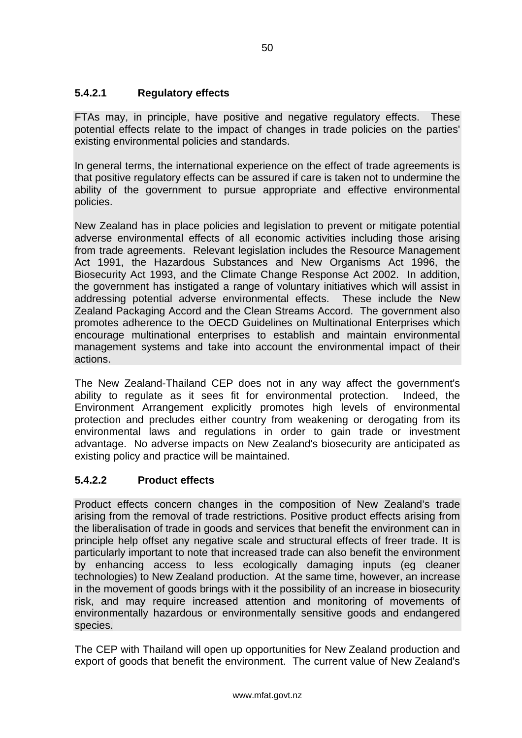### **5.4.2.1 Regulatory effects**

FTAs may, in principle, have positive and negative regulatory effects. These potential effects relate to the impact of changes in trade policies on the parties' existing environmental policies and standards.

In general terms, the international experience on the effect of trade agreements is that positive regulatory effects can be assured if care is taken not to undermine the ability of the government to pursue appropriate and effective environmental policies.

New Zealand has in place policies and legislation to prevent or mitigate potential adverse environmental effects of all economic activities including those arising from trade agreements. Relevant legislation includes the Resource Management Act 1991, the Hazardous Substances and New Organisms Act 1996, the Biosecurity Act 1993, and the Climate Change Response Act 2002. In addition, the government has instigated a range of voluntary initiatives which will assist in addressing potential adverse environmental effects. These include the New Zealand Packaging Accord and the Clean Streams Accord. The government also promotes adherence to the OECD Guidelines on Multinational Enterprises which encourage multinational enterprises to establish and maintain environmental management systems and take into account the environmental impact of their actions.

The New Zealand-Thailand CEP does not in any way affect the government's ability to regulate as it sees fit for environmental protection. Indeed, the Environment Arrangement explicitly promotes high levels of environmental protection and precludes either country from weakening or derogating from its environmental laws and regulations in order to gain trade or investment advantage. No adverse impacts on New Zealand's biosecurity are anticipated as existing policy and practice will be maintained.

### **5.4.2.2 Product effects**

Product effects concern changes in the composition of New Zealand's trade arising from the removal of trade restrictions. Positive product effects arising from the liberalisation of trade in goods and services that benefit the environment can in principle help offset any negative scale and structural effects of freer trade. It is particularly important to note that increased trade can also benefit the environment by enhancing access to less ecologically damaging inputs (eg cleaner technologies) to New Zealand production. At the same time, however, an increase in the movement of goods brings with it the possibility of an increase in biosecurity risk, and may require increased attention and monitoring of movements of environmentally hazardous or environmentally sensitive goods and endangered species.

The CEP with Thailand will open up opportunities for New Zealand production and export of goods that benefit the environment. The current value of New Zealand's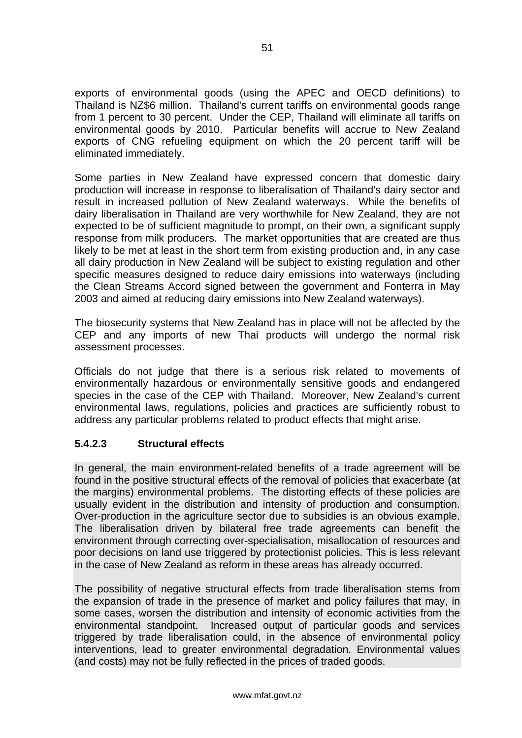exports of environmental goods (using the APEC and OECD definitions) to Thailand is NZ\$6 million. Thailand's current tariffs on environmental goods range from 1 percent to 30 percent. Under the CEP, Thailand will eliminate all tariffs on environmental goods by 2010. Particular benefits will accrue to New Zealand exports of CNG refueling equipment on which the 20 percent tariff will be eliminated immediately.

Some parties in New Zealand have expressed concern that domestic dairy production will increase in response to liberalisation of Thailand's dairy sector and result in increased pollution of New Zealand waterways. While the benefits of dairy liberalisation in Thailand are very worthwhile for New Zealand, they are not expected to be of sufficient magnitude to prompt, on their own, a significant supply response from milk producers. The market opportunities that are created are thus likely to be met at least in the short term from existing production and, in any case all dairy production in New Zealand will be subject to existing regulation and other specific measures designed to reduce dairy emissions into waterways (including the Clean Streams Accord signed between the government and Fonterra in May 2003 and aimed at reducing dairy emissions into New Zealand waterways).

The biosecurity systems that New Zealand has in place will not be affected by the CEP and any imports of new Thai products will undergo the normal risk assessment processes.

Officials do not judge that there is a serious risk related to movements of environmentally hazardous or environmentally sensitive goods and endangered species in the case of the CEP with Thailand. Moreover, New Zealand's current environmental laws, regulations, policies and practices are sufficiently robust to address any particular problems related to product effects that might arise.

### **5.4.2.3 Structural effects**

In general, the main environment-related benefits of a trade agreement will be found in the positive structural effects of the removal of policies that exacerbate (at the margins) environmental problems. The distorting effects of these policies are usually evident in the distribution and intensity of production and consumption. Over-production in the agriculture sector due to subsidies is an obvious example. The liberalisation driven by bilateral free trade agreements can benefit the environment through correcting over-specialisation, misallocation of resources and poor decisions on land use triggered by protectionist policies. This is less relevant in the case of New Zealand as reform in these areas has already occurred.

The possibility of negative structural effects from trade liberalisation stems from the expansion of trade in the presence of market and policy failures that may, in some cases, worsen the distribution and intensity of economic activities from the environmental standpoint. Increased output of particular goods and services triggered by trade liberalisation could, in the absence of environmental policy interventions, lead to greater environmental degradation. Environmental values (and costs) may not be fully reflected in the prices of traded goods.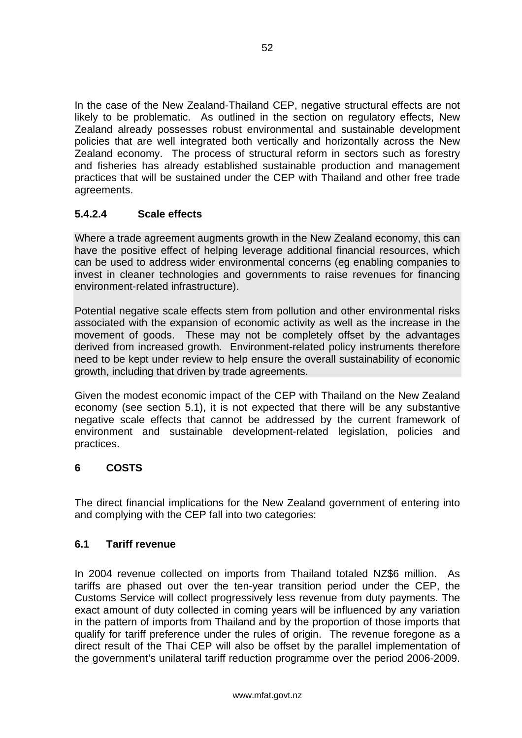<span id="page-54-0"></span>In the case of the New Zealand-Thailand CEP, negative structural effects are not likely to be problematic. As outlined in the section on regulatory effects, New Zealand already possesses robust environmental and sustainable development policies that are well integrated both vertically and horizontally across the New Zealand economy. The process of structural reform in sectors such as forestry and fisheries has already established sustainable production and management practices that will be sustained under the CEP with Thailand and other free trade agreements.

### **5.4.2.4 Scale effects**

Where a trade agreement augments growth in the New Zealand economy, this can have the positive effect of helping leverage additional financial resources, which can be used to address wider environmental concerns (eg enabling companies to invest in cleaner technologies and governments to raise revenues for financing environment-related infrastructure).

Potential negative scale effects stem from pollution and other environmental risks associated with the expansion of economic activity as well as the increase in the movement of goods. These may not be completely offset by the advantages derived from increased growth. Environment-related policy instruments therefore need to be kept under review to help ensure the overall sustainability of economic growth, including that driven by trade agreements.

Given the modest economic impact of the CEP with Thailand on the New Zealand economy (see section 5.1), it is not expected that there will be any substantive negative scale effects that cannot be addressed by the current framework of environment and sustainable development-related legislation, policies and practices.

### **6 COSTS**

The direct financial implications for the New Zealand government of entering into and complying with the CEP fall into two categories:

### **6.1 Tariff revenue**

In 2004 revenue collected on imports from Thailand totaled NZ\$6 million. As tariffs are phased out over the ten-year transition period under the CEP, the Customs Service will collect progressively less revenue from duty payments. The exact amount of duty collected in coming years will be influenced by any variation in the pattern of imports from Thailand and by the proportion of those imports that qualify for tariff preference under the rules of origin. The revenue foregone as a direct result of the Thai CEP will also be offset by the parallel implementation of the government's unilateral tariff reduction programme over the period 2006-2009.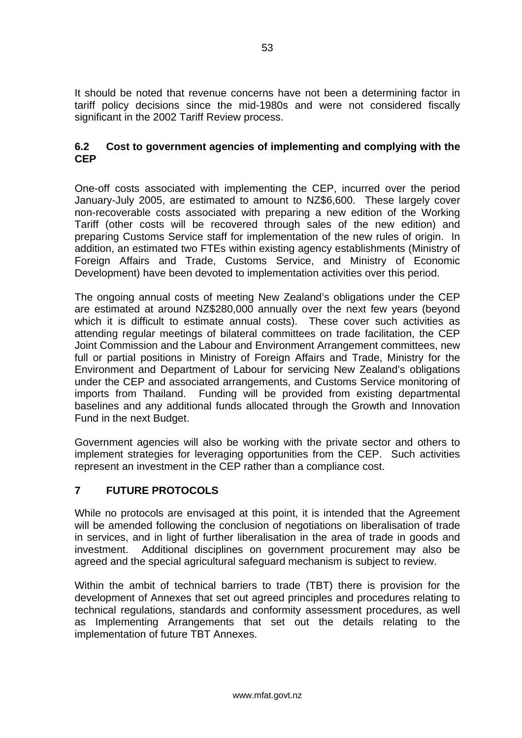<span id="page-55-0"></span>It should be noted that revenue concerns have not been a determining factor in tariff policy decisions since the mid-1980s and were not considered fiscally significant in the 2002 Tariff Review process.

#### **6.2 Cost to government agencies of implementing and complying with the CEP**

One-off costs associated with implementing the CEP, incurred over the period January-July 2005, are estimated to amount to NZ\$6,600. These largely cover non-recoverable costs associated with preparing a new edition of the Working Tariff (other costs will be recovered through sales of the new edition) and preparing Customs Service staff for implementation of the new rules of origin. In addition, an estimated two FTEs within existing agency establishments (Ministry of Foreign Affairs and Trade, Customs Service, and Ministry of Economic Development) have been devoted to implementation activities over this period.

The ongoing annual costs of meeting New Zealand's obligations under the CEP are estimated at around NZ\$280,000 annually over the next few years (beyond which it is difficult to estimate annual costs). These cover such activities as attending regular meetings of bilateral committees on trade facilitation, the CEP Joint Commission and the Labour and Environment Arrangement committees, new full or partial positions in Ministry of Foreign Affairs and Trade, Ministry for the Environment and Department of Labour for servicing New Zealand's obligations under the CEP and associated arrangements, and Customs Service monitoring of imports from Thailand. Funding will be provided from existing departmental baselines and any additional funds allocated through the Growth and Innovation Fund in the next Budget.

Government agencies will also be working with the private sector and others to implement strategies for leveraging opportunities from the CEP. Such activities represent an investment in the CEP rather than a compliance cost.

### **7 FUTURE PROTOCOLS**

While no protocols are envisaged at this point, it is intended that the Agreement will be amended following the conclusion of negotiations on liberalisation of trade in services, and in light of further liberalisation in the area of trade in goods and investment. Additional disciplines on government procurement may also be agreed and the special agricultural safeguard mechanism is subject to review.

Within the ambit of technical barriers to trade (TBT) there is provision for the development of Annexes that set out agreed principles and procedures relating to technical regulations, standards and conformity assessment procedures, as well as Implementing Arrangements that set out the details relating to the implementation of future TBT Annexes.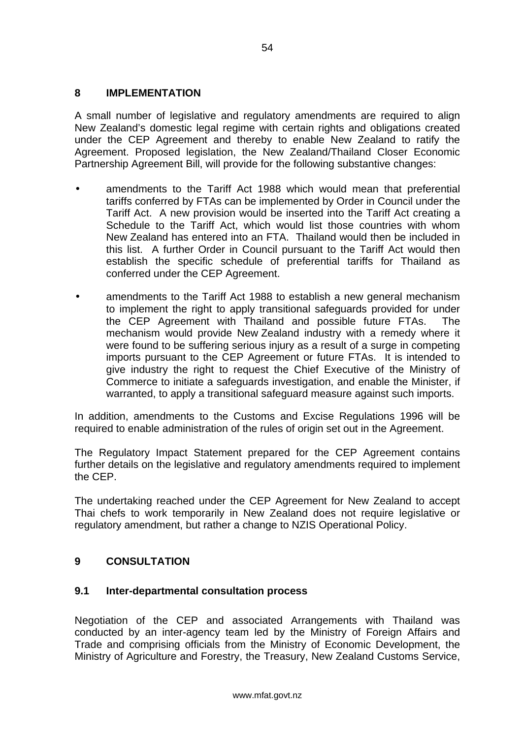#### <span id="page-56-0"></span>**8 IMPLEMENTATION**

A small number of legislative and regulatory amendments are required to align New Zealand's domestic legal regime with certain rights and obligations created under the CEP Agreement and thereby to enable New Zealand to ratify the Agreement. Proposed legislation, the New Zealand/Thailand Closer Economic Partnership Agreement Bill, will provide for the following substantive changes:

- amendments to the Tariff Act 1988 which would mean that preferential tariffs conferred by FTAs can be implemented by Order in Council under the Tariff Act. A new provision would be inserted into the Tariff Act creating a Schedule to the Tariff Act, which would list those countries with whom New Zealand has entered into an FTA. Thailand would then be included in this list. A further Order in Council pursuant to the Tariff Act would then establish the specific schedule of preferential tariffs for Thailand as conferred under the CEP Agreement.
- amendments to the Tariff Act 1988 to establish a new general mechanism to implement the right to apply transitional safeguards provided for under the CEP Agreement with Thailand and possible future FTAs. The mechanism would provide New Zealand industry with a remedy where it were found to be suffering serious injury as a result of a surge in competing imports pursuant to the CEP Agreement or future FTAs. It is intended to give industry the right to request the Chief Executive of the Ministry of Commerce to initiate a safeguards investigation, and enable the Minister, if warranted, to apply a transitional safeguard measure against such imports.

In addition, amendments to the Customs and Excise Regulations 1996 will be required to enable administration of the rules of origin set out in the Agreement.

The Regulatory Impact Statement prepared for the CEP Agreement contains further details on the legislative and regulatory amendments required to implement the CEP.

The undertaking reached under the CEP Agreement for New Zealand to accept Thai chefs to work temporarily in New Zealand does not require legislative or regulatory amendment, but rather a change to NZIS Operational Policy.

#### **9 CONSULTATION**

#### **9.1 Inter-departmental consultation process**

Negotiation of the CEP and associated Arrangements with Thailand was conducted by an inter-agency team led by the Ministry of Foreign Affairs and Trade and comprising officials from the Ministry of Economic Development, the Ministry of Agriculture and Forestry, the Treasury, New Zealand Customs Service,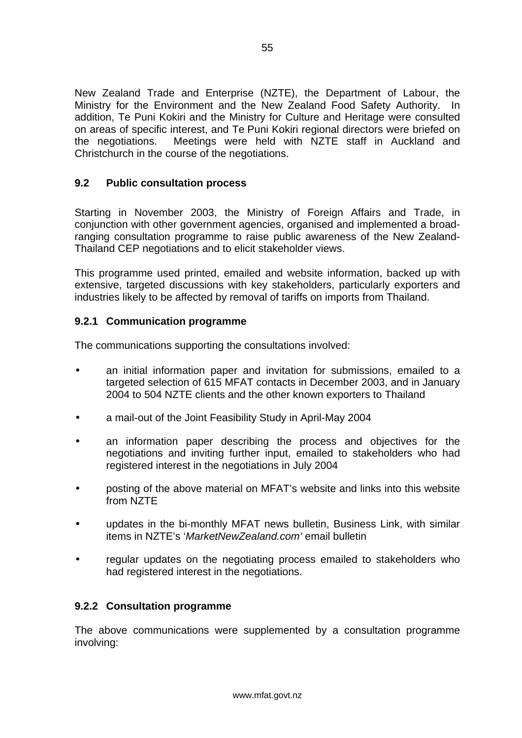<span id="page-57-0"></span>New Zealand Trade and Enterprise (NZTE), the Department of Labour, the Ministry for the Environment and the New Zealand Food Safety Authority. In addition, Te Puni Kokiri and the Ministry for Culture and Heritage were consulted on areas of specific interest, and Te Puni Kokiri regional directors were briefed on the negotiations. Meetings were held with NZTE staff in Auckland and Christchurch in the course of the negotiations.

### **9.2 Public consultation process**

Starting in November 2003, the Ministry of Foreign Affairs and Trade, in conjunction with other government agencies, organised and implemented a broadranging consultation programme to raise public awareness of the New Zealand-Thailand CEP negotiations and to elicit stakeholder views.

This programme used printed, emailed and website information, backed up with extensive, targeted discussions with key stakeholders, particularly exporters and industries likely to be affected by removal of tariffs on imports from Thailand.

### **9.2.1 Communication programme**

The communications supporting the consultations involved:

- an initial information paper and invitation for submissions, emailed to a targeted selection of 615 MFAT contacts in December 2003, and in January 2004 to 504 NZTE clients and the other known exporters to Thailand
- a mail-out of the Joint Feasibility Study in April-May 2004
- an information paper describing the process and objectives for the negotiations and inviting further input, emailed to stakeholders who had registered interest in the negotiations in July 2004
- posting of the above material on MFAT's website and links into this website from NZTE
- updates in the bi-monthly MFAT news bulletin, Business Link, with similar items in NZTE's '*MarketNewZealand.com'* email bulletin
- regular updates on the negotiating process emailed to stakeholders who had registered interest in the negotiations.

#### **9.2.2 Consultation programme**

The above communications were supplemented by a consultation programme involving: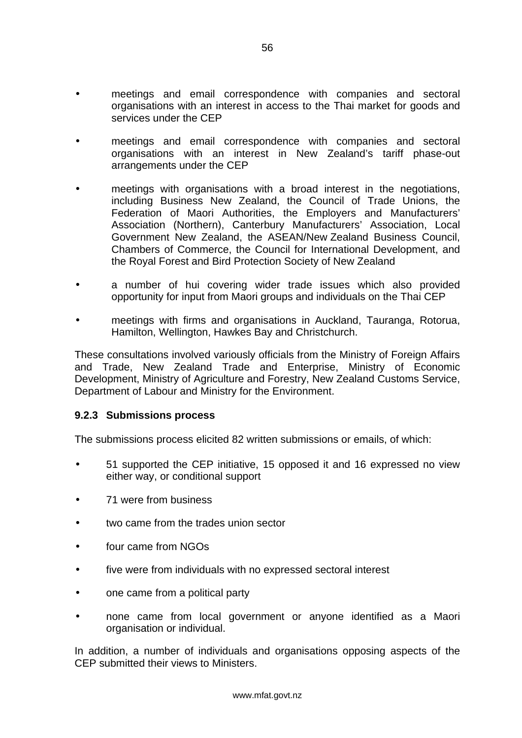- meetings and email correspondence with companies and sectoral organisations with an interest in access to the Thai market for goods and services under the CEP
- meetings and email correspondence with companies and sectoral organisations with an interest in New Zealand's tariff phase-out arrangements under the CEP
- meetings with organisations with a broad interest in the negotiations, including Business New Zealand, the Council of Trade Unions, the Federation of Maori Authorities, the Employers and Manufacturers' Association (Northern), Canterbury Manufacturers' Association, Local Government New Zealand, the ASEAN/New Zealand Business Council, Chambers of Commerce, the Council for International Development, and the Royal Forest and Bird Protection Society of New Zealand
- a number of hui covering wider trade issues which also provided opportunity for input from Maori groups and individuals on the Thai CEP
- meetings with firms and organisations in Auckland, Tauranga, Rotorua, Hamilton, Wellington, Hawkes Bay and Christchurch.

These consultations involved variously officials from the Ministry of Foreign Affairs and Trade, New Zealand Trade and Enterprise, Ministry of Economic Development, Ministry of Agriculture and Forestry, New Zealand Customs Service, Department of Labour and Ministry for the Environment.

#### **9.2.3 Submissions process**

The submissions process elicited 82 written submissions or emails, of which:

- 51 supported the CEP initiative, 15 opposed it and 16 expressed no view either way, or conditional support
- 71 were from business
- two came from the trades union sector
- four came from NGOs
- five were from individuals with no expressed sectoral interest
- one came from a political party
- none came from local government or anyone identified as a Maori organisation or individual.

In addition, a number of individuals and organisations opposing aspects of the CEP submitted their views to Ministers.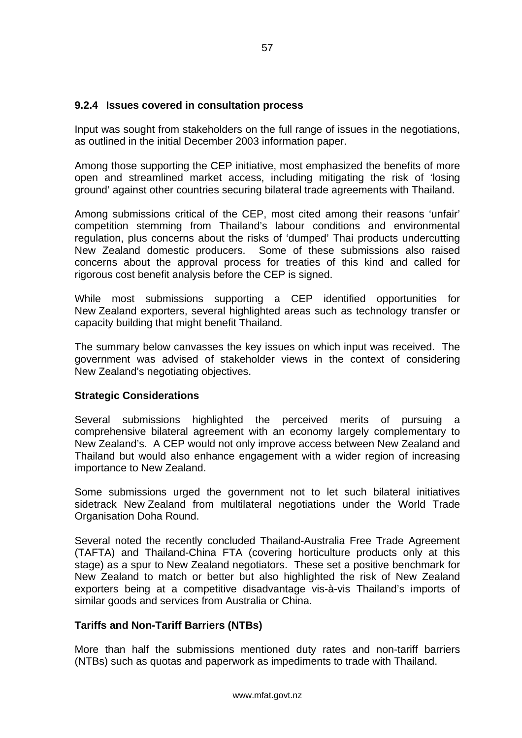#### **9.2.4 Issues covered in consultation process**

Input was sought from stakeholders on the full range of issues in the negotiations, as outlined in the initial December 2003 information paper.

Among those supporting the CEP initiative, most emphasized the benefits of more open and streamlined market access, including mitigating the risk of 'losing ground' against other countries securing bilateral trade agreements with Thailand.

Among submissions critical of the CEP, most cited among their reasons 'unfair' competition stemming from Thailand's labour conditions and environmental regulation, plus concerns about the risks of 'dumped' Thai products undercutting New Zealand domestic producers. Some of these submissions also raised concerns about the approval process for treaties of this kind and called for rigorous cost benefit analysis before the CEP is signed.

While most submissions supporting a CEP identified opportunities for New Zealand exporters, several highlighted areas such as technology transfer or capacity building that might benefit Thailand.

The summary below canvasses the key issues on which input was received. The government was advised of stakeholder views in the context of considering New Zealand's negotiating objectives.

#### **Strategic Considerations**

Several submissions highlighted the perceived merits of pursuing a comprehensive bilateral agreement with an economy largely complementary to New Zealand's. A CEP would not only improve access between New Zealand and Thailand but would also enhance engagement with a wider region of increasing importance to New Zealand.

Some submissions urged the government not to let such bilateral initiatives sidetrack New Zealand from multilateral negotiations under the World Trade Organisation Doha Round.

Several noted the recently concluded Thailand-Australia Free Trade Agreement (TAFTA) and Thailand-China FTA (covering horticulture products only at this stage) as a spur to New Zealand negotiators. These set a positive benchmark for New Zealand to match or better but also highlighted the risk of New Zealand exporters being at a competitive disadvantage vis-à-vis Thailand's imports of similar goods and services from Australia or China.

#### **Tariffs and Non-Tariff Barriers (NTBs)**

More than half the submissions mentioned duty rates and non-tariff barriers (NTBs) such as quotas and paperwork as impediments to trade with Thailand.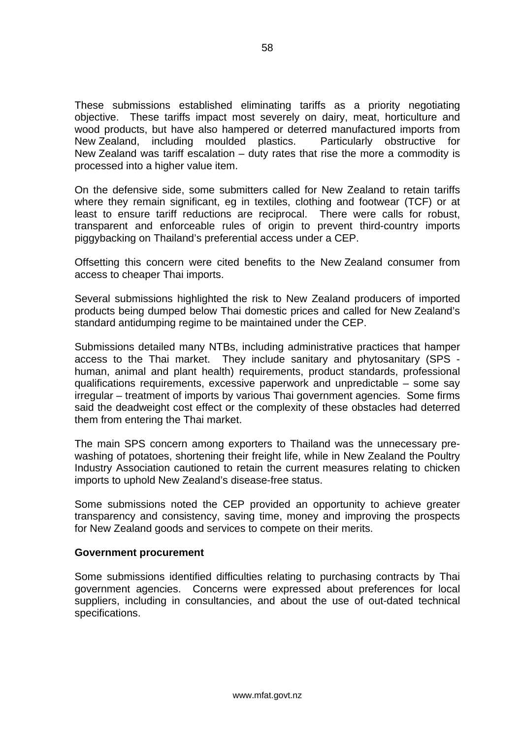These submissions established eliminating tariffs as a priority negotiating objective. These tariffs impact most severely on dairy, meat, horticulture and wood products, but have also hampered or deterred manufactured imports from New Zealand, including moulded plastics. Particularly obstructive for New Zealand was tariff escalation – duty rates that rise the more a commodity is processed into a higher value item.

On the defensive side, some submitters called for New Zealand to retain tariffs where they remain significant, eg in textiles, clothing and footwear (TCF) or at least to ensure tariff reductions are reciprocal. There were calls for robust, transparent and enforceable rules of origin to prevent third-country imports piggybacking on Thailand's preferential access under a CEP.

Offsetting this concern were cited benefits to the New Zealand consumer from access to cheaper Thai imports.

Several submissions highlighted the risk to New Zealand producers of imported products being dumped below Thai domestic prices and called for New Zealand's standard antidumping regime to be maintained under the CEP.

Submissions detailed many NTBs, including administrative practices that hamper access to the Thai market. They include sanitary and phytosanitary (SPS human, animal and plant health) requirements, product standards, professional qualifications requirements, excessive paperwork and unpredictable – some say irregular – treatment of imports by various Thai government agencies. Some firms said the deadweight cost effect or the complexity of these obstacles had deterred them from entering the Thai market.

The main SPS concern among exporters to Thailand was the unnecessary prewashing of potatoes, shortening their freight life, while in New Zealand the Poultry Industry Association cautioned to retain the current measures relating to chicken imports to uphold New Zealand's disease-free status.

Some submissions noted the CEP provided an opportunity to achieve greater transparency and consistency, saving time, money and improving the prospects for New Zealand goods and services to compete on their merits.

#### **Government procurement**

Some submissions identified difficulties relating to purchasing contracts by Thai government agencies. Concerns were expressed about preferences for local suppliers, including in consultancies, and about the use of out-dated technical specifications.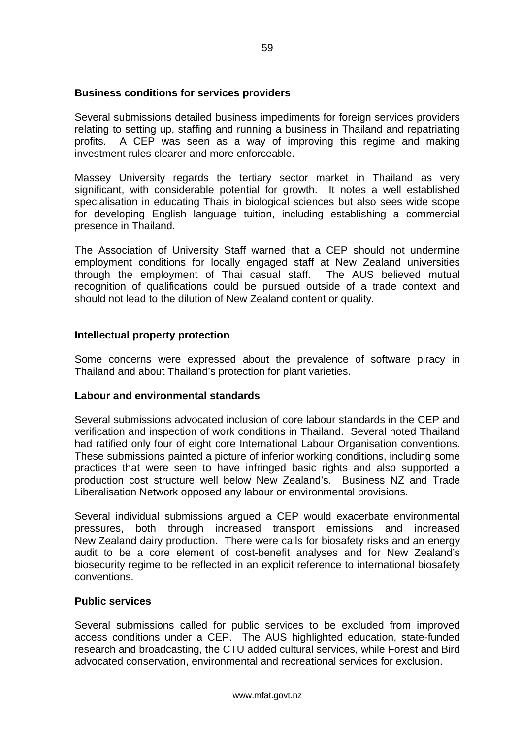#### **Business conditions for services providers**

Several submissions detailed business impediments for foreign services providers relating to setting up, staffing and running a business in Thailand and repatriating profits. A CEP was seen as a way of improving this regime and making investment rules clearer and more enforceable.

Massey University regards the tertiary sector market in Thailand as very significant, with considerable potential for growth. It notes a well established specialisation in educating Thais in biological sciences but also sees wide scope for developing English language tuition, including establishing a commercial presence in Thailand.

The Association of University Staff warned that a CEP should not undermine employment conditions for locally engaged staff at New Zealand universities through the employment of Thai casual staff. The AUS believed mutual recognition of qualifications could be pursued outside of a trade context and should not lead to the dilution of New Zealand content or quality.

#### **Intellectual property protection**

Some concerns were expressed about the prevalence of software piracy in Thailand and about Thailand's protection for plant varieties.

#### **Labour and environmental standards**

Several submissions advocated inclusion of core labour standards in the CEP and verification and inspection of work conditions in Thailand. Several noted Thailand had ratified only four of eight core International Labour Organisation conventions. These submissions painted a picture of inferior working conditions, including some practices that were seen to have infringed basic rights and also supported a production cost structure well below New Zealand's. Business NZ and Trade Liberalisation Network opposed any labour or environmental provisions.

Several individual submissions argued a CEP would exacerbate environmental pressures, both through increased transport emissions and increased New Zealand dairy production. There were calls for biosafety risks and an energy audit to be a core element of cost-benefit analyses and for New Zealand's biosecurity regime to be reflected in an explicit reference to international biosafety conventions.

#### **Public services**

Several submissions called for public services to be excluded from improved access conditions under a CEP. The AUS highlighted education, state-funded research and broadcasting, the CTU added cultural services, while Forest and Bird advocated conservation, environmental and recreational services for exclusion.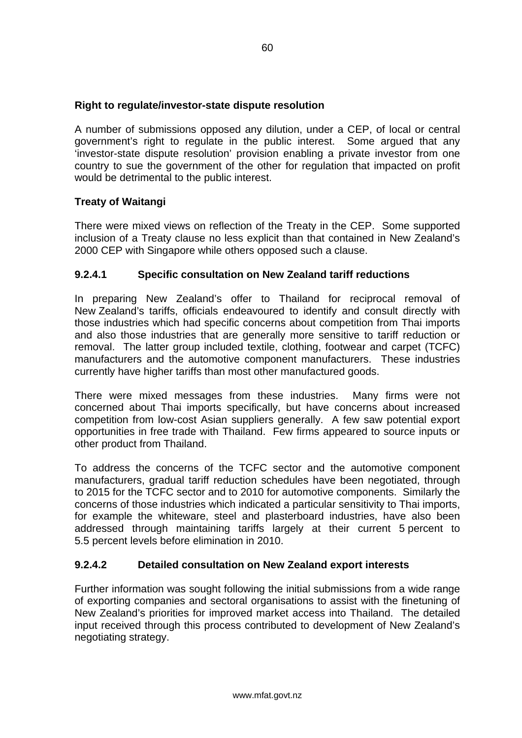### **Right to regulate/investor-state dispute resolution**

A number of submissions opposed any dilution, under a CEP, of local or central government's right to regulate in the public interest. Some argued that any 'investor-state dispute resolution' provision enabling a private investor from one country to sue the government of the other for regulation that impacted on profit would be detrimental to the public interest.

### **Treaty of Waitangi**

There were mixed views on reflection of the Treaty in the CEP. Some supported inclusion of a Treaty clause no less explicit than that contained in New Zealand's 2000 CEP with Singapore while others opposed such a clause.

### **9.2.4.1 Specific consultation on New Zealand tariff reductions**

In preparing New Zealand's offer to Thailand for reciprocal removal of New Zealand's tariffs, officials endeavoured to identify and consult directly with those industries which had specific concerns about competition from Thai imports and also those industries that are generally more sensitive to tariff reduction or removal. The latter group included textile, clothing, footwear and carpet (TCFC) manufacturers and the automotive component manufacturers. These industries currently have higher tariffs than most other manufactured goods.

There were mixed messages from these industries. Many firms were not concerned about Thai imports specifically, but have concerns about increased competition from low-cost Asian suppliers generally. A few saw potential export opportunities in free trade with Thailand. Few firms appeared to source inputs or other product from Thailand.

To address the concerns of the TCFC sector and the automotive component manufacturers, gradual tariff reduction schedules have been negotiated, through to 2015 for the TCFC sector and to 2010 for automotive components. Similarly the concerns of those industries which indicated a particular sensitivity to Thai imports, for example the whiteware, steel and plasterboard industries, have also been addressed through maintaining tariffs largely at their current 5 percent to 5.5 percent levels before elimination in 2010.

### **9.2.4.2 Detailed consultation on New Zealand export interests**

Further information was sought following the initial submissions from a wide range of exporting companies and sectoral organisations to assist with the finetuning of New Zealand's priorities for improved market access into Thailand. The detailed input received through this process contributed to development of New Zealand's negotiating strategy.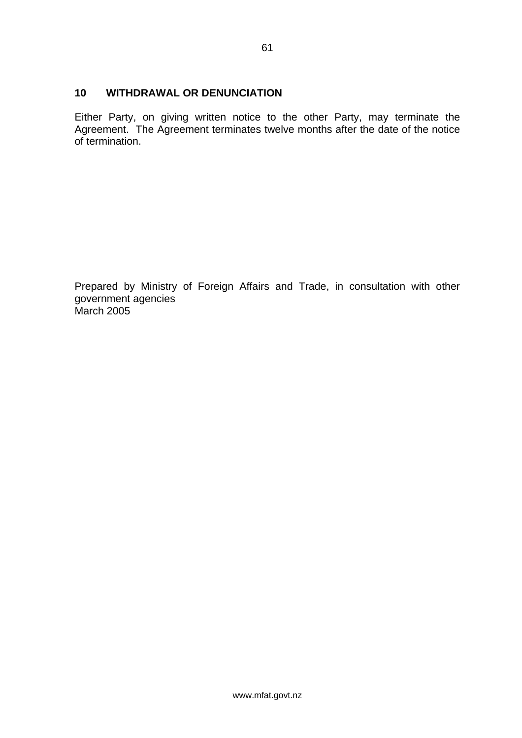#### <span id="page-63-0"></span>**10 WITHDRAWAL OR DENUNCIATION**

Either Party, on giving written notice to the other Party, may terminate the Agreement. The Agreement terminates twelve months after the date of the notice of termination.

Prepared by Ministry of Foreign Affairs and Trade, in consultation with other government agencies March 2005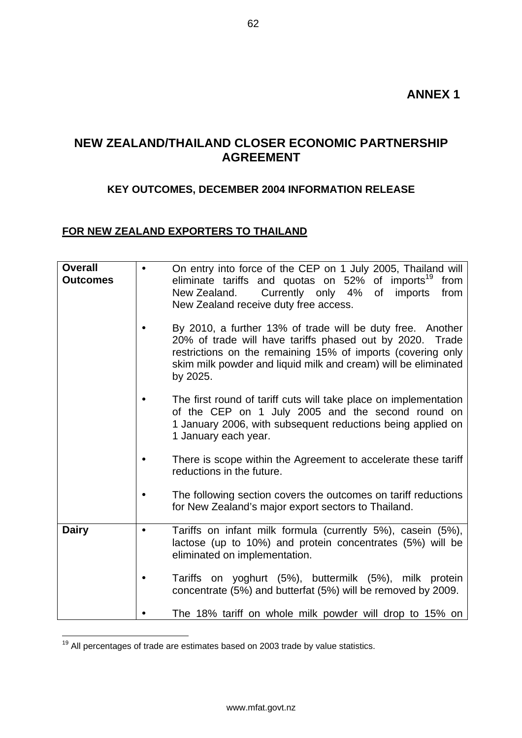## <span id="page-64-0"></span>**NEW ZEALAND/THAILAND CLOSER ECONOMIC PARTNERSHIP AGREEMENT**

### **KEY OUTCOMES, DECEMBER 2004 INFORMATION RELEASE**

### **FOR NEW ZEALAND EXPORTERS TO THAILAND**

| <b>Overall</b><br><b>Outcomes</b> |           | On entry into force of the CEP on 1 July 2005, Thailand will<br>eliminate tariffs and quotas on 52% of imports <sup>19</sup><br>from<br>Currently only 4%<br>of imports<br>New Zealand.<br>from<br>New Zealand receive duty free access.                            |
|-----------------------------------|-----------|---------------------------------------------------------------------------------------------------------------------------------------------------------------------------------------------------------------------------------------------------------------------|
|                                   |           | By 2010, a further 13% of trade will be duty free. Another<br>20% of trade will have tariffs phased out by 2020. Trade<br>restrictions on the remaining 15% of imports (covering only<br>skim milk powder and liquid milk and cream) will be eliminated<br>by 2025. |
|                                   |           | The first round of tariff cuts will take place on implementation<br>of the CEP on 1 July 2005 and the second round on<br>1 January 2006, with subsequent reductions being applied on<br>1 January each year.                                                        |
|                                   |           | There is scope within the Agreement to accelerate these tariff<br>reductions in the future.                                                                                                                                                                         |
|                                   |           | The following section covers the outcomes on tariff reductions<br>for New Zealand's major export sectors to Thailand.                                                                                                                                               |
| <b>Dairy</b>                      | $\bullet$ | Tariffs on infant milk formula (currently 5%), casein (5%),<br>lactose (up to 10%) and protein concentrates (5%) will be<br>eliminated on implementation.                                                                                                           |
|                                   |           | Tariffs on yoghurt (5%), buttermilk (5%), milk protein<br>concentrate (5%) and butterfat (5%) will be removed by 2009.                                                                                                                                              |
|                                   |           | The 18% tariff on whole milk powder will drop to 15% on                                                                                                                                                                                                             |

<span id="page-64-1"></span> $19$  All percentages of trade are estimates based on 2003 trade by value statistics.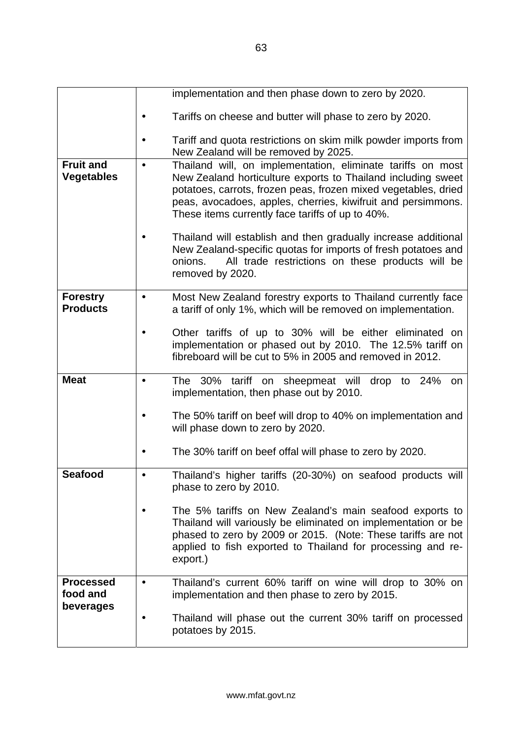|                                       | implementation and then phase down to zero by 2020.                                                                                                                                                                                                                                                                            |
|---------------------------------------|--------------------------------------------------------------------------------------------------------------------------------------------------------------------------------------------------------------------------------------------------------------------------------------------------------------------------------|
|                                       | Tariffs on cheese and butter will phase to zero by 2020.                                                                                                                                                                                                                                                                       |
|                                       | Tariff and quota restrictions on skim milk powder imports from<br>New Zealand will be removed by 2025.                                                                                                                                                                                                                         |
| <b>Fruit and</b><br><b>Vegetables</b> | Thailand will, on implementation, eliminate tariffs on most<br>$\bullet$<br>New Zealand horticulture exports to Thailand including sweet<br>potatoes, carrots, frozen peas, frozen mixed vegetables, dried<br>peas, avocadoes, apples, cherries, kiwifruit and persimmons.<br>These items currently face tariffs of up to 40%. |
|                                       | Thailand will establish and then gradually increase additional<br>New Zealand-specific quotas for imports of fresh potatoes and<br>All trade restrictions on these products will be<br>onions.<br>removed by 2020.                                                                                                             |
| <b>Forestry</b><br><b>Products</b>    | Most New Zealand forestry exports to Thailand currently face<br>$\bullet$<br>a tariff of only 1%, which will be removed on implementation.                                                                                                                                                                                     |
|                                       | Other tariffs of up to 30% will be either eliminated on<br>implementation or phased out by 2010. The 12.5% tariff on<br>fibreboard will be cut to 5% in 2005 and removed in 2012.                                                                                                                                              |
| <b>Meat</b>                           | The 30% tariff on sheepmeat will drop to 24%<br>on<br>٠<br>implementation, then phase out by 2010.                                                                                                                                                                                                                             |
|                                       | The 50% tariff on beef will drop to 40% on implementation and<br>will phase down to zero by 2020.                                                                                                                                                                                                                              |
|                                       | The 30% tariff on beef offal will phase to zero by 2020.                                                                                                                                                                                                                                                                       |
| <b>Seafood</b>                        | Thailand's higher tariffs (20-30%) on seafood products will<br>phase to zero by 2010.                                                                                                                                                                                                                                          |
|                                       | The 5% tariffs on New Zealand's main seafood exports to<br>Thailand will variously be eliminated on implementation or be<br>phased to zero by 2009 or 2015. (Note: These tariffs are not<br>applied to fish exported to Thailand for processing and re-<br>export.)                                                            |
| <b>Processed</b><br>food and          | Thailand's current 60% tariff on wine will drop to 30% on<br>$\bullet$<br>implementation and then phase to zero by 2015.                                                                                                                                                                                                       |
| beverages                             | Thailand will phase out the current 30% tariff on processed<br>potatoes by 2015.                                                                                                                                                                                                                                               |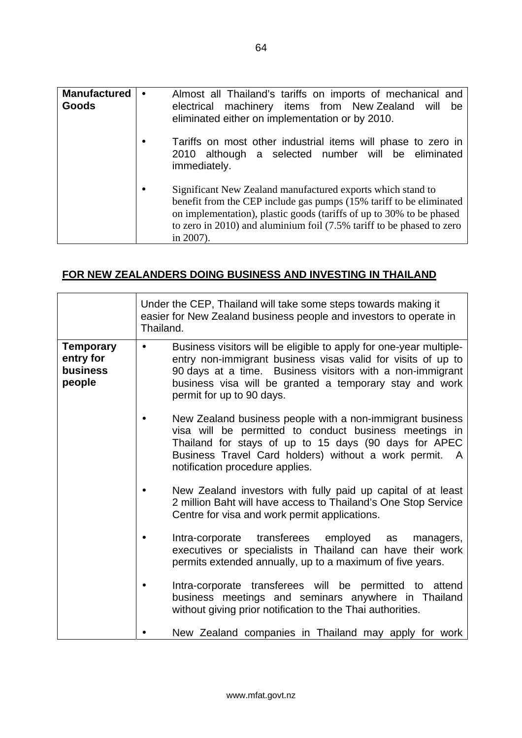| <b>Manufactured</b><br>Goods |           | Almost all Thailand's tariffs on imports of mechanical and<br>electrical machinery items from New Zealand will<br>be<br>eliminated either on implementation or by 2010.                                                                                                                          |
|------------------------------|-----------|--------------------------------------------------------------------------------------------------------------------------------------------------------------------------------------------------------------------------------------------------------------------------------------------------|
|                              | $\bullet$ | Tariffs on most other industrial items will phase to zero in<br>2010 although a selected number will be eliminated<br>immediately.                                                                                                                                                               |
|                              | $\bullet$ | Significant New Zealand manufactured exports which stand to<br>benefit from the CEP include gas pumps (15% tariff to be eliminated<br>on implementation), plastic goods (tariffs of up to 30% to be phased<br>to zero in 2010) and aluminium foil (7.5% tariff to be phased to zero<br>in 2007). |

### **FOR NEW ZEALANDERS DOING BUSINESS AND INVESTING IN THAILAND**

|                                                            | Under the CEP, Thailand will take some steps towards making it<br>easier for New Zealand business people and investors to operate in<br>Thailand.                                                                                                                                                    |
|------------------------------------------------------------|------------------------------------------------------------------------------------------------------------------------------------------------------------------------------------------------------------------------------------------------------------------------------------------------------|
| <b>Temporary</b><br>entry for<br><b>business</b><br>people | Business visitors will be eligible to apply for one-year multiple-<br>$\bullet$<br>entry non-immigrant business visas valid for visits of up to<br>90 days at a time. Business visitors with a non-immigrant<br>business visa will be granted a temporary stay and work<br>permit for up to 90 days. |
|                                                            | New Zealand business people with a non-immigrant business<br>visa will be permitted to conduct business meetings in<br>Thailand for stays of up to 15 days (90 days for APEC<br>Business Travel Card holders) without a work permit. A<br>notification procedure applies.                            |
|                                                            | New Zealand investors with fully paid up capital of at least<br>2 million Baht will have access to Thailand's One Stop Service<br>Centre for visa and work permit applications.                                                                                                                      |
|                                                            | Intra-corporate transferees employed as<br>managers,<br>executives or specialists in Thailand can have their work<br>permits extended annually, up to a maximum of five years.                                                                                                                       |
|                                                            | Intra-corporate transferees will be permitted to attend<br>business meetings and seminars anywhere in Thailand<br>without giving prior notification to the Thai authorities.                                                                                                                         |
|                                                            | New Zealand companies in Thailand may apply for work                                                                                                                                                                                                                                                 |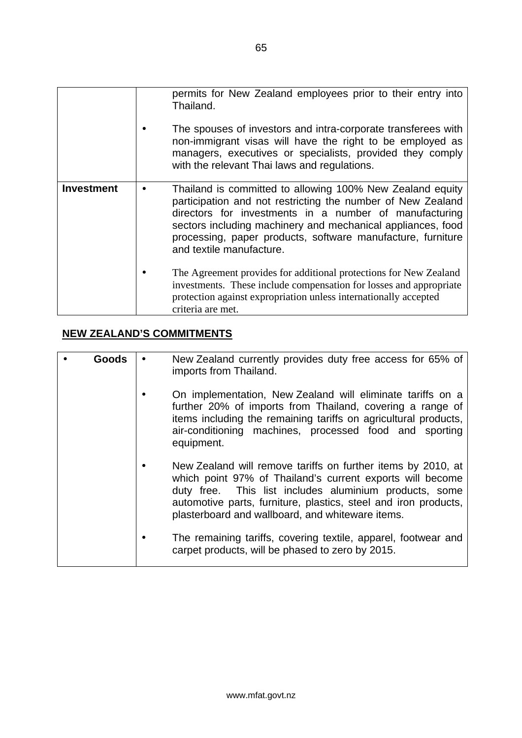|                   | permits for New Zealand employees prior to their entry into<br>Thailand.<br>The spouses of investors and intra-corporate transferees with<br>non-immigrant visas will have the right to be employed as<br>managers, executives or specialists, provided they comply<br>with the relevant Thai laws and regulations.                          |
|-------------------|----------------------------------------------------------------------------------------------------------------------------------------------------------------------------------------------------------------------------------------------------------------------------------------------------------------------------------------------|
| <b>Investment</b> | Thailand is committed to allowing 100% New Zealand equity<br>participation and not restricting the number of New Zealand<br>directors for investments in a number of manufacturing<br>sectors including machinery and mechanical appliances, food<br>processing, paper products, software manufacture, furniture<br>and textile manufacture. |
|                   | The Agreement provides for additional protections for New Zealand<br>investments. These include compensation for losses and appropriate<br>protection against expropriation unless internationally accepted<br>criteria are met.                                                                                                             |

## **NEW ZEALAND'S COMMITMENTS**

| Goods | New Zealand currently provides duty free access for 65% of<br>imports from Thailand.                                                                                                                                                                                                                       |
|-------|------------------------------------------------------------------------------------------------------------------------------------------------------------------------------------------------------------------------------------------------------------------------------------------------------------|
|       | On implementation, New Zealand will eliminate tariffs on a<br>further 20% of imports from Thailand, covering a range of<br>items including the remaining tariffs on agricultural products,<br>air-conditioning machines, processed food and sporting<br>equipment.                                         |
|       | New Zealand will remove tariffs on further items by 2010, at<br>which point 97% of Thailand's current exports will become<br>duty free. This list includes aluminium products, some<br>automotive parts, furniture, plastics, steel and iron products,<br>plasterboard and wallboard, and whiteware items. |
|       | The remaining tariffs, covering textile, apparel, footwear and<br>carpet products, will be phased to zero by 2015.                                                                                                                                                                                         |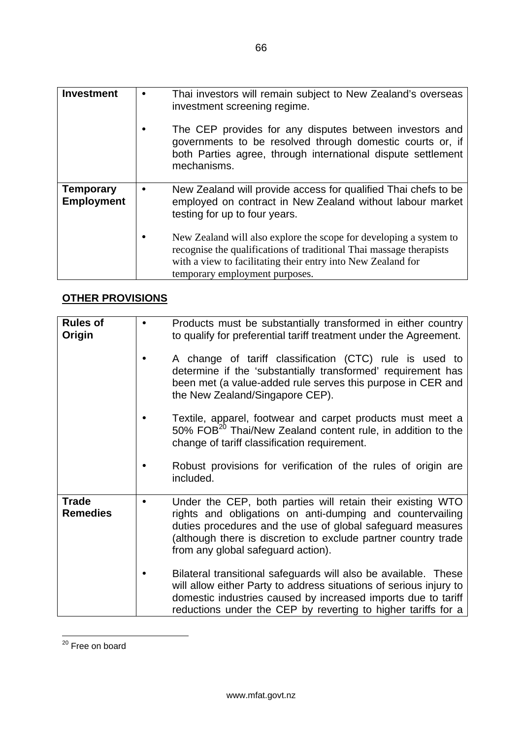| <b>Investment</b>                     | $\bullet$ | Thai investors will remain subject to New Zealand's overseas<br>investment screening regime.                                                                                                                                                |
|---------------------------------------|-----------|---------------------------------------------------------------------------------------------------------------------------------------------------------------------------------------------------------------------------------------------|
|                                       | $\bullet$ | The CEP provides for any disputes between investors and<br>governments to be resolved through domestic courts or, if<br>both Parties agree, through international dispute settlement<br>mechanisms.                                         |
| <b>Temporary</b><br><b>Employment</b> | $\bullet$ | New Zealand will provide access for qualified Thai chefs to be<br>employed on contract in New Zealand without labour market<br>testing for up to four years.                                                                                |
|                                       |           | New Zealand will also explore the scope for developing a system to<br>recognise the qualifications of traditional Thai massage therapists<br>with a view to facilitating their entry into New Zealand for<br>temporary employment purposes. |

# **OTHER PROVISIONS**

| <b>Rules of</b><br>Origin       | Products must be substantially transformed in either country<br>to qualify for preferential tariff treatment under the Agreement.                                                                                                                                                             |
|---------------------------------|-----------------------------------------------------------------------------------------------------------------------------------------------------------------------------------------------------------------------------------------------------------------------------------------------|
|                                 | A change of tariff classification (CTC) rule is used to<br>determine if the 'substantially transformed' requirement has<br>been met (a value-added rule serves this purpose in CER and<br>the New Zealand/Singapore CEP).                                                                     |
|                                 | Textile, apparel, footwear and carpet products must meet a<br>50% FOB <sup>20</sup> Thai/New Zealand content rule, in addition to the<br>change of tariff classification requirement.                                                                                                         |
|                                 | Robust provisions for verification of the rules of origin are<br>included.                                                                                                                                                                                                                    |
| <b>Trade</b><br><b>Remedies</b> | Under the CEP, both parties will retain their existing WTO<br>rights and obligations on anti-dumping and countervailing<br>duties procedures and the use of global safeguard measures<br>(although there is discretion to exclude partner country trade<br>from any global safeguard action). |
|                                 | Bilateral transitional safeguards will also be available. These<br>will allow either Party to address situations of serious injury to<br>domestic industries caused by increased imports due to tariff<br>reductions under the CEP by reverting to higher tariffs for a                       |

<span id="page-68-0"></span> $20$  Free on board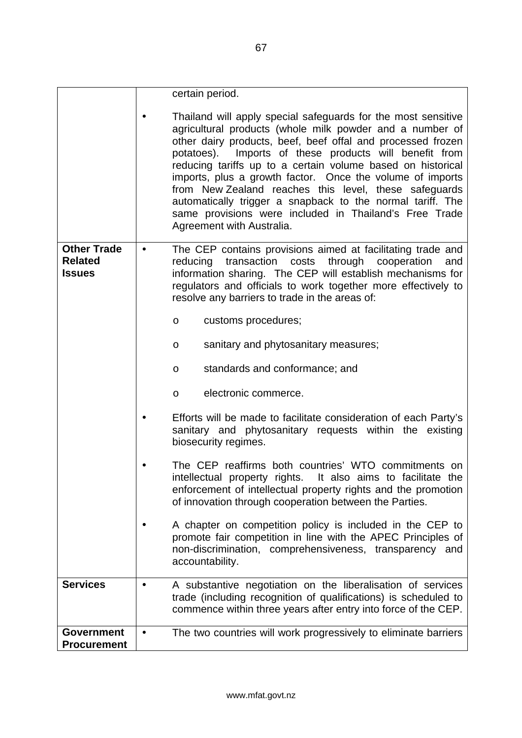|                                         | certain period.                                                                                                                                                                                                                                                                                                                                                                                                                                                                                                                                                                              |
|-----------------------------------------|----------------------------------------------------------------------------------------------------------------------------------------------------------------------------------------------------------------------------------------------------------------------------------------------------------------------------------------------------------------------------------------------------------------------------------------------------------------------------------------------------------------------------------------------------------------------------------------------|
|                                         | Thailand will apply special safeguards for the most sensitive<br>agricultural products (whole milk powder and a number of<br>other dairy products, beef, beef offal and processed frozen<br>potatoes). Imports of these products will benefit from<br>reducing tariffs up to a certain volume based on historical<br>imports, plus a growth factor. Once the volume of imports<br>from New Zealand reaches this level, these safeguards<br>automatically trigger a snapback to the normal tariff. The<br>same provisions were included in Thailand's Free Trade<br>Agreement with Australia. |
| <b>Other Trade</b><br><b>Related</b>    | The CEP contains provisions aimed at facilitating trade and<br>$\bullet$<br>transaction costs through cooperation<br>reducing<br>and                                                                                                                                                                                                                                                                                                                                                                                                                                                         |
| <b>Issues</b>                           | information sharing. The CEP will establish mechanisms for                                                                                                                                                                                                                                                                                                                                                                                                                                                                                                                                   |
|                                         | regulators and officials to work together more effectively to<br>resolve any barriers to trade in the areas of:                                                                                                                                                                                                                                                                                                                                                                                                                                                                              |
|                                         | customs procedures;<br>$\circ$                                                                                                                                                                                                                                                                                                                                                                                                                                                                                                                                                               |
|                                         | sanitary and phytosanitary measures;<br>O                                                                                                                                                                                                                                                                                                                                                                                                                                                                                                                                                    |
|                                         | standards and conformance; and<br>O                                                                                                                                                                                                                                                                                                                                                                                                                                                                                                                                                          |
|                                         | electronic commerce.<br>$\circ$                                                                                                                                                                                                                                                                                                                                                                                                                                                                                                                                                              |
|                                         | Efforts will be made to facilitate consideration of each Party's<br>sanitary and phytosanitary requests within the existing<br>biosecurity regimes.                                                                                                                                                                                                                                                                                                                                                                                                                                          |
|                                         | The CEP reaffirms both countries' WTO commitments on<br>intellectual property rights. It also aims to facilitate the<br>enforcement of intellectual property rights and the promotion<br>of innovation through cooperation between the Parties.                                                                                                                                                                                                                                                                                                                                              |
|                                         | A chapter on competition policy is included in the CEP to<br>promote fair competition in line with the APEC Principles of<br>non-discrimination, comprehensiveness, transparency and<br>accountability.                                                                                                                                                                                                                                                                                                                                                                                      |
| <b>Services</b>                         | A substantive negotiation on the liberalisation of services<br>$\bullet$<br>trade (including recognition of qualifications) is scheduled to<br>commence within three years after entry into force of the CEP.                                                                                                                                                                                                                                                                                                                                                                                |
| <b>Government</b><br><b>Procurement</b> | The two countries will work progressively to eliminate barriers<br>$\bullet$                                                                                                                                                                                                                                                                                                                                                                                                                                                                                                                 |
|                                         |                                                                                                                                                                                                                                                                                                                                                                                                                                                                                                                                                                                              |